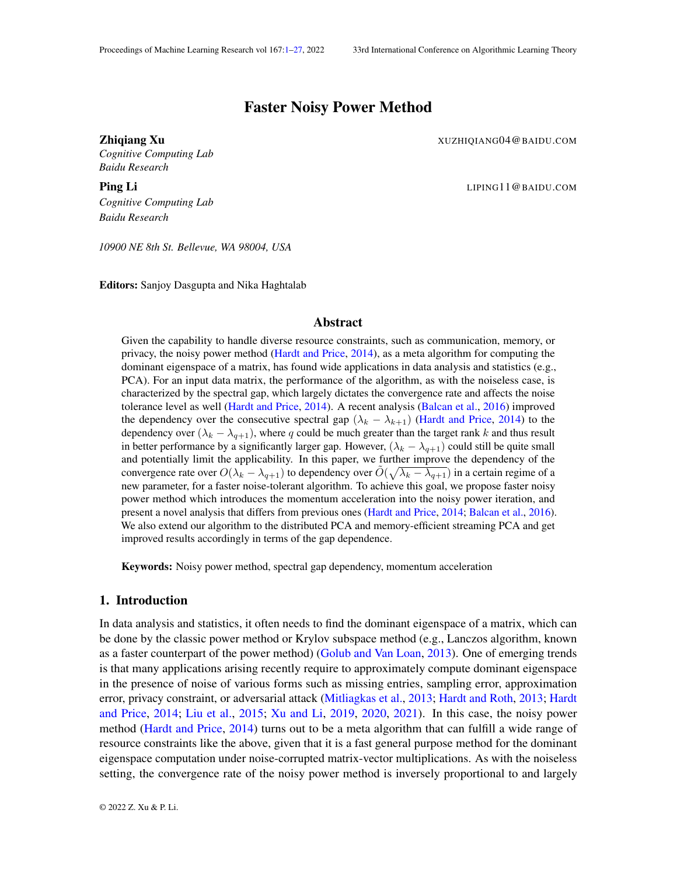# Faster Noisy Power Method

<span id="page-0-0"></span>**Zhiqiang Xu** XUZHIQIANG04@BAIDU.COM

*Cognitive Computing Lab Baidu Research*

**Ping Li** LIPING 11 @BAIDU.COM *Cognitive Computing Lab*

*Baidu Research*

*10900 NE 8th St. Bellevue, WA 98004, USA*

Editors: Sanjoy Dasgupta and Nika Haghtalab

## Abstract

Given the capability to handle diverse resource constraints, such as communication, memory, or privacy, the noisy power method [\(Hardt and Price,](#page-12-0) [2014\)](#page-12-0), as a meta algorithm for computing the dominant eigenspace of a matrix, has found wide applications in data analysis and statistics (e.g., PCA). For an input data matrix, the performance of the algorithm, as with the noiseless case, is characterized by the spectral gap, which largely dictates the convergence rate and affects the noise tolerance level as well [\(Hardt and Price,](#page-12-0) [2014\)](#page-12-0). A recent analysis [\(Balcan et al.,](#page-11-0) [2016\)](#page-11-0) improved the dependency over the consecutive spectral gap  $(\lambda_k - \lambda_{k+1})$  [\(Hardt and Price,](#page-12-0) [2014\)](#page-12-0) to the dependency over  $(\lambda_k - \lambda_{q+1})$ , where q could be much greater than the target rank k and thus result in better performance by a significantly larger gap. However,  $(\lambda_k - \lambda_{q+1})$  could still be quite small and potentially limit the applicability. In this paper, we further improve the dependency of the convergence rate over  $O(\lambda_k - \lambda_{q+1})$  to dependency over  $\tilde{O}(\sqrt{\lambda_k - \lambda_{q+1}})$  in a certain regime of a new parameter, for a faster noise-tolerant algorithm. To achieve this goal, we propose faster noisy power method which introduces the momentum acceleration into the noisy power iteration, and present a novel analysis that differs from previous ones [\(Hardt and Price,](#page-12-0) [2014;](#page-12-0) [Balcan et al.,](#page-11-0) [2016\)](#page-11-0). We also extend our algorithm to the distributed PCA and memory-efficient streaming PCA and get improved results accordingly in terms of the gap dependence.

Keywords: Noisy power method, spectral gap dependency, momentum acceleration

# 1. Introduction

In data analysis and statistics, it often needs to find the dominant eigenspace of a matrix, which can be done by the classic power method or Krylov subspace method (e.g., Lanczos algorithm, known as a faster counterpart of the power method) [\(Golub and Van Loan,](#page-12-1) [2013\)](#page-12-1). One of emerging trends is that many applications arising recently require to approximately compute dominant eigenspace in the presence of noise of various forms such as missing entries, sampling error, approximation error, privacy constraint, or adversarial attack [\(Mitliagkas et al.,](#page-12-2) [2013;](#page-12-2) [Hardt and Roth,](#page-12-3) [2013;](#page-12-3) [Hardt](#page-12-0) [and Price,](#page-12-0) [2014;](#page-12-0) [Liu et al.,](#page-12-4) [2015;](#page-12-4) [Xu and Li,](#page-12-5) [2019,](#page-12-5) [2020,](#page-12-6) [2021\)](#page-12-7). In this case, the noisy power method [\(Hardt and Price,](#page-12-0) [2014\)](#page-12-0) turns out to be a meta algorithm that can fulfill a wide range of resource constraints like the above, given that it is a fast general purpose method for the dominant eigenspace computation under noise-corrupted matrix-vector multiplications. As with the noiseless setting, the convergence rate of the noisy power method is inversely proportional to and largely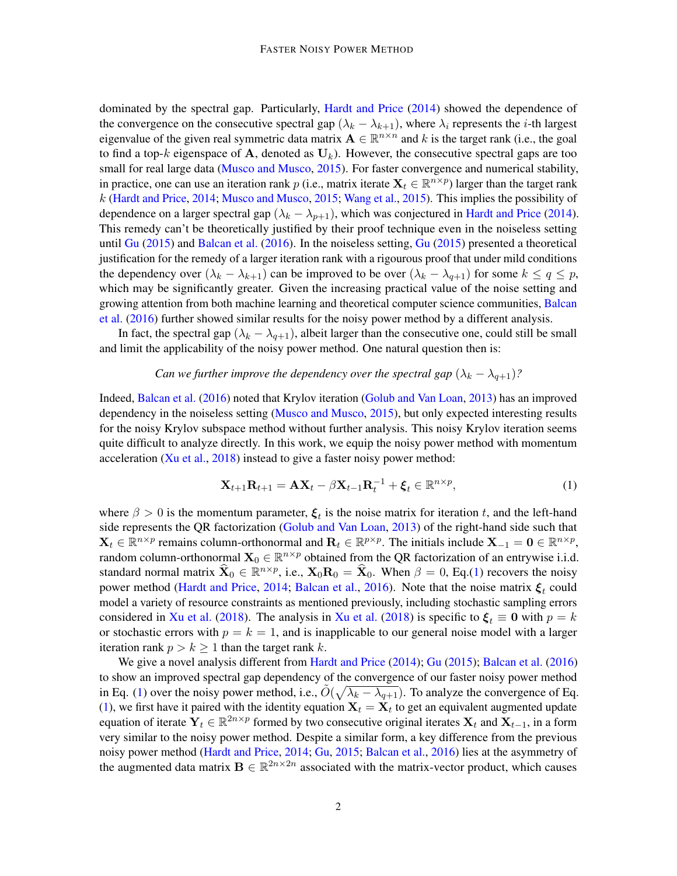dominated by the spectral gap. Particularly, [Hardt and Price](#page-12-0) [\(2014\)](#page-12-0) showed the dependence of the convergence on the consecutive spectral gap  $(\lambda_k - \lambda_{k+1})$ , where  $\lambda_i$  represents the *i*-th largest eigenvalue of the given real symmetric data matrix  $A \in \mathbb{R}^{n \times n}$  and k is the target rank (i.e., the goal to find a top-k eigenspace of A, denoted as  $U_k$ ). However, the consecutive spectral gaps are too small for real large data [\(Musco and Musco,](#page-12-8) [2015\)](#page-12-8). For faster convergence and numerical stability, in practice, one can use an iteration rank p (i.e., matrix iterate  $X_t \in \mathbb{R}^{n \times p}$ ) larger than the target rank k [\(Hardt and Price,](#page-12-0) [2014;](#page-12-0) [Musco and Musco,](#page-12-8) [2015;](#page-12-8) [Wang et al.,](#page-12-9) [2015\)](#page-12-9). This implies the possibility of dependence on a larger spectral gap ( $\lambda_k - \lambda_{p+1}$ ), which was conjectured in [Hardt and Price](#page-12-0) [\(2014\)](#page-12-0). This remedy can't be theoretically justified by their proof technique even in the noiseless setting until [Gu](#page-12-10) [\(2015\)](#page-12-10) and [Balcan et al.](#page-11-0) [\(2016\)](#page-11-0). In the noiseless setting, [Gu](#page-12-10) [\(2015\)](#page-12-10) presented a theoretical justification for the remedy of a larger iteration rank with a rigourous proof that under mild conditions the dependency over  $(\lambda_k - \lambda_{k+1})$  can be improved to be over  $(\lambda_k - \lambda_{q+1})$  for some  $k \le q \le p$ , which may be significantly greater. Given the increasing practical value of the noise setting and growing attention from both machine learning and theoretical computer science communities, [Balcan](#page-11-0) [et al.](#page-11-0) [\(2016\)](#page-11-0) further showed similar results for the noisy power method by a different analysis.

In fact, the spectral gap  $(\lambda_k - \lambda_{q+1})$ , albeit larger than the consecutive one, could still be small and limit the applicability of the noisy power method. One natural question then is:

#### *Can we further improve the dependency over the spectral gap*  $(\lambda_k - \lambda_{q+1})$ ?

Indeed, [Balcan et al.](#page-11-0) [\(2016\)](#page-11-0) noted that Krylov iteration [\(Golub and Van Loan,](#page-12-1) [2013\)](#page-12-1) has an improved dependency in the noiseless setting [\(Musco and Musco,](#page-12-8) [2015\)](#page-12-8), but only expected interesting results for the noisy Krylov subspace method without further analysis. This noisy Krylov iteration seems quite difficult to analyze directly. In this work, we equip the noisy power method with momentum acceleration  $(X<sub>u</sub> et al., 2018)$  $(X<sub>u</sub> et al., 2018)$  instead to give a faster noisy power method:

<span id="page-1-0"></span>
$$
\mathbf{X}_{t+1}\mathbf{R}_{t+1} = \mathbf{A}\mathbf{X}_t - \beta \mathbf{X}_{t-1}\mathbf{R}_t^{-1} + \boldsymbol{\xi}_t \in \mathbb{R}^{n \times p},\tag{1}
$$

where  $\beta > 0$  is the momentum parameter,  $\xi_t$  is the noise matrix for iteration t, and the left-hand side represents the QR factorization [\(Golub and Van Loan,](#page-12-1) [2013\)](#page-12-1) of the right-hand side such that  $\mathbf{X}_t \in \mathbb{R}^{n \times p}$  remains column-orthonormal and  $\mathbf{R}_t \in \mathbb{R}^{p \times p}$ . The initials include  $\mathbf{X}_{-1} = \mathbf{0} \in \mathbb{R}^{n \times p}$ , random column-orthonormal  $\mathbf{X}_0 \in \mathbb{R}^{n \times p}$  obtained from the QR factorization of an entrywise i.i.d. standard normal matrix  $\hat{\mathbf{X}}_0 \in \mathbb{R}^{n \times p}$ , i.e.,  $\mathbf{X}_0 \mathbf{R}_0 = \hat{\mathbf{X}}_0$ . When  $\beta = 0$ , Eq.[\(1\)](#page-1-0) recovers the noisy power method [\(Hardt and Price,](#page-12-0) [2014;](#page-12-0) [Balcan et al.,](#page-11-0) [2016\)](#page-11-0). Note that the noise matrix  $\xi_t$  could model a variety of resource constraints as mentioned previously, including stochastic sampling errors considered in [Xu et al.](#page-12-11) [\(2018\)](#page-12-11). The analysis in Xu et al. (2018) is specific to  $\xi_t \equiv 0$  with  $p = k$ or stochastic errors with  $p = k = 1$ , and is inapplicable to our general noise model with a larger iteration rank  $p > k \ge 1$  than the target rank k.

We give a novel analysis different from [Hardt and Price](#page-12-0) [\(2014\)](#page-12-0); [Gu](#page-12-10) [\(2015\)](#page-12-10); [Balcan et al.](#page-11-0) [\(2016\)](#page-11-0) to show an improved spectral gap dependency of the convergence of our faster noisy power method in Eq. [\(1\)](#page-1-0) over the noisy power method, i.e.,  $\tilde{O}(\sqrt{\lambda_k - \lambda_{q+1}})$ . To analyze the convergence of Eq. [\(1\)](#page-1-0), we first have it paired with the identity equation  $X_t = X_t$  to get an equivalent augmented update equation of iterate  $Y_t \in \mathbb{R}^{2n \times p}$  formed by two consecutive original iterates  $X_t$  and  $X_{t-1}$ , in a form very similar to the noisy power method. Despite a similar form, a key difference from the previous noisy power method [\(Hardt and Price,](#page-12-0) [2014;](#page-12-0) [Gu,](#page-12-10) [2015;](#page-12-10) [Balcan et al.,](#page-11-0) [2016\)](#page-11-0) lies at the asymmetry of the augmented data matrix  $\mathbf{B} \in \mathbb{R}^{2n \times 2n}$  associated with the matrix-vector product, which causes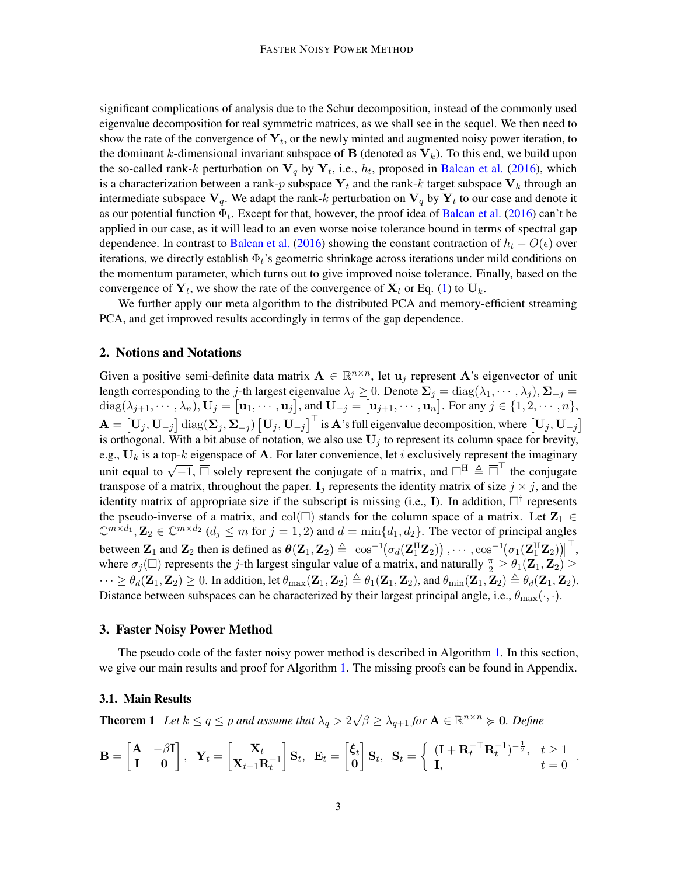significant complications of analysis due to the Schur decomposition, instead of the commonly used eigenvalue decomposition for real symmetric matrices, as we shall see in the sequel. We then need to show the rate of the convergence of  $Y_t$ , or the newly minted and augmented noisy power iteration, to the dominant k-dimensional invariant subspace of **B** (denoted as  $V_k$ ). To this end, we build upon the so-called rank-k perturbation on  $V_q$  by  $Y_t$ , i.e.,  $h_t$ , proposed in [Balcan et al.](#page-11-0) [\(2016\)](#page-11-0), which is a characterization between a rank-p subspace  $Y_t$  and the rank-k target subspace  $V_k$  through an intermediate subspace  $V_q$ . We adapt the rank-k perturbation on  $V_q$  by  $Y_t$  to our case and denote it as our potential function  $\Phi_t$ . Except for that, however, the proof idea of [Balcan et al.](#page-11-0) [\(2016\)](#page-11-0) can't be applied in our case, as it will lead to an even worse noise tolerance bound in terms of spectral gap dependence. In contrast to [Balcan et al.](#page-11-0) [\(2016\)](#page-11-0) showing the constant contraction of  $h_t - O(\epsilon)$  over iterations, we directly establish  $\Phi_t$ 's geometric shrinkage across iterations under mild conditions on the momentum parameter, which turns out to give improved noise tolerance. Finally, based on the convergence of  $Y_t$ , we show the rate of the convergence of  $X_t$  or Eq. [\(1\)](#page-1-0) to  $U_k$ .

We further apply our meta algorithm to the distributed PCA and memory-efficient streaming PCA, and get improved results accordingly in terms of the gap dependence.

## <span id="page-2-1"></span>2. Notions and Notations

Given a positive semi-definite data matrix  $\mathbf{A} \in \mathbb{R}^{n \times n}$ , let  $\mathbf{u}_j$  represent A's eigenvector of unit length corresponding to the j-th largest eigenvalue  $\lambda_j \geq 0$ . Denote  $\Sigma_j = \text{diag}(\lambda_1, \dots, \lambda_j)$ ,  $\Sigma_{-j} =$  $\text{diag}(\lambda_{j+1},\cdots,\lambda_n), \mathbf{U}_j = \begin{bmatrix} \mathbf{u}_1,\cdots,\mathbf{u}_j \end{bmatrix}$ , and  $\mathbf{U}_{-j} = \begin{bmatrix} \mathbf{u}_{j+1},\cdots,\mathbf{u}_n \end{bmatrix}$ . For any  $j \in \{1,2,\cdots,n\}$ ,  $\mathbf{A} = [\mathbf{U}_j, \mathbf{U}_{-j}] \operatorname{diag}(\mathbf{\Sigma}_j, \mathbf{\Sigma}_{-j}) [\mathbf{U}_j, \mathbf{U}_{-j}]^\top$  is  $\mathbf{A}$ 's full eigenvalue decomposition, where  $[\mathbf{U}_j, \mathbf{U}_{-j}]$ is orthogonal. With a bit abuse of notation, we also use  $U_j$  to represent its column space for brevity, e.g.,  $U_k$  is a top-k eigenspace of A. For later convenience, let i exclusively represent the imaginary unit equal to  $\sqrt{-1}$ ,  $\overline{\Box}$  solely represent the conjugate of a matrix, and  $\Box^H \triangleq \overline{\Box}^T$  the conjugate transpose of a matrix, throughout the paper.  $I_i$  represents the identity matrix of size  $j \times j$ , and the identity matrix of appropriate size if the subscript is missing (i.e., I). In addition,  $\square^{\dagger}$  represents the pseudo-inverse of a matrix, and col( $\square$ ) stands for the column space of a matrix. Let  $\mathbb{Z}_1 \in$  $\mathbb{C}^{m \times d_1}, \mathbf{Z}_2 \in \mathbb{C}^{m \times d_2}$   $(d_j \leq m$  for  $j = 1, 2)$  and  $d = \min\{d_1, d_2\}$ . The vector of principal angles between  $\mathbf{Z}_1$  and  $\mathbf{Z}_2$  then is defined as  $\theta(\mathbf{Z}_1, \mathbf{Z}_2) \triangleq [\cos^{-1}(\sigma_d(\mathbf{Z}_1^H \mathbf{Z}_2))$ ,  $\cdots$ ,  $\cos^{-1}(\sigma_1(\mathbf{Z}_1^H \mathbf{Z}_2))]^\top$ , where  $\sigma_j(\Box)$  represents the j-th largest singular value of a matrix, and naturally  $\frac{\pi}{2} \geq \theta_1(\mathbf{Z}_1, \mathbf{Z}_2) \geq$  $\cdots \geq \theta_d(\mathbf{Z}_1, \mathbf{Z}_2) \geq 0$ . In addition, let  $\theta_{\text{max}}(\mathbf{Z}_1, \mathbf{Z}_2) \triangleq \theta_1(\mathbf{Z}_1, \mathbf{Z}_2)$ , and  $\theta_{\text{min}}(\mathbf{Z}_1, \mathbf{Z}_2) \triangleq \theta_d(\mathbf{Z}_1, \mathbf{Z}_2)$ . Distance between subspaces can be characterized by their largest principal angle, i.e.,  $\theta_{\text{max}}(\cdot, \cdot)$ .

#### 3. Faster Noisy Power Method

The pseudo code of the faster noisy power method is described in Algorithm [1.](#page-3-0) In this section, we give our main results and proof for Algorithm [1.](#page-3-0) The missing proofs can be found in Appendix.

## 3.1. Main Results

<span id="page-2-0"></span>**Theorem 1** Let  $k \le q \le p$  and assume that  $\lambda_q > 2$  $\sqrt{\beta} \geq \lambda_{q+1}$  for  $A \in \mathbb{R}^{n \times n} \succcurlyeq 0$ *. Define* 

$$
\mathbf{B} = \begin{bmatrix} \mathbf{A} & -\beta \mathbf{I} \\ \mathbf{I} & \mathbf{0} \end{bmatrix}, \quad \mathbf{Y}_t = \begin{bmatrix} \mathbf{X}_t \\ \mathbf{X}_{t-1} \mathbf{R}_t^{-1} \end{bmatrix} \mathbf{S}_t, \quad \mathbf{E}_t = \begin{bmatrix} \boldsymbol{\xi}_t \\ \mathbf{0} \end{bmatrix} \mathbf{S}_t, \quad \mathbf{S}_t = \begin{cases} (\mathbf{I} + \mathbf{R}_t^{-\top} \mathbf{R}_t^{-1})^{-\frac{1}{2}}, & t \ge 1 \\ \mathbf{I}, & t = 0 \end{cases}
$$

.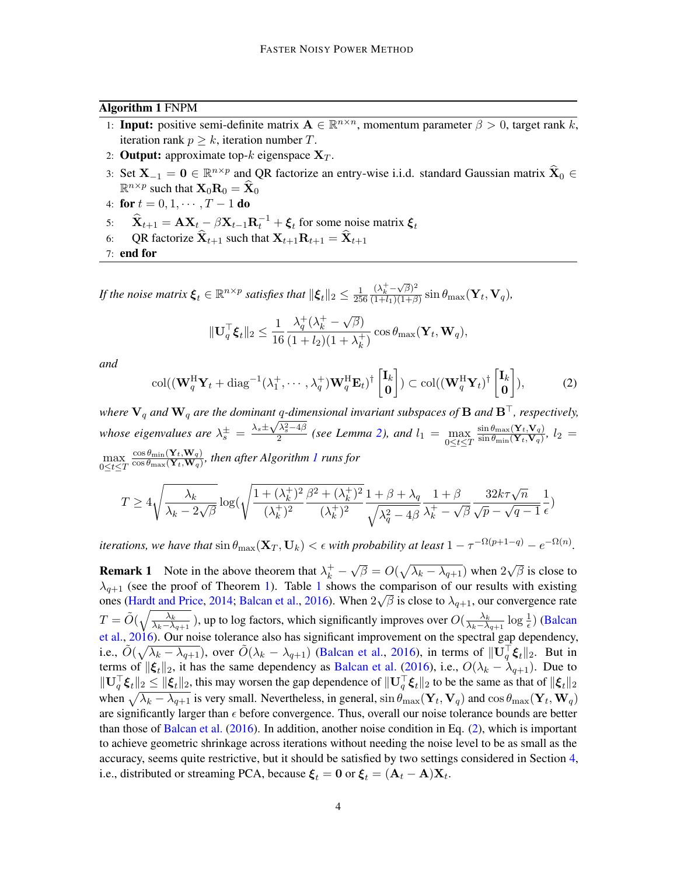#### Algorithm 1 FNPM

- <span id="page-3-0"></span>1: **Input:** positive semi-definite matrix  $A \in \mathbb{R}^{n \times n}$ , momentum parameter  $\beta > 0$ , target rank k, iteration rank  $p \geq k$ , iteration number T.
- 2: **Output:** approximate top-k eigenspace  $X_T$ .
- 3: Set  $X_{-1} = 0 \in \mathbb{R}^{n \times p}$  and QR factorize an entry-wise i.i.d. standard Gaussian matrix  $\hat{X}_0 \in \mathbb{R}^{n \times p}$  $\mathbb{R}^{n \times p}$  such that  $\mathbf{X}_0 \mathbf{R}_0 = \mathbf{\widehat{X}}_0$
- 4: for  $t = 0, 1, \cdots, T 1$  do
- 5:  $\hat{\mathbf{X}}_{t+1} = \mathbf{A} \mathbf{X}_{t} \beta \mathbf{X}_{t-1} \mathbf{R}_{t}^{-1} + \boldsymbol{\xi}_{t}$  for some noise matrix  $\boldsymbol{\xi}_{t}$
- 6: QR factorize  $\widehat{\mathbf{X}}_{t+1}$  such that  $\mathbf{X}_{t+1}\mathbf{R}_{t+1} = \widehat{\mathbf{X}}_{t+1}$

7: end for

*If the noise matrix*  $\boldsymbol{\xi}_t \in \mathbb{R}^{n \times p}$  *satisfies that*  $\|\boldsymbol{\xi}_t\|_2 \leq \frac{1}{25}$ 256  $(\lambda_k^+ - \sqrt{\beta})^2$  $\frac{(\lambda_k - \sqrt{\rho})}{(1+l_1)(1+\beta)} \sin \theta_{\text{max}} (\mathbf{Y}_t, \mathbf{V}_q),$ 

$$
\|\mathbf{U}_q^{\top}\boldsymbol{\xi}_t\|_2 \leq \frac{1}{16} \frac{\lambda_q^+(\lambda_k^+ - \sqrt{\beta})}{(1+l_2)(1+\lambda_k^+)} \cos \theta_{\max}(\mathbf{Y}_t, \mathbf{W}_q),
$$

*and*

<span id="page-3-1"></span>
$$
\operatorname{col}((\mathbf{W}_{q}^{\mathrm{H}}\mathbf{Y}_{t}+\operatorname{diag}^{-1}(\lambda_{1}^{+},\cdots,\lambda_{q}^{+})\mathbf{W}_{q}^{\mathrm{H}}\mathbf{E}_{t})^{\dagger}\begin{bmatrix}\mathbf{I}_{k} \\ \mathbf{0}\end{bmatrix}) \subset \operatorname{col}((\mathbf{W}_{q}^{\mathrm{H}}\mathbf{Y}_{t})^{\dagger}\begin{bmatrix}\mathbf{I}_{k} \\ \mathbf{0}\end{bmatrix}),
$$
(2)

*where*  $V_q$  *and*  $W_q$  *are the dominant*  $q$ -dimensional invariant subspaces of **B** *and* **B**<sup>⊤</sup>, *respectively,* whose eigenvalues are  $\lambda_s^{\pm} = \frac{\lambda_s \pm \sqrt{\lambda_s^2 - 4 \beta_s^2}}{2}$  $\frac{\lambda_{\overline{s}}-4\mu}{2}$  (see Lemma [2\)](#page-5-0), and  $l_1 = \max_{0 \leq t \leq T}$  $\sin \theta_\text{max}(\mathbf{Y}_t,\mathbf{V}_q)$  $\frac{\sin \theta_{\max}(\mathbf{Y}_t, \mathbf{V}_q)}{\sin \theta_{\min}(\mathbf{Y}_t, \mathbf{V}_q)}, l_2 =$ max<br> $0 \le t \le T$  $\cos\theta_{\rm min}(\mathbf{Y}_t,\mathbf{W}_q)$  $\frac{\cos \theta_{\min}(\mathbf{r}_t, \mathbf{w}_q)}{\cos \theta_{\max}(\mathbf{Y}_t, \mathbf{W}_q)}$ , then after Algorithm [1](#page-3-0) runs for

$$
T \geq 4\sqrt{\frac{\lambda_k}{\lambda_k-2\sqrt{\beta}}}\log(\sqrt{\frac{1+(\lambda_k^+)^2}{(\lambda_k^+)^2}\frac{\beta^2+(\lambda_k^+)^2}{(\lambda_k^+)^2}}\frac{1+\beta+\lambda_q}{\sqrt{\lambda_q^2-4\beta}}\frac{1+\beta}{\lambda_k^+ - \sqrt{\beta}}\frac{32k\tau\sqrt{n}}{\sqrt{p}-\sqrt{q-1}}\frac{1}{\epsilon})
$$

*iterations, we have that*  $\sin \theta_{\text{max}}(\mathbf{X}_T, \mathbf{U}_k) < \epsilon$  *with probability at least*  $1 - \tau^{-\Omega(p+1-q)} - e^{-\Omega(n)}$ *.* 

**Remark 1** Note in the above theorem that  $\lambda_k^+$  – √  $\overline{\beta} = O(\sqrt{\lambda_k - \lambda_{q+1}})$  when 2 √  $\overline{\beta}$  is close to  $\lambda_{q+1}$  $\lambda_{q+1}$  $\lambda_{q+1}$  (see the proof of Theorem [1\)](#page-2-0). Table 1 shows the comparison of our results with existing ones [\(Hardt and Price,](#page-12-0) [2014;](#page-12-0) [Balcan et al.,](#page-11-0) [2016\)](#page-11-0). When  $2\sqrt{\beta}$  is close to  $\lambda_{q+1}$ , our convergence rate  $T = \tilde{O}(\sqrt{\frac{\lambda_k}{\lambda_k - \lambda}})$  $\frac{\lambda_k}{\lambda_k-\lambda_{q+1}}$ ), up to log factors, which significantly improves over  $O(\frac{\lambda_k}{\lambda_k-\lambda_q})$  $\frac{\lambda_k}{\lambda_k - \lambda_{q+1}} \log \frac{1}{\epsilon}$ ) [\(Balcan](#page-11-0) [et al.,](#page-11-0) [2016\)](#page-11-0). Our noise tolerance also has significant improvement on the spectral gap dependency, i.e.,  $\tilde{O}(\sqrt{\lambda_k - \lambda_{q+1}})$ , over  $\tilde{O}(\lambda_k - \lambda_{q+1})$  [\(Balcan et al.,](#page-11-0) [2016\)](#page-11-0), in terms of  $\|\mathbf{U}_q^{\top} \boldsymbol{\xi}_t\|_2$ . But in terms of  $\|\xi_t\|_2$ , it has the same dependency as [Balcan et al.](#page-11-0) [\(2016\)](#page-11-0), i.e.,  $O(\lambda_k - \lambda_{q+1})$ . Due to  $\|\mathbf{U}_q^{\top}\boldsymbol{\xi}_t\|_2 \leq \|\boldsymbol{\xi}_t\|_2$ , this may worsen the gap dependence of  $\|\mathbf{U}_q^{\top}\boldsymbol{\xi}_t\|_2$  to be the same as that of  $\|\boldsymbol{\xi}_t\|_2$ when  $\sqrt{\lambda_k - \lambda_{q+1}}$  is very small. Nevertheless, in general,  $\sin \theta_{\text{max}}(\mathbf{Y}_t, \mathbf{V}_q)$  and  $\cos \theta_{\text{max}}(\mathbf{Y}_t, \mathbf{W}_q)$ are significantly larger than  $\epsilon$  before convergence. Thus, overall our noise tolerance bounds are better than those of [Balcan et al.](#page-11-0) [\(2016\)](#page-11-0). In addition, another noise condition in Eq. [\(2\)](#page-3-1), which is important to achieve geometric shrinkage across iterations without needing the noise level to be as small as the accuracy, seems quite restrictive, but it should be satisfied by two settings considered in Section [4,](#page-9-0) i.e., distributed or streaming PCA, because  $\xi_t = 0$  or  $\xi_t = (A_t - A)X_t$ .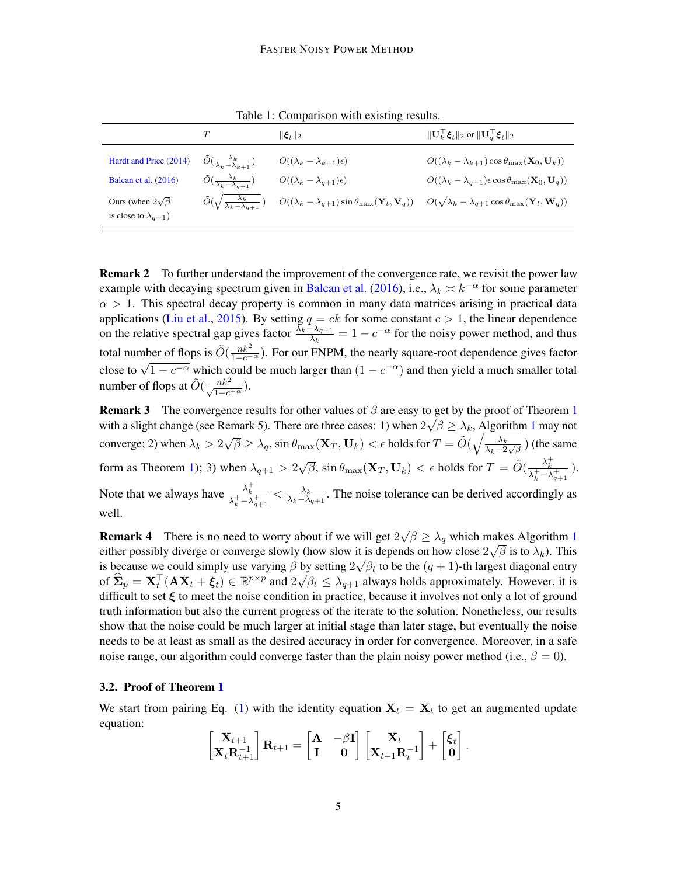<span id="page-4-0"></span>

|                                                               | T                                                        | $\ \boldsymbol{\xi}_t\ _2$               | $\ \mathbf{U}_k^{\top}\boldsymbol{\xi}_t\ _2$ or $\ \mathbf{U}_q^{\top}\boldsymbol{\xi}_t\ _2$                                                                                                                                       |
|---------------------------------------------------------------|----------------------------------------------------------|------------------------------------------|--------------------------------------------------------------------------------------------------------------------------------------------------------------------------------------------------------------------------------------|
| Hardt and Price (2014)                                        | $\tilde{O}(\frac{\lambda_k}{\lambda_k - \lambda_{k+1}})$ | $O((\lambda_k - \lambda_{k+1})\epsilon)$ | $O((\lambda_k - \lambda_{k+1}) \cos \theta_{\max}(\mathbf{X}_0, \mathbf{U}_k))$                                                                                                                                                      |
| Balcan et al. $(2016)$                                        | $\tilde{O}(\frac{\lambda_k}{\lambda_k - \lambda_{q+1}})$ | $O((\lambda_k - \lambda_{q+1})\epsilon)$ | $O((\lambda_k - \lambda_{q+1})\epsilon \cos \theta_{\max}(\mathbf{X}_0, \mathbf{U}_q))$                                                                                                                                              |
| Ours (when $2\sqrt{\beta}$ )<br>is close to $\lambda_{q+1}$ ) |                                                          |                                          | $\tilde{O}(\sqrt{\frac{\lambda_k}{\lambda_k - \lambda_{q+1}}})$ $O((\lambda_k - \lambda_{q+1}) \sin \theta_{\max}(\mathbf{Y}_t, \mathbf{V}_q))$ $O(\sqrt{\lambda_k - \lambda_{q+1}} \cos \theta_{\max}(\mathbf{Y}_t, \mathbf{W}_q))$ |

Table 1: Comparison with existing results.

**Remark 2** To further understand the improvement of the convergence rate, we revisit the power law example with decaying spectrum given in [Balcan et al.](#page-11-0) [\(2016\)](#page-11-0), i.e.,  $\lambda_k \times k^{-\alpha}$  for some parameter  $\alpha > 1$ . This spectral decay property is common in many data matrices arising in practical data applications [\(Liu et al.,](#page-12-4) [2015\)](#page-12-4). By setting  $q = ck$  for some constant  $c > 1$ , the linear dependence on the relative spectral gap gives factor  $\frac{\bar{\lambda}_k-\lambda_{q+1}}{\lambda_k}=1-c^{-\alpha}$  for the noisy power method, and thus total number of flops is  $\tilde{O}(\frac{nk^2}{1-c^{-\alpha}})$ . For our FNPM, the nearly square-root dependence gives factor close to  $\sqrt{1 - c^{-\alpha}}$  which could be much larger than  $(1 - c^{-\alpha})$  and then yield a much smaller total number of flops at  $\tilde{O}(\frac{nk^2}{\sqrt{1-c^{-\alpha}}}).$ 

**Remark 3** The convergence results for other values of  $\beta$  are easy to get by the proof of Theorem [1](#page-2-0) with a slight change (see Remark 5). There are three cases: [1](#page-3-0)) when  $2\sqrt{\beta} \geq \lambda_k$ , Algorithm 1 may not converge; 2) when  $\lambda_k > 2$  $\sqrt{\beta} \geq \lambda_q$ , sin  $\theta_{\text{max}}(\mathbf{X}_T, \mathbf{U}_k) < \epsilon$  holds for  $T = \tilde{O}(\sqrt{\frac{\lambda_k}{\lambda_q}})$  $\frac{\lambda_k}{\lambda_k - 2\sqrt{\beta}}$ ) (the same form as Theorem [1\)](#page-2-0); 3) when  $\lambda_{q+1} > 2$  $\sqrt{\beta}$ , sin  $\theta_{\max}(\mathbf{X}_T, \mathbf{U}_k) < \epsilon$  holds for  $T = \tilde{O}(\frac{\lambda_k^+}{\lambda_k^+ - \lambda_{q+1}^+})$ . Note that we always have  $\frac{\lambda_k^+}{\lambda_k^+ - \lambda_{q+1}^+} < \frac{\lambda_k}{\lambda_k - \lambda_{q+1}}$  $\frac{\lambda_k}{\lambda_k-\lambda_{q+1}}$ . The noise tolerance can be derived accordingly as well.

**Remark 4** There is no need to worry about if we will get 2 √  $\overline{\beta} \geq \lambda_q$  which makes Algorithm [1](#page-3-0) either possibly diverge or converge slowly (how slow it is depends on how close  $2\sqrt{\beta}$  is to  $\lambda_k$ ). This is because we could simply use varying  $\beta$  by setting  $2\sqrt{\beta_t}$  to be the  $(q + 1)$ -th largest diagonal entry of  $\widehat{\mathbf{\Sigma}}_p = \mathbf{X}_t^{\top}(\mathbf{A}\mathbf{X}_t + \boldsymbol{\xi}_t) \in \mathbb{R}^{p \times p}$  and  $2\sqrt{\beta_t} \leq \lambda_{q+1}$  always holds approximately. However, it is difficult to set  $\xi$  to meet the noise condition in practice, because it involves not only a lot of ground truth information but also the current progress of the iterate to the solution. Nonetheless, our results show that the noise could be much larger at initial stage than later stage, but eventually the noise needs to be at least as small as the desired accuracy in order for convergence. Moreover, in a safe noise range, our algorithm could converge faster than the plain noisy power method (i.e.,  $\beta = 0$ ).

## 3.2. Proof of Theorem [1](#page-2-0)

We start from pairing Eq. [\(1\)](#page-1-0) with the identity equation  $X_t = X_t$  to get an augmented update equation:

$$
\begin{bmatrix} \mathbf{X}_{t+1} \\ \mathbf{X}_t \mathbf{R}_{t+1}^{-1} \end{bmatrix} \mathbf{R}_{t+1} = \begin{bmatrix} \mathbf{A} & -\beta \mathbf{I} \\ \mathbf{I} & \mathbf{0} \end{bmatrix} \begin{bmatrix} \mathbf{X}_t \\ \mathbf{X}_{t-1} \mathbf{R}_t^{-1} \end{bmatrix} + \begin{bmatrix} \boldsymbol{\xi}_t \\ \mathbf{0} \end{bmatrix}.
$$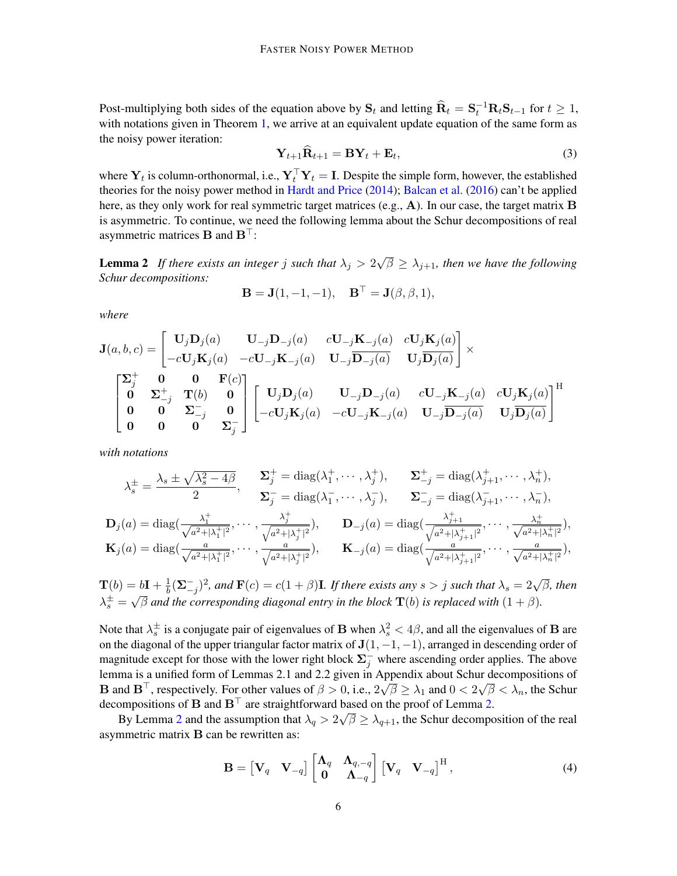Post-multiplying both sides of the equation above by  $S_t$  and letting  $\widehat{R}_t = S_t^{-1} R_t S_{t-1}$  for  $t \ge 1$ , with notations given in Theorem [1,](#page-2-0) we arrive at an equivalent update equation of the same form as the noisy power iteration:

<span id="page-5-2"></span>
$$
\mathbf{Y}_{t+1}\widehat{\mathbf{R}}_{t+1} = \mathbf{B}\mathbf{Y}_t + \mathbf{E}_t, \tag{3}
$$

where  $Y_t$  is column-orthonormal, i.e.,  $Y_t^\top Y_t = I$ . Despite the simple form, however, the established theories for the noisy power method in [Hardt and Price](#page-12-0) [\(2014\)](#page-12-0); [Balcan et al.](#page-11-0) [\(2016\)](#page-11-0) can't be applied here, as they only work for real symmetric target matrices (e.g.,  $\bf{A}$ ). In our case, the target matrix  $\bf{B}$ is asymmetric. To continue, we need the following lemma about the Schur decompositions of real asymmetric matrices **B** and  $\mathbf{B}^\top$ :

<span id="page-5-0"></span>**Lemma 2** If there exists an integer j such that  $\lambda_j > 2$ √  $\overline{\beta} \geq \lambda_{j+1}$ , then we have the following *Schur decompositions:*

$$
\mathbf{B} = \mathbf{J}(1, -1, -1), \quad \mathbf{B}^{\top} = \mathbf{J}(\beta, \beta, 1),
$$

*where*

$$
\mathbf{J}(a,b,c) = \begin{bmatrix} \mathbf{U}_j \mathbf{D}_j(a) & \mathbf{U}_{-j} \mathbf{D}_{-j}(a) & c \mathbf{U}_{-j} \mathbf{K}_{-j}(a) & c \mathbf{U}_j \mathbf{K}_j(a) \\ -c \mathbf{U}_j \mathbf{K}_j(a) & -c \mathbf{U}_{-j} \mathbf{K}_{-j}(a) & \mathbf{U}_{-j} \overline{\mathbf{D}_{-j}(a)} & \mathbf{U}_j \overline{\mathbf{D}_j(a)} \end{bmatrix} \times \begin{bmatrix} \Sigma_j^+ & \mathbf{0} & \mathbf{0} & \mathbf{F}(c) \\ \mathbf{0} & \Sigma_{-j}^+ & \mathbf{T}(b) & \mathbf{0} \\ \mathbf{0} & \mathbf{0} & \Sigma_{-j}^- & \mathbf{0} \\ \mathbf{0} & \mathbf{0} & \mathbf{0} & \Sigma_j^- \end{bmatrix} \begin{bmatrix} \mathbf{U}_j \mathbf{D}_j(a) & \mathbf{U}_{-j} \mathbf{D}_{-j}(a) & c \mathbf{U}_{-j} \mathbf{K}_{-j}(a) & c \mathbf{U}_j \mathbf{K}_j(a) \\ -c \mathbf{U}_j \mathbf{K}_j(a) & -c \mathbf{U}_{-j} \mathbf{K}_{-j}(a) & \mathbf{U}_{-j} \overline{\mathbf{D}_{-j}(a)} & \mathbf{U}_j \overline{\mathbf{D}_j(a)} \end{bmatrix}^{\mathrm{H}}
$$

*with notations*

$$
\lambda_s^{\pm} = \frac{\lambda_s \pm \sqrt{\lambda_s^2 - 4\beta}}{2}, \quad \frac{\Sigma_j^+}{\Sigma_j^-} = \text{diag}(\lambda_1^+, \cdots, \lambda_j^+), \quad \Sigma_{-j}^+ = \text{diag}(\lambda_{j+1}^+, \cdots, \lambda_n^+),
$$
  

$$
\Sigma_j^- = \text{diag}(\lambda_1^-, \cdots, \lambda_j^-), \quad \Sigma_{-j}^- = \text{diag}(\lambda_{j+1}^-, \cdots, \lambda_n^-),
$$
  

$$
\mathbf{D}_j(a) = \text{diag}(\frac{\lambda_1^+}{\sqrt{a^2 + |\lambda_1^+|^2}}, \cdots, \frac{\lambda_j^+}{\sqrt{a^2 + |\lambda_j^+|^2}}), \quad \mathbf{D}_{-j}(a) = \text{diag}(\frac{\lambda_{j+1}^+}{\sqrt{a^2 + |\lambda_{j+1}^+|^2}}, \cdots, \frac{\lambda_n^+}{\sqrt{a^2 + |\lambda_n^+|^2}}),
$$
  

$$
\mathbf{K}_j(a) = \text{diag}(\frac{a}{\sqrt{a^2 + |\lambda_1^+|^2}}, \cdots, \frac{a}{\sqrt{a^2 + |\lambda_j^+|^2}}), \quad \mathbf{K}_{-j}(a) = \text{diag}(\frac{a}{\sqrt{a^2 + |\lambda_{j+1}^+|^2}}, \cdots, \frac{a}{\sqrt{a^2 + |\lambda_n^+|^2}}),
$$

 $\mathbf{T}(b) = b\mathbf{I} + \frac{1}{b}$  $=\mathbf{b}\mathbf{I}+\frac{1}{b}(\mathbf{\Sigma}_{-j}^{-})^2$ , and  $\mathbf{F}(c)=c(1+\beta)\mathbf{I}$ . If there exists any  $s>j$  such that  $\lambda_s=2\sqrt{\beta}$ , then  $\lambda_s^{\pm} = \sqrt{\beta}$  and the corresponding diagonal entry in the block  $\mathbf{T}(b)$  is replaced with  $(1 + \beta)$ .

Note that  $\lambda_s^{\pm}$  is a conjugate pair of eigenvalues of **B** when  $\lambda_s^2 < 4\beta$ , and all the eigenvalues of **B** are on the diagonal of the upper triangular factor matrix of  $J(1, -1, -1)$ , arranged in descending order of magnitude except for those with the lower right block  $\Sigma_j^-$  where ascending order applies. The above lemma is a unified form of Lemmas 2.1 and 2.2 given in Appendix about Schur decompositions of **B** and  $B^{\top}$ , respectively. For other values of  $\beta > 0$ , i.e.,  $2\sqrt{\beta} \geq \lambda_1$  and  $0 < 2\sqrt{\beta} < \lambda_n$ , the Schur decompositions of **B** and  $\mathbf{B}^{\top}$  are straightforward based on the proof of Lemma [2.](#page-5-0)

By Lemma [2](#page-5-0) and the assumption that  $\lambda_q > 2\sqrt{\beta} \geq \lambda_{q+1}$ , the Schur decomposition of the real asymmetric matrix B can be rewritten as:

<span id="page-5-1"></span>
$$
\mathbf{B} = \begin{bmatrix} \mathbf{V}_q & \mathbf{V}_{-q} \end{bmatrix} \begin{bmatrix} \mathbf{\Lambda}_q & \mathbf{\Lambda}_{q,-q} \\ \mathbf{0} & \mathbf{\Lambda}_{-q} \end{bmatrix} \begin{bmatrix} \mathbf{V}_q & \mathbf{V}_{-q} \end{bmatrix}^{\mathrm{H}}, \tag{4}
$$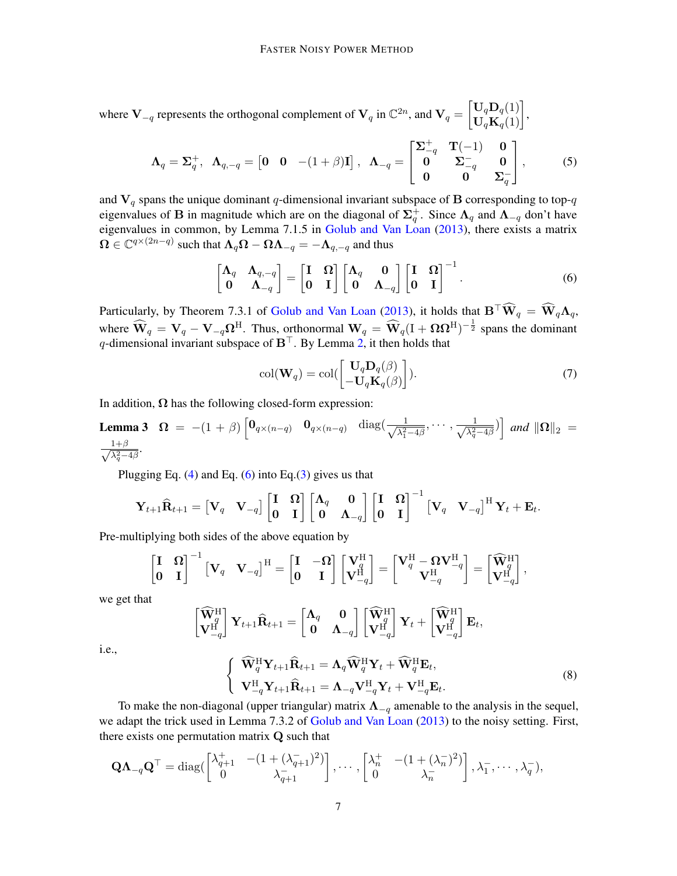where  $V_{-q}$  represents the orthogonal complement of  $V_q$  in  $\mathbb{C}^{2n}$ , and  $V_q = \begin{bmatrix} U_q \mathbf{D}_q(1) \\ U_q \mathbf{K}_q(1) \end{bmatrix}$ ,

<span id="page-6-4"></span>
$$
\Lambda_q = \Sigma_q^+, \quad \Lambda_{q,-q} = \begin{bmatrix} 0 & 0 & -(1+\beta)\mathbf{I} \end{bmatrix}, \quad \Lambda_{-q} = \begin{bmatrix} \Sigma_{-q}^+ & \mathbf{T}(-1) & 0 \\ 0 & \Sigma_{-q}^- & 0 \\ 0 & 0 & \Sigma_q^- \end{bmatrix}, \tag{5}
$$

and  $V_q$  spans the unique dominant q-dimensional invariant subspace of B corresponding to top-q eigenvalues of **B** in magnitude which are on the diagonal of  $\Sigma_q^+$ . Since  $\Lambda_q$  and  $\Lambda_{-q}$  don't have eigenvalues in common, by Lemma 7.1.5 in [Golub and Van Loan](#page-12-1) [\(2013\)](#page-12-1), there exists a matrix  $\mathbf{\Omega} \in \mathbb{C}^{q \times (2n-q)}$  such that  $\mathbf{\Lambda}_q \mathbf{\Omega} - \mathbf{\Omega} \mathbf{\Lambda}_{-q} = -\mathbf{\Lambda}_{q,-q}$  and thus

<span id="page-6-0"></span>
$$
\begin{bmatrix} \mathbf{\Lambda}_q & \mathbf{\Lambda}_{q,-q} \\ \mathbf{0} & \mathbf{\Lambda}_{-q} \end{bmatrix} = \begin{bmatrix} \mathbf{I} & \mathbf{\Omega} \\ \mathbf{0} & \mathbf{I} \end{bmatrix} \begin{bmatrix} \mathbf{\Lambda}_q & \mathbf{0} \\ \mathbf{0} & \mathbf{\Lambda}_{-q} \end{bmatrix} \begin{bmatrix} \mathbf{I} & \mathbf{\Omega} \\ \mathbf{0} & \mathbf{I} \end{bmatrix}^{-1}.
$$
 (6)

Particularly, by Theorem 7.3.1 of [Golub and Van Loan](#page-12-1) [\(2013\)](#page-12-1), it holds that  $\mathbf{B}^\top \widehat{\mathbf{W}}_q = \widehat{\mathbf{W}}_q \Lambda_q$ , where  $\widehat{\mathbf{W}}_q = \mathbf{V}_q - \mathbf{V}_{-q} \Omega^{\text{H}}$ . Thus, orthonormal  $\mathbf{W}_q = \widehat{\mathbf{W}}_q (I + \Omega \Omega^{\text{H}})^{-\frac{1}{2}}$  spans the dominant q-dimensional invariant subspace of  $B^{\top}$ . By Lemma [2,](#page-5-0) it then holds that

<span id="page-6-3"></span><span id="page-6-2"></span>
$$
col(\mathbf{W}_q) = col(\begin{bmatrix} \mathbf{U}_q \mathbf{D}_q(\beta) \\ -\mathbf{U}_q \mathbf{K}_q(\beta) \end{bmatrix}).
$$
\n(7)

In addition,  $\Omega$  has the following closed-form expression:

**Lemma 3** 
$$
\Omega = -(1+\beta) \begin{bmatrix} 0_{q \times (n-q)} & 0_{q \times (n-q)} & \text{diag}\left(\frac{1}{\sqrt{\lambda_1^2-4\beta}}, \cdots, \frac{1}{\sqrt{\lambda_q^2-4\beta}}\right) \end{bmatrix}
$$
 and  $\|\Omega\|_2 = \frac{1+\beta}{\sqrt{\lambda_q^2-4\beta}}$ .

Plugging Eq.  $(4)$  and Eq.  $(6)$  into Eq.  $(3)$  gives us that

$$
\mathbf{Y}_{t+1}\widehat{\mathbf{R}}_{t+1} = \begin{bmatrix} \mathbf{V}_q & \mathbf{V}_{-q} \end{bmatrix} \begin{bmatrix} \mathbf{I} & \mathbf{\Omega} \\ \mathbf{0} & \mathbf{I} \end{bmatrix} \begin{bmatrix} \mathbf{\Lambda}_q & \mathbf{0} \\ \mathbf{0} & \mathbf{\Lambda}_{-q} \end{bmatrix} \begin{bmatrix} \mathbf{I} & \mathbf{\Omega} \\ \mathbf{0} & \mathbf{I} \end{bmatrix}^{-1} \begin{bmatrix} \mathbf{V}_q & \mathbf{V}_{-q} \end{bmatrix}^{\mathrm{H}} \mathbf{Y}_t + \mathbf{E}_t.
$$

Pre-multiplying both sides of the above equation by

$$
\begin{bmatrix} \mathbf{I} & \mathbf{\Omega} \\ \mathbf{0} & \mathbf{I} \end{bmatrix}^{-1} \begin{bmatrix} \mathbf{V}_q & \mathbf{V}_{-q} \end{bmatrix}^{\mathrm{H}} = \begin{bmatrix} \mathbf{I} & -\mathbf{\Omega} \\ \mathbf{0} & \mathbf{I} \end{bmatrix} \begin{bmatrix} \mathbf{V}_q^{\mathrm{H}} \\ \mathbf{V}_{-q}^{\mathrm{H}} \end{bmatrix} = \begin{bmatrix} \mathbf{V}_q^{\mathrm{H}} - \mathbf{\Omega} \mathbf{V}_{-q}^{\mathrm{H}} \\ \mathbf{V}_{-q}^{\mathrm{H}} \end{bmatrix} = \begin{bmatrix} \widehat{\mathbf{W}}_q^{\mathrm{H}} \\ \mathbf{V}_{-q}^{\mathrm{H}} \end{bmatrix},
$$

we get that

$$
\begin{bmatrix} \widehat{\mathbf{W}}_q^{\mathrm{H}} \\ \mathbf{V}_{-q}^{\mathrm{H}} \end{bmatrix} \mathbf{Y}_{t+1} \widehat{\mathbf{R}}_{t+1} = \begin{bmatrix} \mathbf{\Lambda}_q & \mathbf{0} \\ \mathbf{0} & \mathbf{\Lambda}_{-q} \end{bmatrix} \begin{bmatrix} \widehat{\mathbf{W}}_q^{\mathrm{H}} \\ \mathbf{V}_{-q}^{\mathrm{H}} \end{bmatrix} \mathbf{Y}_{t} + \begin{bmatrix} \widehat{\mathbf{W}}_q^{\mathrm{H}} \\ \mathbf{V}_{-q}^{\mathrm{H}} \end{bmatrix} \mathbf{E}_t,
$$

i.e.,

<span id="page-6-1"></span>
$$
\begin{cases} \n\widehat{\mathbf{W}}_q^{\mathrm{H}} \mathbf{Y}_{t+1} \widehat{\mathbf{R}}_{t+1} = \mathbf{\Lambda}_q \widehat{\mathbf{W}}_q^{\mathrm{H}} \mathbf{Y}_t + \widehat{\mathbf{W}}_q^{\mathrm{H}} \mathbf{E}_t, \\ \n\mathbf{V}_{-q}^{\mathrm{H}} \mathbf{Y}_{t+1} \widehat{\mathbf{R}}_{t+1} = \mathbf{\Lambda}_{-q} \mathbf{V}_{-q}^{\mathrm{H}} \mathbf{Y}_t + \mathbf{V}_{-q}^{\mathrm{H}} \mathbf{E}_t. \n\end{cases} \tag{8}
$$

To make the non-diagonal (upper triangular) matrix  $\Lambda_{-q}$  amenable to the analysis in the sequel, we adapt the trick used in Lemma 7.3.2 of [Golub and Van Loan](#page-12-1) [\(2013\)](#page-12-1) to the noisy setting. First, there exists one permutation matrix Q such that

$$
\mathbf{Q}\mathbf{\Lambda}_{-q}\mathbf{Q}^{\top} = \text{diag}\begin{bmatrix} \lambda_{q+1}^+ & -(1+(\lambda_{q+1}^-)^2) \\ 0 & \lambda_{q+1}^- \end{bmatrix}, \cdots, \begin{bmatrix} \lambda_n^+ & -(1+(\lambda_n^-)^2) \\ 0 & \lambda_n^- \end{bmatrix}, \lambda_1^-, \cdots, \lambda_q^-,
$$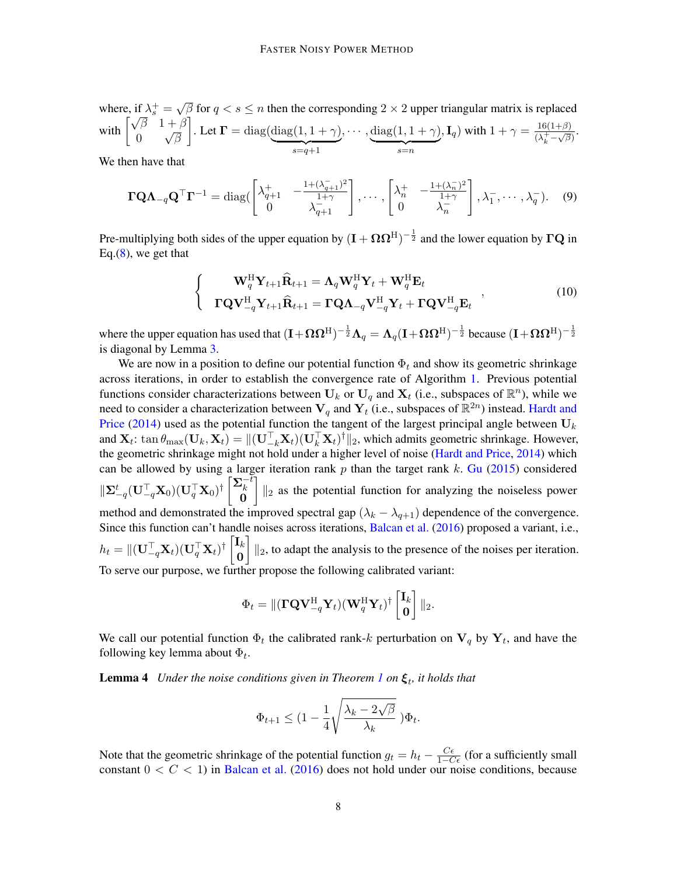where, if  $\lambda_s^+$  = √ where, if  $\lambda_s^+ = \sqrt{\beta}$  for  $q < s \le n$  then the corresponding  $2 \times 2$  upper triangular matrix is replaced<br>with  $\begin{bmatrix} \sqrt{\beta} & 1+\beta \\ 0 & \sqrt{\beta} \end{bmatrix}$ . Let  $\Gamma = \text{diag}(\text{diag}(1, 1 + \gamma), \cdots, \text{diag}(1, 1 + \gamma), \mathbf{I}_q)$  with  $1 + \gamma = \frac{16(1+\beta)}{(1+\$ 0 √ β . Let  $\Gamma = \text{diag}(\text{diag}(1, 1 + \gamma))$  $s=q+1$  $, \cdots, diag(1, 1 + \gamma)$  $s=n$  $\mathbf{I}_{q}$ ) with  $1 + \gamma = \frac{16(1+\beta)}{(1+\beta)^2}$  $\frac{10(1+\beta)}{(\lambda_k^+ - \sqrt{\beta})}$ 

We then have that

<span id="page-7-2"></span>
$$
\mathbf{\Gamma Q}\mathbf{\Lambda}_{-q}\mathbf{Q}^{\top}\mathbf{\Gamma}^{-1} = \text{diag}\begin{pmatrix} \lambda_{q+1}^{+} & -\frac{1+(\lambda_{q+1}^{-})^2}{1+\gamma} \\ 0 & \lambda_{q+1}^{-} \end{pmatrix}, \cdots, \begin{bmatrix} \lambda_n^{+} & -\frac{1+(\lambda_n^{-})^2}{1+\gamma} \\ 0 & \lambda_n^{-} \end{bmatrix}, \lambda_1^{-}, \cdots, \lambda_q^{-} \end{pmatrix}.
$$
 (9)

Pre-multiplying both sides of the upper equation by  $(I + \Omega \Omega^H)^{-\frac{1}{2}}$  and the lower equation by  $\Gamma Q$  in Eq. $(8)$ , we get that

<span id="page-7-1"></span>
$$
\begin{cases}\n\mathbf{W}_{q}^{\mathrm{H}}\mathbf{Y}_{t+1}\hat{\mathbf{R}}_{t+1} = \mathbf{\Lambda}_{q}\mathbf{W}_{q}^{\mathrm{H}}\mathbf{Y}_{t} + \mathbf{W}_{q}^{\mathrm{H}}\mathbf{E}_{t} \\
\mathbf{\Gamma}\mathbf{Q}\mathbf{V}_{-q}^{\mathrm{H}}\mathbf{Y}_{t+1}\hat{\mathbf{R}}_{t+1} = \mathbf{\Gamma}\mathbf{Q}\mathbf{\Lambda}_{-q}\mathbf{V}_{-q}^{\mathrm{H}}\mathbf{Y}_{t} + \mathbf{\Gamma}\mathbf{Q}\mathbf{V}_{-q}^{\mathrm{H}}\mathbf{E}_{t}\n\end{cases} (10)
$$

where the upper equation has used that  $(I + \Omega \Omega^H)^{-\frac{1}{2}} \Lambda_q = \Lambda_q (I + \Omega \Omega^H)^{-\frac{1}{2}}$  because  $(I + \Omega \Omega^H)^{-\frac{1}{2}}$ is diagonal by Lemma [3.](#page-6-2)

We are now in a position to define our potential function  $\Phi_t$  and show its geometric shrinkage across iterations, in order to establish the convergence rate of Algorithm [1.](#page-3-0) Previous potential functions consider characterizations between  $U_k$  or  $U_q$  and  $X_t$  (i.e., subspaces of  $\mathbb{R}^n$ ), while we need to consider a characterization between  $V_q$  and  $Y_t$  (i.e., subspaces of  $\mathbb{R}^{2n}$ ) instead. [Hardt and](#page-12-0) [Price](#page-12-0) [\(2014\)](#page-12-0) used as the potential function the tangent of the largest principal angle between  $U_k$ and  $\mathbf{X}_t$ : tan  $\theta_{\text{max}}(\mathbf{U}_k, \mathbf{X}_t) = ||(\mathbf{U}_{-k}^\top \mathbf{X}_t)(\mathbf{U}_k^\top \mathbf{X}_t)^{\dagger}||_2$ , which admits geometric shrinkage. However, the geometric shrinkage might not hold under a higher level of noise [\(Hardt and Price,](#page-12-0) [2014\)](#page-12-0) which can be allowed by using a larger iteration rank  $p$  than the target rank  $k$ . [Gu](#page-12-10) [\(2015\)](#page-12-10) considered  $\Vert \mathbf{\Sigma}^t_{-q}(\mathbf{U}_{-q}^\top \mathbf{X}_0)(\mathbf{U}_q^\top \mathbf{X}_0)^\dagger \begin{bmatrix} \mathbf{\Sigma}_k^{-\bar{t}} \ 0 \end{bmatrix}$  $\overset{k}{0}$  $\left|\right|_{2}$  as the potential function for analyzing the noiseless power method and demonstrated the improved spectral gap  $(\lambda_k - \lambda_{q+1})$  dependence of the convergence. Since this function can't handle noises across iterations, [Balcan et al.](#page-11-0) [\(2016\)](#page-11-0) proposed a variant, i.e.,  $h_t = \|(\mathbf{U}_{-q}^{\top} \mathbf{X}_t)(\mathbf{U}_q^{\top} \mathbf{X}_t)^{\dagger}\begin{bmatrix} \mathbf{I}_k \ \mathbf{0} \end{bmatrix}$ 0  $\left] \right\|_2$ , to adapt the analysis to the presence of the noises per iteration. To serve our purpose, we further propose the following calibrated variant:

<span id="page-7-0"></span>
$$
\Phi_t = \|(\mathbf{\Gamma}\mathbf{Q}\mathbf{V}_{-q}^{\mathrm{H}}\mathbf{Y}_t)(\mathbf{W}_q^{\mathrm{H}}\mathbf{Y}_t)^{\dagger}\begin{bmatrix}\mathbf{I}_k\\ \mathbf{0}\end{bmatrix}\|_2.
$$

We call our potential function  $\Phi_t$  the calibrated rank-k perturbation on  $V_q$  by  $Y_t$ , and have the following key lemma about  $\Phi_t$ .

**Lemma 4** *Under the noise conditions given in Theorem [1](#page-2-0) on*  $\xi_t$ , *it holds that* 

$$
\Phi_{t+1} \leq (1 - \frac{1}{4} \sqrt{\frac{\lambda_k - 2\sqrt{\beta}}{\lambda_k}} ) \Phi_t.
$$

Note that the geometric shrinkage of the potential function  $g_t = h_t - \frac{C\epsilon}{1 - C\epsilon}$  (for a sufficiently small constant  $0 < C < 1$ ) in [Balcan et al.](#page-11-0) [\(2016\)](#page-11-0) does not hold under our noise conditions, because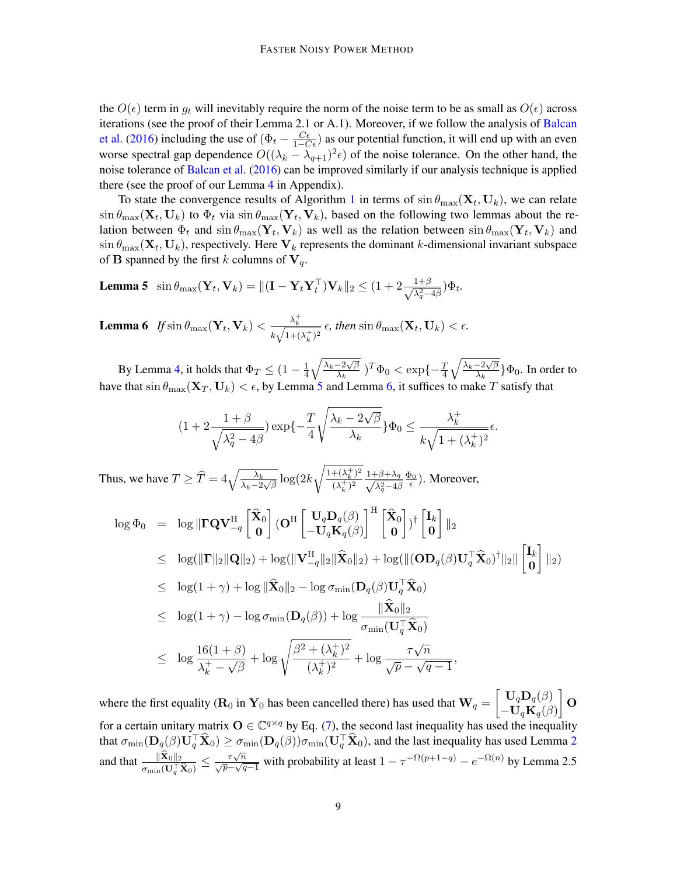the  $O(\epsilon)$  term in  $g_t$  will inevitably require the norm of the noise term to be as small as  $O(\epsilon)$  across iterations (see the proof of their Lemma 2.1 or A.1). Moreover, if we follow the analysis of [Balcan](#page-11-0) [et al.](#page-11-0) [\(2016\)](#page-11-0) including the use of  $(\Phi_t - \frac{C\epsilon}{1-C\epsilon})$  as our potential function, it will end up with an even worse spectral gap dependence  $O((\lambda_k - \lambda_{q+1})^2 \epsilon)$  of the noise tolerance. On the other hand, the noise tolerance of [Balcan et al.](#page-11-0) [\(2016\)](#page-11-0) can be improved similarly if our analysis technique is applied there (see the proof of our Lemma [4](#page-7-0) in Appendix).

To state the convergence results of Algorithm [1](#page-3-0) in terms of  $\sin \theta_{\text{max}}(\mathbf{X}_t, \mathbf{U}_k)$ , we can relate  $\sin \theta_{\text{max}}(\mathbf{X}_t, \mathbf{U}_k)$  to  $\Phi_t$  via  $\sin \theta_{\text{max}}(\mathbf{Y}_t, \mathbf{V}_k)$ , based on the following two lemmas about the relation between  $\Phi_t$  and  $\sin \theta_{\text{max}} (\mathbf{Y}_t, \mathbf{V}_k)$  as well as the relation between  $\sin \theta_{\text{max}} (\mathbf{Y}_t, \mathbf{V}_k)$  and  $\sin \theta_{\text{max}}(\mathbf{X}_t, \mathbf{U}_k)$ , respectively. Here  $\mathbf{V}_k$  represents the dominant k-dimensional invariant subspace of **B** spanned by the first k columns of  $V_q$ .

**Lemma 5** sin  $\theta_{\text{max}}(\mathbf{Y}_t, \mathbf{V}_k) = \| (\mathbf{I} - \mathbf{Y}_t \mathbf{Y}_t^\top) \mathbf{V}_k \|_2 \leq (1 + 2 \frac{1+\beta}{\sqrt{\lambda^2 - 1}})$  $\frac{1+\beta}{\lambda_q^2-4\beta}$ ) $\Phi_t$ .

<span id="page-8-1"></span>**Lemma 6** If  $\sin \theta_{\text{max}}(\mathbf{Y}_t, \mathbf{V}_k) < \frac{\lambda_k^+}{\sqrt{N}}$  $\frac{\lambda_k}{k\sqrt{1+(\lambda_k^+)^2}}$   $\epsilon$ , then  $\sin\theta_{\text{max}}(\mathbf{X}_t,\mathbf{U}_k) < \epsilon$ .

By Lemma [4,](#page-7-0) it holds that  $\Phi_T \leq (1 - \frac{1}{4})$  $\frac{1}{4}\sqrt{\frac{\lambda_k-2\sqrt{\beta}}{\lambda_k}}$  $\frac{-2\sqrt{\beta}}{\lambda_k}$ )<sup>T</sup> $\Phi_0 < \exp\{-\frac{T}{4}\sqrt{\frac{\lambda_k-2\sqrt{\beta}}{\lambda_k}}\}$  $\frac{-2\sqrt{\beta}}{\lambda_k}$  } $\Phi_0$ . In order to have that  $\sin \theta_{\max}(\mathbf{X}_T, \mathbf{U}_k) < \epsilon$ , by Lemma [5](#page-8-0) and Lemma [6,](#page-8-1) it suffices to make  $T$  satisfy that

<span id="page-8-0"></span>
$$
(1+2\frac{1+\beta}{\sqrt{\lambda_q^2-4\beta}})\exp\{-\frac{T}{4}\sqrt{\frac{\lambda_k-2\sqrt{\beta}}{\lambda_k}}\}\Phi_0 \leq \frac{\lambda_k^+}{k\sqrt{1+(\lambda_k^+)^2}}\epsilon.
$$

Thus, we have  $T \geq \widehat{T} = 4 \sqrt{\frac{\lambda_k}{\lambda_k - 2\sqrt{\beta}}} \log(2k)$  $\sqrt{1+(\lambda_k^+)^2}$  $\frac{+(\lambda_k^+)^2}{(\lambda_k^+)^2} \frac{1+\beta+\lambda_q}{\sqrt{\lambda_q^2-4\beta}}$  $\lambda_q^2 - 4\beta$  $\frac{\Phi_0}{\epsilon}$ ). Moreover,

$$
\log \Phi_0 = \log \|\mathbf{\Gamma} \mathbf{Q} \mathbf{V}_{-q}^{\mathrm{H}} \begin{bmatrix} \hat{\mathbf{X}}_0 \\ \mathbf{0} \end{bmatrix} (\mathbf{O}^{\mathrm{H}} \begin{bmatrix} \mathbf{U}_q \mathbf{D}_q(\beta) \\ -\mathbf{U}_q \mathbf{K}_q(\beta) \end{bmatrix}^{\mathrm{H}} \begin{bmatrix} \hat{\mathbf{X}}_0 \\ \mathbf{0} \end{bmatrix})^{\dagger} \begin{bmatrix} \mathbf{I}_k \\ \mathbf{0} \end{bmatrix} \|_2
$$
  
\n
$$
\leq \log(\|\mathbf{\Gamma}\|_2 \|\mathbf{Q}\|_2) + \log(\|\mathbf{V}_{-q}^{\mathrm{H}}\|_2 \|\hat{\mathbf{X}}_0\|_2) + \log(\|(\mathbf{O} \mathbf{D}_q(\beta) \mathbf{U}_q^{\top} \hat{\mathbf{X}}_0)^{\dagger}\|_2 \|\begin{bmatrix} \mathbf{I}_k \\ \mathbf{0} \end{bmatrix} \|_2)
$$
  
\n
$$
\leq \log(1+\gamma) + \log \|\hat{\mathbf{X}}_0\|_2 - \log \sigma_{\min}(\mathbf{D}_q(\beta) \mathbf{U}_q^{\top} \hat{\mathbf{X}}_0)
$$
  
\n
$$
\leq \log(1+\gamma) - \log \sigma_{\min}(\mathbf{D}_q(\beta)) + \log \frac{\|\hat{\mathbf{X}}_0\|_2}{\sigma_{\min}(\mathbf{U}_q^{\top} \hat{\mathbf{X}}_0)}
$$
  
\n
$$
\leq \log \frac{16(1+\beta)}{\lambda_k^+ - \sqrt{\beta}} + \log \sqrt{\frac{\beta^2 + (\lambda_k^+)^2}{(\lambda_k^+)^2}} + \log \frac{\tau \sqrt{n}}{\sqrt{p} - \sqrt{q} - 1},
$$

where the first equality ( $\mathbf{R}_0$  in  $\mathbf{Y}_0$  has been cancelled there) has used that  $\mathbf{W}_q = \begin{bmatrix} \mathbf{U}_q \mathbf{D}_q(\beta) \\ \mathbf{I} \mathbf{I} \mathbf{K} \end{bmatrix}$  $-\mathbf{U}_q\mathbf{K}_q(\beta)$  $\big]_{\mathbf{0}}$ for a certain unitary matrix  $O \in \mathbb{C}^{q \times q}$  by Eq. [\(7\)](#page-6-3), the second last inequality has used the inequality that  $\sigma_{\min}(\mathbf{D}_q(\beta)\mathbf{U}_q^\top\widehat{\mathbf{X}}_0) \ge \sigma_{\min}(\mathbf{D}_q(\beta))\sigma_{\min}(\mathbf{U}_q^\top\widehat{\mathbf{X}}_0),$  and the last inequality has used Lemma [2](#page-5-0) and that  $\frac{\|\mathbf{X}_0\|_2}{\mathbf{X}_0\|\mathbf{X}_0\|_2}$  $\frac{\|\widehat{\mathbf{X}}_0\|_2}{\sigma_{\min}(\mathbf{U}_q^{\top}\widehat{\mathbf{X}}_0)} \leq \frac{\tau \sqrt{n}}{\sqrt{p}-\sqrt{q-1}}$  with probability at least  $1 - \tau^{-\Omega(p+1-q)} - e^{-\Omega(n)}$  by Lemma 2.5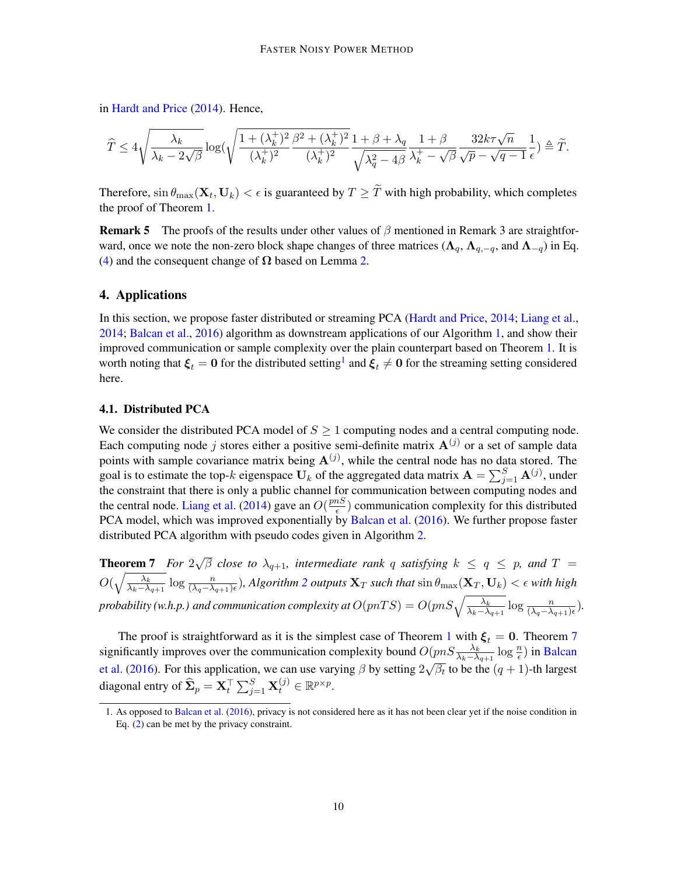in [Hardt and Price](#page-12-0) [\(2014\)](#page-12-0). Hence,

$$
\widehat T \leq 4\sqrt{\frac{\lambda_k}{\lambda_k-2\sqrt{\beta}}}\log(\sqrt{\frac{1+(\lambda_k^+)^2}{(\lambda_k^+)^2}\frac{\beta^2+(\lambda_k^+)^2}{(\lambda_k^+)^2}}\frac{1+\beta+\lambda_q}{\sqrt{\lambda_q^2-4\beta}}\frac{1+\beta}{\lambda_k^+ - \sqrt{\beta}}\frac{32k\tau\sqrt{n}}{\sqrt{p}-\sqrt{q-1}}\frac{1}{\epsilon})\triangleq \widetilde T.
$$

Therefore,  $\sin \theta_{\text{max}}(\mathbf{X}_t, \mathbf{U}_k) < \epsilon$  is guaranteed by  $T \geq T$  with high probability, which completes the proof of Theorem [1.](#page-2-0)

**Remark 5** The proofs of the results under other values of  $\beta$  mentioned in Remark 3 are straightforward, once we note the non-zero block shape changes of three matrices ( $\Lambda_q$ ,  $\Lambda_{q,-q}$ , and  $\Lambda_{-q}$ ) in Eq. [\(4\)](#page-5-1) and the consequent change of  $\Omega$  based on Lemma [2.](#page-5-0)

# <span id="page-9-0"></span>4. Applications

In this section, we propose faster distributed or streaming PCA [\(Hardt and Price,](#page-12-0) [2014;](#page-12-0) [Liang et al.,](#page-12-12) [2014;](#page-12-12) [Balcan et al.,](#page-11-0) [2016\)](#page-11-0) algorithm as downstream applications of our Algorithm [1,](#page-3-0) and show their improved communication or sample complexity over the plain counterpart based on Theorem [1.](#page-2-0) It is worth noting that  $\xi_t = 0$  for the distributed setting<sup>[1](#page-9-1)</sup> and  $\xi_t \neq 0$  for the streaming setting considered here.

### 4.1. Distributed PCA

We consider the distributed PCA model of  $S \geq 1$  computing nodes and a central computing node. Each computing node j stores either a positive semi-definite matrix  $A^{(j)}$  or a set of sample data points with sample covariance matrix being  $A^{(j)}$ , while the central node has no data stored. The goal is to estimate the top-k eigenspace  $U_k$  of the aggregated data matrix  $\mathbf{A} = \sum_{j=1}^S \mathbf{A}^{(j)}$ , under the constraint that there is only a public channel for communication between computing nodes and the central node. [Liang et al.](#page-12-12) [\(2014\)](#page-12-12) gave an  $O(\frac{p n S}{\epsilon})$  $\frac{nS}{\epsilon}$ ) communication complexity for this distributed PCA model, which was improved exponentially by [Balcan et al.](#page-11-0) [\(2016\)](#page-11-0). We further propose faster distributed PCA algorithm with pseudo codes given in Algorithm [2.](#page-10-0)

<span id="page-9-2"></span>Theorem 7 *For* 2 √  $\overline{\beta}$  *close to*  $\lambda_{q+1}$ , intermediate rank q satisfying  $k ~\leq~ q ~\leq~ p$ , and  $T ~=$  $O(\sqrt{\frac{\lambda_k}{\lambda_1-\lambda}})$  $\frac{\lambda_k}{\lambda_k-\lambda_{q+1}}\log\frac{n}{(\lambda_q-\lambda_{q+1})\epsilon}$ ), Algorithm [2](#page-10-0) outputs  $\mathbf{X}_T$  such that  $\sin\theta_{\text{max}}(\mathbf{X}_T,\mathbf{U}_k)<\epsilon$  with high probability (w.h.p.) and communication complexity at  $O(pnTS) = O(pnS\sqrt{\frac{\lambda_k}{\lambda_k-\lambda_{q+1}}}\log\frac{n}{(\lambda_q-\lambda_{q+1})\epsilon}).$ 

The proof is straightforward as it is the simplest case of Theorem [1](#page-2-0) with  $\xi_t = 0$ . Theorem [7](#page-9-2) significantly improves over the communication complexity bound  $O(pnS\frac{\lambda_k}{\lambda_k-\lambda_{q+1}}\log\frac{n}{\epsilon})$  in [Balcan](#page-11-0) [et al.](#page-11-0) [\(2016\)](#page-11-0). For this application, we can use varying  $\beta$  by setting  $2\sqrt{\beta_t}$  to be the  $(q+1)$ -th largest diagonal entry of  $\widehat{\mathbf{\Sigma}}_p = \mathbf{X}_t^\top \sum_{j=1}^S \mathbf{X}_t^{(j)} \in \mathbb{R}^{p \times p}$ .

<span id="page-9-1"></span><sup>1.</sup> As opposed to [Balcan et al.](#page-11-0) [\(2016\)](#page-11-0), privacy is not considered here as it has not been clear yet if the noise condition in Eq. [\(2\)](#page-3-1) can be met by the privacy constraint.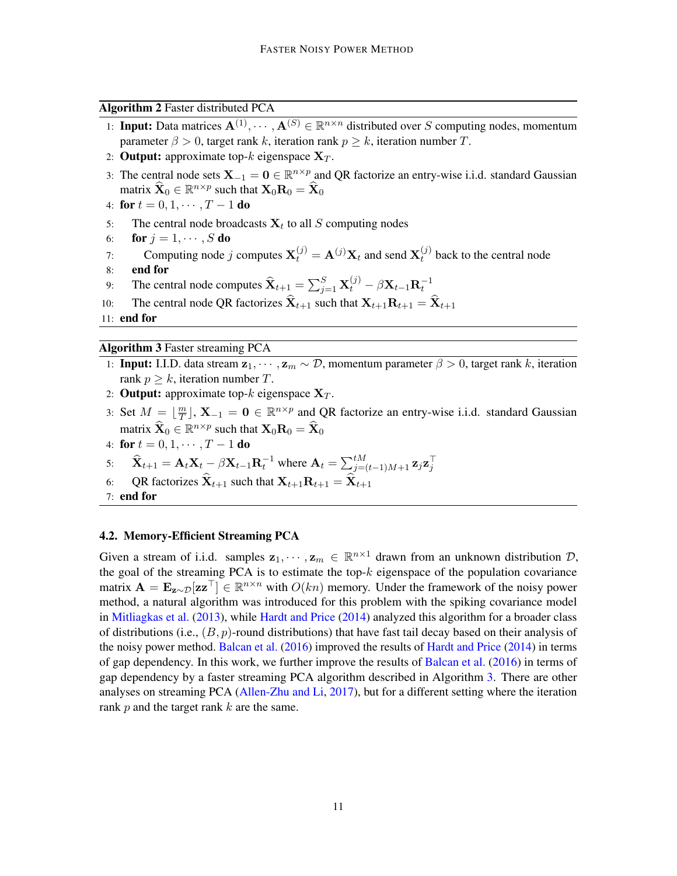Algorithm 2 Faster distributed PCA

- <span id="page-10-0"></span>1: **Input:** Data matrices  $A^{(1)}, \dots, A^{(S)} \in \mathbb{R}^{n \times n}$  distributed over S computing nodes, momentum parameter  $\beta > 0$ , target rank k, iteration rank  $p > k$ , iteration number T.
- 2: **Output:** approximate top-k eigenspace  $X_T$ .
- 3: The central node sets  $X_{-1} = 0 \in \mathbb{R}^{n \times p}$  and QR factorize an entry-wise i.i.d. standard Gaussian matrix  $\widehat{\mathbf{X}}_0 \in \mathbb{R}^{n \times p}$  such that  $\mathbf{X}_0 \mathbf{R}_0 = \widehat{\mathbf{X}}_0$
- 4: for  $t = 0, 1, \cdots, T 1$  do
- 5: The central node broadcasts  $X_t$  to all S computing nodes
- 6: for  $j = 1, \dots, S$  do
- 7: Computing node j computes  $\mathbf{X}_t^{(j)} = \mathbf{A}^{(j)} \mathbf{X}_t$  and send  $\mathbf{X}_t^{(j)}$  $t^{(J)}$  back to the central node 8: end for
- 9: The central node computes  $\widehat{\mathbf{X}}_{t+1} = \sum_{j=1}^{S} \mathbf{X}_t^{(j)} \beta \mathbf{X}_{t-1} \mathbf{R}_t^{-1}$
- 10: The central node QR factorizes  $\hat{\mathbf{X}}_{t+1}$  such that  $\mathbf{X}_{t+1}\mathbf{R}_{t+1} = \hat{\mathbf{X}}_{t+1}$

11: end for

Algorithm 3 Faster streaming PCA

- <span id="page-10-1"></span>1: Input: I.I.D. data stream  $z_1, \dots, z_m \sim \mathcal{D}$ , momentum parameter  $\beta > 0$ , target rank k, iteration rank  $p > k$ , iteration number T.
- 2: **Output:** approximate top- $k$  eigenspace  $X_T$ .
- 3: Set  $M = \lfloor \frac{m}{T} \rfloor$  $\frac{m}{T}$ ,  $X_{-1} = 0 \in \mathbb{R}^{n \times p}$  and QR factorize an entry-wise i.i.d. standard Gaussian matrix  $\widehat{\mathbf{X}}_0 \in \mathbb{R}^{n \times p}$  such that  $\mathbf{X}_0 \mathbf{R}_0 = \widehat{\mathbf{X}}_0$
- 4: for  $t = 0, 1, \cdots, T 1$  do
- 5:  $\widehat{\mathbf{X}}_{t+1} = \mathbf{A}_t \mathbf{X}_t \beta \mathbf{X}_{t-1} \mathbf{R}_t^{-1}$  where  $\mathbf{A}_t = \sum_{j=(t-1)M+1}^{tM} \mathbf{z}_j \mathbf{z}_j^{-1}$
- 6: QR factorizes  $\widehat{\mathbf{X}}_{t+1}$  such that  $\mathbf{X}_{t+1}\mathbf{R}_{t+1} = \widehat{\mathbf{X}}_{t+1}$
- 7: end for

## 4.2. Memory-Efficient Streaming PCA

Given a stream of i.i.d. samples  $z_1, \dots, z_m \in \mathbb{R}^{n \times 1}$  drawn from an unknown distribution  $\mathcal{D}$ , the goal of the streaming PCA is to estimate the top- $k$  eigenspace of the population covariance matrix  $\mathbf{A} = \mathbf{E}_{\mathbf{z} \sim \mathcal{D}}[\mathbf{z} \mathbf{z}^\top] \in \mathbb{R}^{n \times n}$  with  $O(kn)$  memory. Under the framework of the noisy power method, a natural algorithm was introduced for this problem with the spiking covariance model in [Mitliagkas et al.](#page-12-2) [\(2013\)](#page-12-2), while [Hardt and Price](#page-12-0) [\(2014\)](#page-12-0) analyzed this algorithm for a broader class of distributions (i.e.,  $(B, p)$ -round distributions) that have fast tail decay based on their analysis of the noisy power method. [Balcan et al.](#page-11-0)  $(2016)$  improved the results of [Hardt and Price](#page-12-0)  $(2014)$  in terms of gap dependency. In this work, we further improve the results of [Balcan et al.](#page-11-0) [\(2016\)](#page-11-0) in terms of gap dependency by a faster streaming PCA algorithm described in Algorithm [3.](#page-10-1) There are other analyses on streaming PCA [\(Allen-Zhu and Li,](#page-11-1) [2017\)](#page-11-1), but for a different setting where the iteration rank  $p$  and the target rank  $k$  are the same.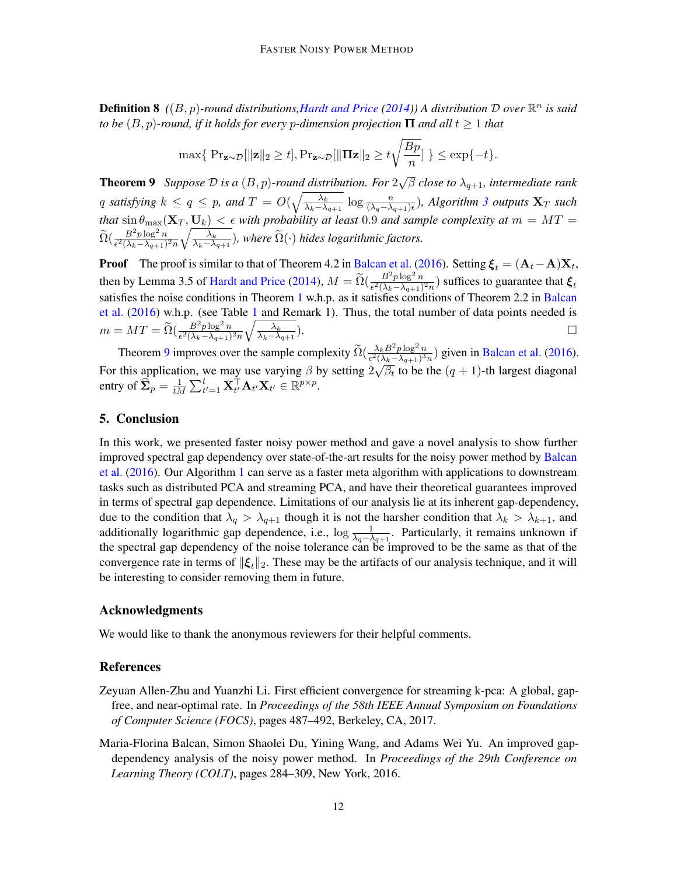Definition 8 *(*(B, p)*-round distributions[,Hardt and Price](#page-12-0) [\(2014\)](#page-12-0)) A distribution* D *over* R n *is said to be*  $(B, p)$ -round, if it holds for every *p*-dimension projection  $\Pi$  and all  $t \geq 1$  that

$$
\max\{ \Pr_{\mathbf{z} \sim \mathcal{D}}[\|\mathbf{z}\|_2 \ge t], \Pr_{\mathbf{z} \sim \mathcal{D}}[\|\mathbf{\Pi}\mathbf{z}\|_2 \ge t\sqrt{\frac{Bp}{n}}] \} \le \exp\{-t\}.
$$

<span id="page-11-2"></span>Theorem 9 *Suppose* D *is a* (B, p)*-round distribution. For* 2  $\overline{\beta}$  *close to*  $\lambda_{q+1}$ , intermediate rank q satisfying  $k \le q \le p$ , and  $T = O(\sqrt{\frac{\lambda_k}{\lambda_k - \lambda_k}})$  $\frac{\lambda_k}{\lambda_k - \lambda_{q+1}} \log \frac{n}{(\lambda_q - \lambda_{q+1})\epsilon}$ ), Algorithm [3](#page-10-1) outputs  $\mathbf{X}_T$  such *that*  $\sin \theta_{\text{max}}(\mathbf{X}_T, \mathbf{U}_k) < \epsilon$  with probability at least 0.9 and sample complexity at  $m = MT =$  $\widetilde{\Omega}(\frac{B^2p\log^2n}{\epsilon^2(\lambda_k-\lambda_{q+1})^2n}\sqrt{\frac{\lambda_k}{\lambda_k-\lambda}}$  $\frac{\lambda_k}{\lambda_k-\lambda_{q+1}}$ ), where  $\Omega(\cdot)$  hides logarithmic factors.

**Proof** The proof is similar to that of Theorem 4.2 in [Balcan et al.](#page-11-0) [\(2016\)](#page-11-0). Setting  $\xi_t = (A_t - A)X_t$ , then by Lemma 3.5 of [Hardt and Price](#page-12-0) [\(2014\)](#page-12-0),  $M = \tilde{\Omega}(\frac{B^2 p \log^2 n}{\epsilon^2 (\lambda_k - \lambda_{q+1})^2 n})$  suffices to guarantee that  $\xi_t$ satisfies the noise conditions in Theorem [1](#page-2-0) w.h.p. as it satisfies conditions of Theorem 2.2 in [Balcan](#page-11-0) [et al.](#page-11-0)  $(2016)$  w.h.p. (see Table [1](#page-4-0) and Remark 1). Thus, the total number of data points needed is  $m=MT=\widetilde{\Omega}(\frac{B^2p\log^2n}{\epsilon^2(\lambda_k-\lambda_{q+1})^2n}\sqrt{\frac{\lambda_k}{\lambda_k-\lambda_{q}}}$  $\overline{\lambda_k-\lambda_{q+1}}$ ).  $\Box$ 

Theorem [9](#page-11-2) improves over the sample complexity  $\widetilde{\Omega}(\frac{\lambda_k B^2 p \log^2 n}{\epsilon^2 (\lambda_k - \lambda_{q+1})^3 n})$  given in [Balcan et al.](#page-11-0) [\(2016\)](#page-11-0). For this application, we may use varying  $\beta$  by setting  $2\sqrt{\beta_t}$  to be the  $(q + 1)$ -th largest diagonal entry of  $\widehat{\boldsymbol{\Sigma}}_p = \frac{1}{t\lambda}$  $\frac{1}{tM}\sum_{t'=1}^t \mathbf{X}_{t'}^\top \mathbf{A}_{t'} \mathbf{X}_{t'} \in \mathbb{R}^{p \times p}.$ 

# 5. Conclusion

In this work, we presented faster noisy power method and gave a novel analysis to show further improved spectral gap dependency over state-of-the-art results for the noisy power method by [Balcan](#page-11-0) [et al.](#page-11-0) [\(2016\)](#page-11-0). Our Algorithm [1](#page-3-0) can serve as a faster meta algorithm with applications to downstream tasks such as distributed PCA and streaming PCA, and have their theoretical guarantees improved in terms of spectral gap dependence. Limitations of our analysis lie at its inherent gap-dependency, due to the condition that  $\lambda_q > \lambda_{q+1}$  though it is not the harsher condition that  $\lambda_k > \lambda_{k+1}$ , and additionally logarithmic gap dependence, i.e.,  $\log \frac{1}{\lambda_q - \lambda_{q+1}}$ . Particularly, it remains unknown if the spectral gap dependency of the noise tolerance can be improved to be the same as that of the convergence rate in terms of  $\|\boldsymbol{\xi}_t\|_2$ . These may be the artifacts of our analysis technique, and it will be interesting to consider removing them in future.

#### Acknowledgments

We would like to thank the anonymous reviewers for their helpful comments.

# References

- <span id="page-11-1"></span>Zeyuan Allen-Zhu and Yuanzhi Li. First efficient convergence for streaming k-pca: A global, gapfree, and near-optimal rate. In *Proceedings of the 58th IEEE Annual Symposium on Foundations of Computer Science (FOCS)*, pages 487–492, Berkeley, CA, 2017.
- <span id="page-11-0"></span>Maria-Florina Balcan, Simon Shaolei Du, Yining Wang, and Adams Wei Yu. An improved gapdependency analysis of the noisy power method. In *Proceedings of the 29th Conference on Learning Theory (COLT)*, pages 284–309, New York, 2016.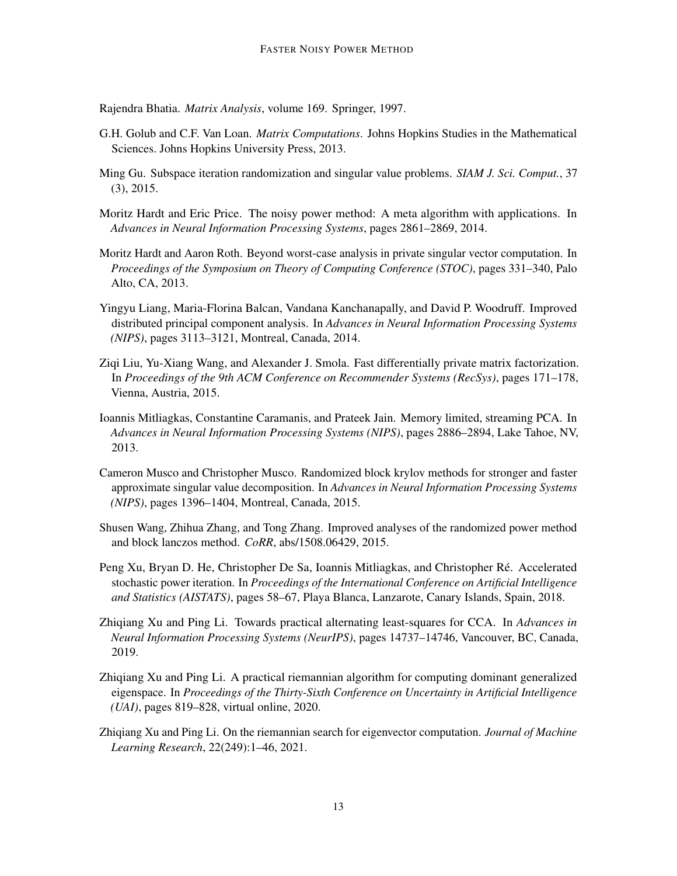<span id="page-12-13"></span>Rajendra Bhatia. *Matrix Analysis*, volume 169. Springer, 1997.

- <span id="page-12-1"></span>G.H. Golub and C.F. Van Loan. *Matrix Computations*. Johns Hopkins Studies in the Mathematical Sciences. Johns Hopkins University Press, 2013.
- <span id="page-12-10"></span>Ming Gu. Subspace iteration randomization and singular value problems. *SIAM J. Sci. Comput.*, 37 (3), 2015.
- <span id="page-12-0"></span>Moritz Hardt and Eric Price. The noisy power method: A meta algorithm with applications. In *Advances in Neural Information Processing Systems*, pages 2861–2869, 2014.
- <span id="page-12-3"></span>Moritz Hardt and Aaron Roth. Beyond worst-case analysis in private singular vector computation. In *Proceedings of the Symposium on Theory of Computing Conference (STOC)*, pages 331–340, Palo Alto, CA, 2013.
- <span id="page-12-12"></span>Yingyu Liang, Maria-Florina Balcan, Vandana Kanchanapally, and David P. Woodruff. Improved distributed principal component analysis. In *Advances in Neural Information Processing Systems (NIPS)*, pages 3113–3121, Montreal, Canada, 2014.
- <span id="page-12-4"></span>Ziqi Liu, Yu-Xiang Wang, and Alexander J. Smola. Fast differentially private matrix factorization. In *Proceedings of the 9th ACM Conference on Recommender Systems (RecSys)*, pages 171–178, Vienna, Austria, 2015.
- <span id="page-12-2"></span>Ioannis Mitliagkas, Constantine Caramanis, and Prateek Jain. Memory limited, streaming PCA. In *Advances in Neural Information Processing Systems (NIPS)*, pages 2886–2894, Lake Tahoe, NV, 2013.
- <span id="page-12-8"></span>Cameron Musco and Christopher Musco. Randomized block krylov methods for stronger and faster approximate singular value decomposition. In *Advances in Neural Information Processing Systems (NIPS)*, pages 1396–1404, Montreal, Canada, 2015.
- <span id="page-12-9"></span>Shusen Wang, Zhihua Zhang, and Tong Zhang. Improved analyses of the randomized power method and block lanczos method. *CoRR*, abs/1508.06429, 2015.
- <span id="page-12-11"></span>Peng Xu, Bryan D. He, Christopher De Sa, Ioannis Mitliagkas, and Christopher Ré. Accelerated stochastic power iteration. In *Proceedings of the International Conference on Artificial Intelligence and Statistics (AISTATS)*, pages 58–67, Playa Blanca, Lanzarote, Canary Islands, Spain, 2018.
- <span id="page-12-5"></span>Zhiqiang Xu and Ping Li. Towards practical alternating least-squares for CCA. In *Advances in Neural Information Processing Systems (NeurIPS)*, pages 14737–14746, Vancouver, BC, Canada, 2019.
- <span id="page-12-6"></span>Zhiqiang Xu and Ping Li. A practical riemannian algorithm for computing dominant generalized eigenspace. In *Proceedings of the Thirty-Sixth Conference on Uncertainty in Artificial Intelligence (UAI)*, pages 819–828, virtual online, 2020.
- <span id="page-12-7"></span>Zhiqiang Xu and Ping Li. On the riemannian search for eigenvector computation. *Journal of Machine Learning Research*, 22(249):1–46, 2021.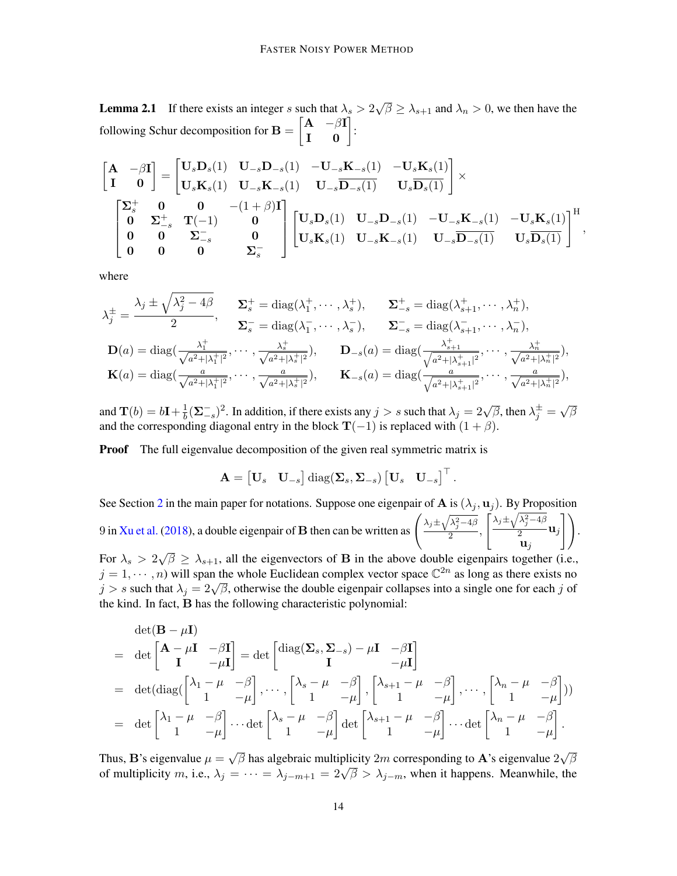**Lemma 2.1** If there exists an integer s such that  $\lambda_s > 2$ √  $\overline{\beta} \geq \lambda_{s+1}$  and  $\lambda_n > 0$ , we then have the following Schur decomposition for  $\mathbf{B} = \begin{bmatrix} \mathbf{A} & -\beta \mathbf{I} \\ \mathbf{I} & \mathbf{0} \end{bmatrix}$ :

$$
\begin{split} \begin{bmatrix} \mathbf{A} & -\beta \mathbf{I} \\ \mathbf{I} & \mathbf{0} \end{bmatrix} &= \begin{bmatrix} \mathbf{U}_s \mathbf{D}_s(1) & \mathbf{U}_{-s} \mathbf{D}_{-s}(1) & -\mathbf{U}_{-s} \mathbf{K}_{-s}(1) & -\mathbf{U}_s \mathbf{K}_s(1) \\ \mathbf{U}_s \mathbf{K}_s(1) & \mathbf{U}_{-s} \mathbf{K}_{-s}(1) & \mathbf{U}_{-s} \overline{\mathbf{D}_{-s}(1)} & \mathbf{U}_s \overline{\mathbf{D}_s(1)} \end{bmatrix} \times \\ &\begin{bmatrix} \mathbf{\Sigma}_s^+ & \mathbf{0} & \mathbf{0} & - (1+\beta) \mathbf{I} \\ \mathbf{0} & \mathbf{\Sigma}_{-s}^+ & \mathbf{T}(-1) & \mathbf{0} \\ \mathbf{0} & \mathbf{0} & \mathbf{\Sigma}_{-s}^- & \mathbf{0} \\ \mathbf{0} & \mathbf{0} & \mathbf{0} & \mathbf{\Sigma}_s^- \end{bmatrix} \begin{bmatrix} \mathbf{U}_s \mathbf{D}_s(1) & \mathbf{U}_{-s} \mathbf{D}_{-s}(1) & -\mathbf{U}_{-s} \mathbf{K}_{-s}(1) & -\mathbf{U}_s \mathbf{K}_s(1) \\ \mathbf{U}_s \mathbf{K}_s(1) & \mathbf{U}_{-s} \mathbf{K}_{-s}(1) & \mathbf{U}_{-s} \overline{\mathbf{D}_{-s}(1)} & \mathbf{U}_s \overline{\mathbf{D}_s(1)} \end{bmatrix}^{\mathrm{H}}, \end{split}
$$

where

$$
\lambda_j^{\pm} = \frac{\lambda_j \pm \sqrt{\lambda_j^2 - 4\beta}}{2}, \quad \Sigma_s^+ = \text{diag}(\lambda_1^+, \dots, \lambda_s^+), \quad \Sigma_{-s}^+ = \text{diag}(\lambda_{s+1}^+, \dots, \lambda_n^+),
$$
  
\n
$$
\Sigma_s^- = \text{diag}(\lambda_1^-, \dots, \lambda_s^-), \quad \Sigma_{-s}^- = \text{diag}(\lambda_{s+1}^-, \dots, \lambda_n^-),
$$
  
\n
$$
\mathbf{D}(a) = \text{diag}(\frac{\lambda_1^+}{\sqrt{a^2 + |\lambda_1^+|^2}}, \dots, \frac{\lambda_s^+}{\sqrt{a^2 + |\lambda_s^+|^2}}), \quad \mathbf{D}_{-s}(a) = \text{diag}(\frac{\lambda_{s+1}^+}{\sqrt{a^2 + |\lambda_{s+1}^+|^2}}, \dots, \frac{\lambda_n^+}{\sqrt{a^2 + |\lambda_n^+|^2}}),
$$
  
\n
$$
\mathbf{K}(a) = \text{diag}(\frac{a}{\sqrt{a^2 + |\lambda_1^+|^2}}, \dots, \frac{a}{\sqrt{a^2 + |\lambda_s^+|^2}}), \quad \mathbf{K}_{-s}(a) = \text{diag}(\frac{a}{\sqrt{a^2 + |\lambda_{s+1}^+|^2}}, \dots, \frac{a}{\sqrt{a^2 + |\lambda_n^+|^2}}),
$$

and  $\mathbf{T}(b) = b\mathbf{I} + \frac{1}{b}$  $\frac{1}{b}(\Sigma_{-s}^{-})^2$ . In addition, if there exists any  $j > s$  such that  $\lambda_j = 2\sqrt{\beta}$ , then  $\lambda_j^{\pm} =$ √ β and the corresponding diagonal entry in the block  $T(-1)$  is replaced with  $(1 + \beta)$ .

**Proof** The full eigenvalue decomposition of the given real symmetric matrix is

$$
\mathbf{A} = \begin{bmatrix} \mathbf{U}_s & \mathbf{U}_{-s} \end{bmatrix} \text{diag}(\mathbf{\Sigma}_s, \mathbf{\Sigma}_{-s}) \begin{bmatrix} \mathbf{U}_s & \mathbf{U}_{-s} \end{bmatrix}^\top.
$$

See Section [2](#page-2-1) in the main paper for notations. Suppose one eigenpair of A is  $(\lambda_j, \mathbf{u}_j)$ . By Proposition 9 in [Xu et al.](#page-12-11) [\(2018\)](#page-12-11), a double eigenpair of **B** then can be written as  $\left(\frac{\lambda_j \pm \sqrt{\lambda_j^2 - 4\beta}}{2}\right)$  $\frac{y}{2}$ ,  $\int \lambda_j \pm \sqrt{\lambda_j^2 - 4\beta}$  $\frac{j}{2}$   $\mathbf{u}_j$  $\mathbf{u}_j$  $\bigwedge$ . √

For  $\lambda_s > 2\sqrt{\beta} \ge \lambda_{s+1}$ , all the eigenvectors of **B** in the above double eigenpairs together (i.e.,  $j = 1, \dots, n$ ) will span the whole Euclidean complex vector space  $\mathbb{C}^{2n}$  as long as there exists no  $j = 1, \dots, n$  will spail the whole Euclidean complex vector space  $\zeta$  as long as there exists no  $j > s$  such that  $\lambda_j = 2\sqrt{\beta}$ , otherwise the double eigenpair collapses into a single one for each j of the kind. In fact, B has the following characteristic polynomial:

$$
\det(\mathbf{B} - \mu \mathbf{I})
$$
\n
$$
= \det \begin{bmatrix} \mathbf{A} - \mu \mathbf{I} & -\beta \mathbf{I} \\ \mathbf{I} & -\mu \mathbf{I} \end{bmatrix} = \det \begin{bmatrix} \text{diag}(\mathbf{\Sigma}_s, \mathbf{\Sigma}_{-s}) - \mu \mathbf{I} & -\beta \mathbf{I} \\ \mathbf{I} & -\mu \mathbf{I} \end{bmatrix}
$$
\n
$$
= \det(\text{diag}(\begin{bmatrix} \lambda_1 - \mu & -\beta \\ 1 & -\mu \end{bmatrix}, \cdots, \begin{bmatrix} \lambda_s - \mu & -\beta \\ 1 & -\mu \end{bmatrix}, \begin{bmatrix} \lambda_{s+1} - \mu & -\beta \\ 1 & -\mu \end{bmatrix}, \cdots, \begin{bmatrix} \lambda_n - \mu & -\beta \\ 1 & -\mu \end{bmatrix})
$$
\n
$$
= \det \begin{bmatrix} \lambda_1 - \mu & -\beta \\ 1 & -\mu \end{bmatrix} \cdots \det \begin{bmatrix} \lambda_s - \mu & -\beta \\ 1 & -\mu \end{bmatrix} \det \begin{bmatrix} \lambda_{s+1} - \mu & -\beta \\ 1 & -\mu \end{bmatrix} \cdots \det \begin{bmatrix} \lambda_n - \mu & -\beta \\ 1 & -\mu \end{bmatrix}.
$$

Thus, **B**'s eigenvalue  $\mu =$ √  $\overline{\beta}$  has algebraic multiplicity  $2m$  corresponding to  ${\bf A}$ 's eigenvalue  $2$ √ β of multiplicity m, i.e.,  $\lambda_j = \cdots = \lambda_{j-m+1} = 2\sqrt{\beta} > \lambda_{j-m}$ , when it happens. Meanwhile, the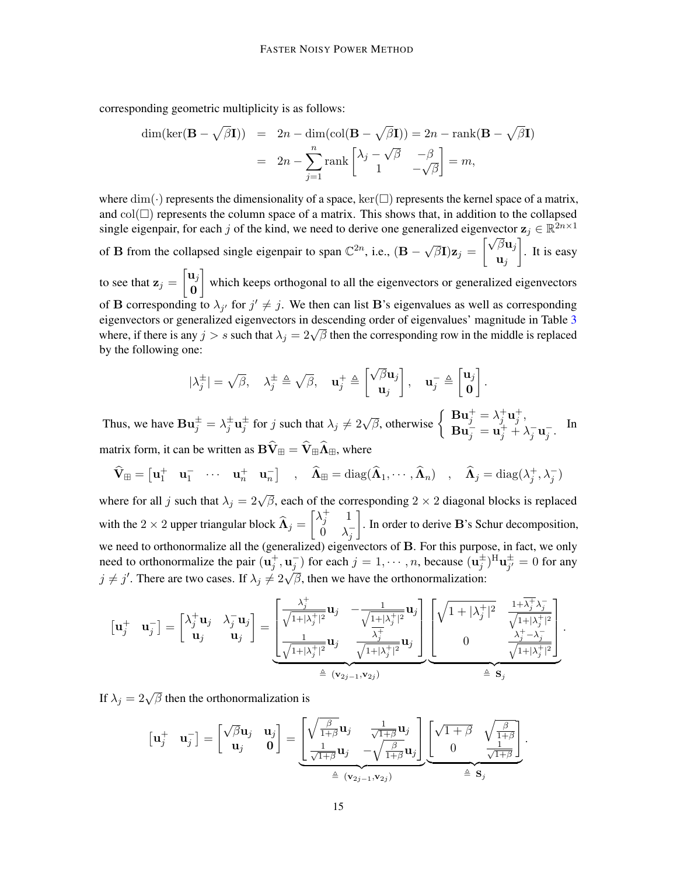corresponding geometric multiplicity is as follows:

$$
\dim(\ker(\mathbf{B} - \sqrt{\beta}\mathbf{I})) = 2n - \dim(\text{col}(\mathbf{B} - \sqrt{\beta}\mathbf{I})) = 2n - \text{rank}(\mathbf{B} - \sqrt{\beta}\mathbf{I})
$$

$$
= 2n - \sum_{j=1}^{n} \text{rank}\begin{bmatrix} \lambda_j - \sqrt{\beta} & -\beta \\ 1 & -\sqrt{\beta} \end{bmatrix} = m,
$$

where  $\dim(\cdot)$  represents the dimensionality of a space,  $\ker(\square)$  represents the kernel space of a matrix, and  $col(\Box)$  represents the column space of a matrix. This shows that, in addition to the collapsed single eigenpair, for each j of the kind, we need to derive one generalized eigenvector  $\mathbf{z}_j \in \mathbb{R}^{2n \times 1}$ 

of **B** from the collapsed single eigenpair to span  $\mathbb{C}^{2n}$ , i.e.,  $(\mathbf{B} - \mathbf{B})$ √  $\overline{\beta}\textbf{I})\textbf{z}_j =$  $\sqrt{\beta} \mathbf{u}_j$  $\mathbf{u}_j$ . It is easy

to see that  $\mathbf{z}_j = \begin{bmatrix} \mathbf{u}_j \\ \mathbf{o} \end{bmatrix}$ 0 which keeps orthogonal to all the eigenvectors or generalized eigenvectors of **B** corresponding to  $\lambda_{j'}$  for  $j' \neq j$ . We then can list **B**'s eigenvalues as well as corresponding eigenvectors or generalized eigenvectors in descending order of eigenvalues' magnitude in Table [3](#page-17-0) eigenvectors of generalized eigenvectors in descending order of eigenvalues magnitude in Table 3 where, if there is any  $j > s$  such that  $\lambda_j = 2\sqrt{\beta}$  then the corresponding row in the middle is replaced by the following one:

$$
|\lambda_j^{\pm}| = \sqrt{\beta}, \quad \lambda_j^{\pm} \triangleq \sqrt{\beta}, \quad \mathbf{u}_j^+ \triangleq \begin{bmatrix} \sqrt{\beta} \mathbf{u}_j \\ \mathbf{u}_j \end{bmatrix}, \quad \mathbf{u}_j^- \triangleq \begin{bmatrix} \mathbf{u}_j \\ \mathbf{0} \end{bmatrix}
$$

.

Thus, we have  $\mathbf{B} \mathbf{u}_j^{\pm} = \lambda_j^{\pm} \mathbf{u}_j^{\pm}$  for j such that  $\lambda_j \neq 2\sqrt{\beta}$ , otherwise  $\begin{cases} \n\mathbf{B} \mathbf{u}_j^{\pm} = \lambda_j^{\pm} \mathbf{u}_j^{\pm}$ ,  $\mathbf{B} \mathbf{u}_j^{\pm} = \lambda_j^{\pm} \mathbf{u}_j^{\pm}$ ,  $\mathbf{B}\mathbf{u}_j = \mathbf{u}_j^+ + \lambda_j^- \mathbf{u}_j^-$ . In matrix form, it can be written as  $\mathbf{B}\widehat{\mathbf{V}}_{\boxplus} = \widehat{\mathbf{V}}_{\boxplus} \widehat{\mathbf{\Lambda}}_{\boxplus}$ , where

$$
\widehat{\mathbf{V}}_{\mathbb{H}} = \begin{bmatrix} \mathbf{u}_1^+ & \mathbf{u}_1^- & \cdots & \mathbf{u}_n^+ & \mathbf{u}_n^- \end{bmatrix} , \quad \widehat{\mathbf{\Lambda}}_{\mathbb{H}} = \text{diag}(\widehat{\mathbf{\Lambda}}_1, \cdots, \widehat{\mathbf{\Lambda}}_n) , \quad \widehat{\mathbf{\Lambda}}_{j} = \text{diag}(\lambda_j^+, \lambda_j^-)
$$

where for all j such that  $\lambda_j = 2\sqrt{\beta}$ , each of the corresponding  $2 \times 2$  diagonal blocks is replaced with the 2 × 2 upper triangular block  $\widehat{\Lambda}_j = \begin{bmatrix} \lambda_j^+ & 1 \\ 0 & \lambda_j^- \end{bmatrix}$  $\dot{0}$   $\lambda_j^ \big]$ . In order to derive  $\mathbf{B}$ 's Schur decomposition, we need to orthonormalize all the (generalized) eigenvectors of B. For this purpose, in fact, we only need to orthonormalize the pair  $(\mathbf{u}_j^+, \mathbf{u}_j^-)$  for each  $j = 1, \dots, n$ , because  $(\mathbf{u}_j^{\pm})^H \mathbf{u}_{j'}^{\pm}$  $j^{\pm}_{j'} = 0$  for any  $j \neq j'$ . There are two cases. If  $\lambda_j \neq 2\sqrt{\beta}$ , then we have the orthonormalization:

$$
\begin{bmatrix} \mathbf{u}_j^+ & \mathbf{u}_j^- \end{bmatrix} = \begin{bmatrix} \lambda_j^+ \mathbf{u}_j & \lambda_j^- \mathbf{u}_j \\ \mathbf{u}_j & \mathbf{u}_j \end{bmatrix} = \underbrace{\begin{bmatrix} \frac{\lambda_j^+}{\sqrt{1+|\lambda_j^+|^2}} \mathbf{u}_j & -\frac{1}{\sqrt{1+|\lambda_j^+|^2}} \mathbf{u}_j \\ \frac{1}{\sqrt{1+|\lambda_j^+|^2}} \mathbf{u}_j & \frac{\lambda_j^+}{\sqrt{1+|\lambda_j^+|^2}} \mathbf{u}_j \end{bmatrix}}_{\triangleq (\mathbf{v}_{2j-1}, \mathbf{v}_{2j})} \underbrace{\begin{bmatrix} \sqrt{1+|\lambda_j^+|^2} & \frac{1+\overline{\lambda_j^+}\lambda_j^-}{\sqrt{1+|\lambda_j^+|^2}} \\ 0 & \frac{\lambda_j^+ - \lambda_j^-}{\sqrt{1+|\lambda_j^+|^2}} \end{bmatrix}}_{\triangleq \mathbf{S}_j}.
$$

If  $\lambda_j = 2\sqrt{\beta}$  then the orthonormalization is

$$
\begin{bmatrix} \mathbf{u}_j^+ & \mathbf{u}_j^- \end{bmatrix} = \begin{bmatrix} \sqrt{\beta} \mathbf{u}_j & \mathbf{u}_j \\ \mathbf{u}_j & \mathbf{0} \end{bmatrix} = \underbrace{\begin{bmatrix} \sqrt{\frac{\beta}{1+\beta}} \mathbf{u}_j & \frac{1}{\sqrt{1+\beta}} \mathbf{u}_j \\ \frac{1}{\sqrt{1+\beta}} \mathbf{u}_j & -\sqrt{\frac{\beta}{1+\beta}} \mathbf{u}_j \end{bmatrix}}_{\triangleq (\mathbf{v}_{2j-1}, \mathbf{v}_{2j})} \underbrace{\begin{bmatrix} \sqrt{1+\beta} & \sqrt{\frac{\beta}{1+\beta}} \\ 0 & \frac{1}{\sqrt{1+\beta}} \end{bmatrix}}_{\triangleq \mathbf{S}_j}.
$$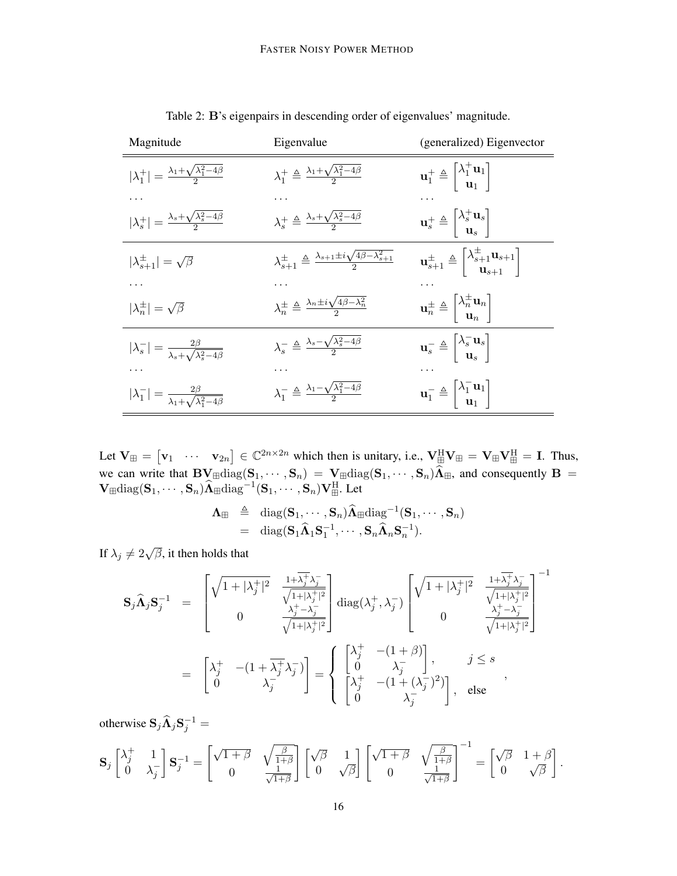| Magnitude                                                                | Eigenvalue                                                                                     | (generalized) Eigenvector                                                                                                  |
|--------------------------------------------------------------------------|------------------------------------------------------------------------------------------------|----------------------------------------------------------------------------------------------------------------------------|
| $ \lambda_1^+  = \frac{\lambda_1 + \sqrt{\lambda_1^2 - 4\beta}}{2}$      | $\lambda_1^+ \triangleq \frac{\lambda_1 + \sqrt{\lambda_1^2 - 4\beta}}{2}$                     | $\mathbf{u}_1^+ \triangleq \begin{bmatrix} \lambda_1^+ \mathbf{u}_1 \\ \mathbf{u}_1 \end{bmatrix}$                         |
|                                                                          |                                                                                                |                                                                                                                            |
| $ \lambda_s^+  = \frac{\lambda_s + \sqrt{\lambda_s^2 - 4\beta}}{2}$      | $\lambda_s^+ \triangleq \frac{\lambda_s + \sqrt{\lambda_s^2 - 4\beta}}{2}$                     | $\mathbf{u}_s^+ \triangleq \begin{bmatrix} \lambda_s^+ \mathbf{u}_s \\ \mathbf{u}_s \end{bmatrix}$                         |
| $ \lambda_{s+1}^{\pm}  = \sqrt{\beta}$                                   | $\lambda_{s+1}^{\pm} \triangleq \frac{\lambda_{s+1} \pm i \sqrt{4\beta - \lambda_{s+1}^2}}{2}$ | $\mathbf{u}_{s+1}^{\pm} \triangleq \begin{vmatrix} \lambda_{s+1}^{\pm} \mathbf{u}_{s+1} \\ \mathbf{u}_{s+1} \end{vmatrix}$ |
|                                                                          |                                                                                                |                                                                                                                            |
| $ \lambda_n^{\pm}  = \sqrt{\beta}$                                       | $\lambda_n^{\pm} \triangleq \frac{\lambda_n \pm i \sqrt{4\beta - \lambda_n^2}}{2}$             | $\mathbf{u}_n^{\pm} \triangleq \begin{bmatrix} \lambda_n^{\pm} \mathbf{u}_n \\ \mathbf{u}_n \end{bmatrix}$                 |
| $ \lambda_s^-  = \frac{2\beta}{\lambda_s + \sqrt{\lambda_s^2 - 4\beta}}$ | $\lambda_s^- \triangleq \frac{\lambda_s - \sqrt{\lambda_s^2 - 4\beta}}{2}$                     | $\mathbf{u}_s^- \triangleq \begin{bmatrix} \lambda_s^- \mathbf{u}_s \\ \mathbf{u}_s \end{bmatrix}$                         |
|                                                                          |                                                                                                |                                                                                                                            |
| $ \lambda_1^-  = \frac{2\beta}{\lambda_1 + \sqrt{\lambda_1^2 - 4\beta}}$ | $\lambda_1^- \triangleq \frac{\lambda_1 - \sqrt{\lambda_1^2 - 4\beta}}{2}$                     | $\mathbf{u}_1^- \triangleq \begin{bmatrix} \lambda_1^- \mathbf{u}_1 \\ \mathbf{u}_1 \end{bmatrix}$                         |

Table 2: B's eigenpairs in descending order of eigenvalues' magnitude.

Let  $V_{\mathbb{H}} = \begin{bmatrix} v_1 & \cdots & v_{2n} \end{bmatrix} \in \mathbb{C}^{2n \times 2n}$  which then is unitary, i.e.,  $V_{\mathbb{H}}^H V_{\mathbb{H}} = V_{\mathbb{H}} V_{\mathbb{H}}^H = I$ . Thus, we can write that  $\mathbf{BV}_{\text{H}}diag(\mathbf{S}_1, \dots, \mathbf{S}_n) = \mathbf{V}_{\text{H}}diag(\mathbf{S}_1, \dots, \mathbf{S}_n)\Lambda_{\text{H}}$ , and consequently  $\mathbf{B} = \mathbf{M} \times \mathbf{M} \times \mathbf{M} \times \mathbf{M} \times \mathbf{M} \times \mathbf{M} \times \mathbf{M} \times \mathbf{M} \times \mathbf{M} \times \mathbf{M} \times \mathbf{M} \times \mathbf{M} \times \mathbf{M} \times$  $\mathbf{V}_{\boxplus}\mathrm{diag}(\mathbf{S}_1,\cdots,\mathbf{S}_n)\widehat{\mathbf{\Lambda}}_{\boxplus}\mathrm{diag}^{-1}(\mathbf{S}_1,\cdots,\mathbf{S}_n)\mathbf{V}_{\boxplus}^{\text{H}}$ . Let

$$
\begin{array}{rcl}\n\mathbf{\Lambda}_{\boxplus} & \triangleq & \mathrm{diag}(\mathbf{S}_1,\cdots,\mathbf{S}_n)\widehat{\mathbf{\Lambda}}_{\boxplus} \mathrm{diag}^{-1}(\mathbf{S}_1,\cdots,\mathbf{S}_n) \\
& = & \mathrm{diag}(\mathbf{S}_1\widehat{\mathbf{\Lambda}}_1\mathbf{S}_1^{-1},\cdots,\mathbf{S}_n\widehat{\mathbf{\Lambda}}_n\mathbf{S}_n^{-1}).\n\end{array}
$$

If  $\lambda_j \neq 2\sqrt{\beta}$ , it then holds that

$$
\begin{array}{rcl} \mathbf{S}_{j}\widehat{\boldsymbol{\Lambda}}_{j}\mathbf{S}_{j}^{-1} & = & \begin{bmatrix} \sqrt{1+|\lambda_{j}^{+}|^{2}} & \frac{1+\overline{\lambda_{j}^{+}}\lambda_{j}^{-}}{\sqrt{1+|\lambda_{j}^{+}|^{2}}}\\ 0 & \frac{\lambda_{j}^{+}-\lambda_{j}^{-}}{\sqrt{1+|\lambda_{j}^{+}|^{2}}} \end{bmatrix} \text{diag}(\lambda_{j}^{+},\lambda_{j}^{-}) \begin{bmatrix} \sqrt{1+|\lambda_{j}^{+}|^{2}} & \frac{1+\overline{\lambda_{j}^{+}}\lambda_{j}^{-}}{\sqrt{1+|\lambda_{j}^{+}|^{2}}}\\ 0 & \frac{\lambda_{j}^{+}-\lambda_{j}^{-}}{\sqrt{1+|\lambda_{j}^{+}|^{2}}} \end{bmatrix}^{-1} \\ & = & \begin{bmatrix} \lambda_{j}^{+} & -(1+\overline{\lambda_{j}^{+}}\lambda_{j}^{-})\\ 0 & \lambda_{j}^{-} \end{bmatrix} = \begin{cases} \begin{bmatrix} \lambda_{j}^{+} & -(1+\beta)\\ 0 & \lambda_{j}^{-} \end{bmatrix}, & j \leq s\\ \begin{bmatrix} \lambda_{j}^{+} & -(1+(\lambda_{j}^{-})^{2})\\ 0 & \lambda_{j}^{-} \end{bmatrix}, & \text{else} \end{cases}, \end{array}
$$

otherwise  $S_j \widehat{\Lambda}_j S_j^{-1} =$ 

$$
\mathbf{S}_{j}\begin{bmatrix} \lambda_{j}^{+} & 1\\ 0 & \lambda_{j}^{-} \end{bmatrix} \mathbf{S}_{j}^{-1} = \begin{bmatrix} \sqrt{1+\beta} & \sqrt{\frac{\beta}{1+\beta}}\\ 0 & \frac{1}{\sqrt{1+\beta}} \end{bmatrix} \begin{bmatrix} \sqrt{\beta} & 1\\ 0 & \sqrt{\beta} \end{bmatrix} \begin{bmatrix} \sqrt{1+\beta} & \sqrt{\frac{\beta}{1+\beta}}\\ 0 & \frac{1}{\sqrt{1+\beta}} \end{bmatrix}^{-1} = \begin{bmatrix} \sqrt{\beta} & 1+\beta\\ 0 & \sqrt{\beta} \end{bmatrix}.
$$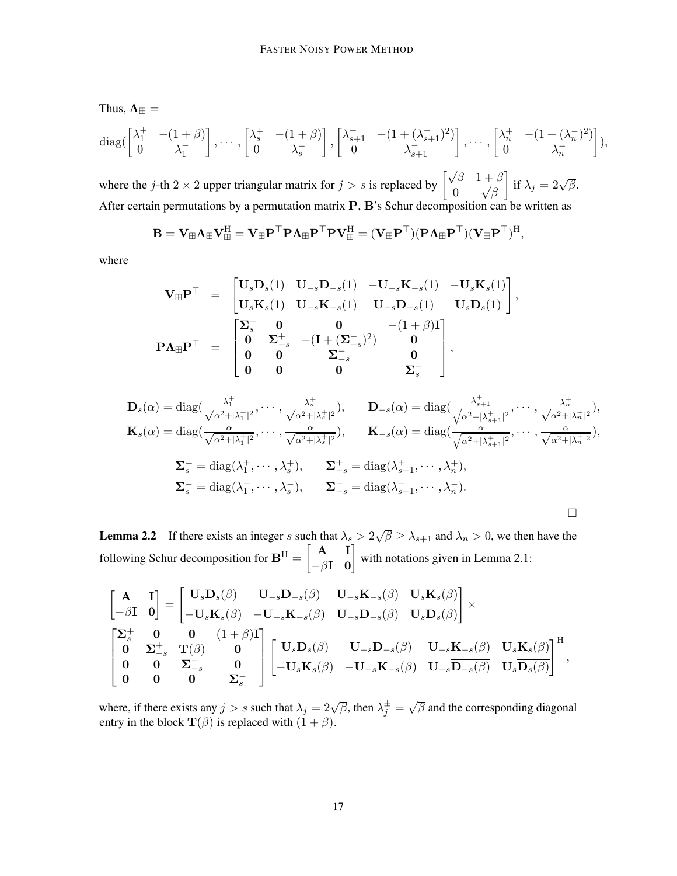Thus,  $\Lambda_{\boxplus} =$ 

$$
\operatorname{diag}\left(\begin{bmatrix} \lambda_1^+ & -(1+\beta) \\ 0 & \lambda_1^- \end{bmatrix}, \cdots, \begin{bmatrix} \lambda_s^+ & -(1+\beta) \\ 0 & \lambda_s^- \end{bmatrix}, \begin{bmatrix} \lambda_{s+1}^+ & -(1+(\lambda_{s+1}^-)^2) \\ 0 & \lambda_{s+1}^- \end{bmatrix}, \cdots, \begin{bmatrix} \lambda_n^+ & -(1+(\lambda_n^-)^2) \\ 0 & \lambda_n^- \end{bmatrix}\right),
$$

where the j-th 2 × 2 upper triangular matrix for  $j > s$  is replaced by  $\begin{bmatrix} \sqrt{\beta} & 1+\beta \\ 0 & \sqrt{\beta} \end{bmatrix}$ 0 √ β  $\Big]$  if  $\lambda_j = 2\sqrt{\beta}.$ After certain permutations by a permutation matrix P, B's Schur decomposition can be written as

$$
\mathbf{B} = \mathbf{V}_\boxplus \boldsymbol{\Lambda}_\boxplus \mathbf{V}_\boxplus^\text{H} = \mathbf{V}_\boxplus \mathbf{P}^\top \mathbf{P} \boldsymbol{\Lambda}_\boxplus \mathbf{P}^\top \mathbf{P} \mathbf{V}_\boxplus^\text{H} = (\mathbf{V}_\boxplus \mathbf{P}^\top) (\mathbf{P} \boldsymbol{\Lambda}_\boxplus \mathbf{P}^\top) (\mathbf{V}_\boxplus \mathbf{P}^\top)^\text{H},
$$

where

$$
\mathbf{V}_{\mathbb{H}}\mathbf{P}^{\top} = \begin{bmatrix} \mathbf{U}_{s}\mathbf{D}_{s}(1) & \mathbf{U}_{-s}\mathbf{D}_{-s}(1) & -\mathbf{U}_{-s}\mathbf{K}_{-s}(1) & -\mathbf{U}_{s}\mathbf{K}_{s}(1) \\ \mathbf{U}_{s}\mathbf{K}_{s}(1) & \mathbf{U}_{-s}\mathbf{K}_{-s}(1) & \mathbf{U}_{-s}\overline{\mathbf{D}_{-s}(1)} & \mathbf{U}_{s}\overline{\mathbf{D}_{s}(1)} \end{bmatrix}, \\ \mathbf{P}\Lambda_{\mathbb{H}}\mathbf{P}^{\top} = \begin{bmatrix} \Sigma_{s}^{+} & 0 & 0 & -(1+\beta)\mathbf{I} \\ 0 & \Sigma_{-s}^{+} & -( \mathbf{I} + (\Sigma_{-s}^{-})^{2} ) & 0 \\ 0 & 0 & \Sigma_{-s}^{-} & 0 \\ 0 & 0 & 0 & \Sigma_{s}^{-} \end{bmatrix},
$$

$$
\mathbf{D}_{s}(\alpha) = \text{diag}\left(\frac{\lambda_{1}^{+}}{\sqrt{\alpha^{2}+|\lambda_{1}^{+}|^{2}}},\cdots,\frac{\lambda_{s}^{+}}{\sqrt{\alpha^{2}+|\lambda_{s}^{+}|^{2}}}\right), \qquad \mathbf{D}_{-s}(\alpha) = \text{diag}\left(\frac{\lambda_{s+1}^{+}}{\sqrt{\alpha^{2}+|\lambda_{s+1}^{+}|^{2}}},\cdots,\frac{\lambda_{n}^{+}}{\sqrt{\alpha^{2}+|\lambda_{n}^{+}|^{2}}}\right),
$$
\n
$$
\mathbf{K}_{s}(\alpha) = \text{diag}\left(\frac{\alpha}{\sqrt{\alpha^{2}+|\lambda_{1}^{+}|^{2}}},\cdots,\frac{\alpha}{\sqrt{\alpha^{2}+|\lambda_{s}^{+}|^{2}}}\right), \qquad \mathbf{K}_{-s}(\alpha) = \text{diag}\left(\frac{\alpha}{\sqrt{\alpha^{2}+|\lambda_{s+1}^{+}|^{2}}},\cdots,\frac{\alpha}{\sqrt{\alpha^{2}+|\lambda_{n}^{+}|^{2}}}\right),
$$
\n
$$
\Sigma_{s}^{+} = \text{diag}(\lambda_{1}^{+},\cdots,\lambda_{s}^{+}), \qquad \Sigma_{-s}^{+} = \text{diag}(\lambda_{s+1}^{+},\cdots,\lambda_{n}^{+}),
$$
\n
$$
\Sigma_{s}^{-} = \text{diag}(\lambda_{1}^{-},\cdots,\lambda_{s}^{-}), \qquad \Sigma_{-s}^{-} = \text{diag}(\lambda_{s+1}^{-},\cdots,\lambda_{n}^{-}).
$$

**Lemma 2.2** If there exists an integer s such that  $\lambda_s > 2$ √  $\overline{\beta} \geq \lambda_{s+1}$  and  $\lambda_n > 0$ , we then have the following Schur decomposition for  $\mathbf{B}^{\mathrm{H}} = \begin{bmatrix} \mathbf{A} & \mathbf{I} \\ -\beta \mathbf{I} & \mathbf{0} \end{bmatrix}$  with notations given in Lemma 2.1:

$$
\begin{bmatrix} \mathbf{A} & \mathbf{I} \\ -\beta \mathbf{I} & \mathbf{0} \end{bmatrix} = \begin{bmatrix} \mathbf{U}_s \mathbf{D}_s(\beta) & \mathbf{U}_{-s} \mathbf{D}_{-s}(\beta) & \mathbf{U}_{-s} \mathbf{K}_{-s}(\beta) & \mathbf{U}_s \mathbf{K}_s(\beta) \\ -\mathbf{U}_s \mathbf{K}_s(\beta) & -\mathbf{U}_{-s} \mathbf{K}_{-s}(\beta) & \mathbf{U}_{-s} \overline{\mathbf{D}_{-s}(\beta)} & \mathbf{U}_s \overline{\mathbf{D}_s(\beta)} \end{bmatrix} \times \\ \begin{bmatrix} \mathbf{\Sigma}_s^+ & \mathbf{0} & \mathbf{0} & (1+\beta) \mathbf{I} \\ \mathbf{0} & \mathbf{\Sigma}_{-s}^+ & \mathbf{T}(\beta) & \mathbf{0} \\ \mathbf{0} & \mathbf{0} & \mathbf{\Sigma}_{-s}^- & \mathbf{0} \\ \mathbf{0} & \mathbf{0} & \mathbf{0} & \mathbf{\Sigma}_s^- \end{bmatrix} \begin{bmatrix} \mathbf{U}_s \mathbf{D}_s(\beta) & \mathbf{U}_{-s} \mathbf{D}_{-s}(\beta) & \mathbf{U}_{-s} \mathbf{K}_{-s}(\beta) & \mathbf{U}_s \mathbf{K}_s(\beta) \\ -\mathbf{U}_s \mathbf{K}_s(\beta) & -\mathbf{U}_{-s} \mathbf{K}_{-s}(\beta) & \mathbf{U}_{-s} \overline{\mathbf{D}_{-s}(\beta)} & \mathbf{U}_s \overline{\mathbf{D}_s(\beta)} \end{bmatrix}^{\mathrm{H}},
$$

where, if there exists any  $j > s$  such that  $\lambda_j = 2\sqrt{\beta}$ , then  $\lambda_j^{\pm} =$ √  $\beta$  and the corresponding diagonal entry in the block  $\mathbf{T}(\beta)$  is replaced with  $(1 + \beta)$ .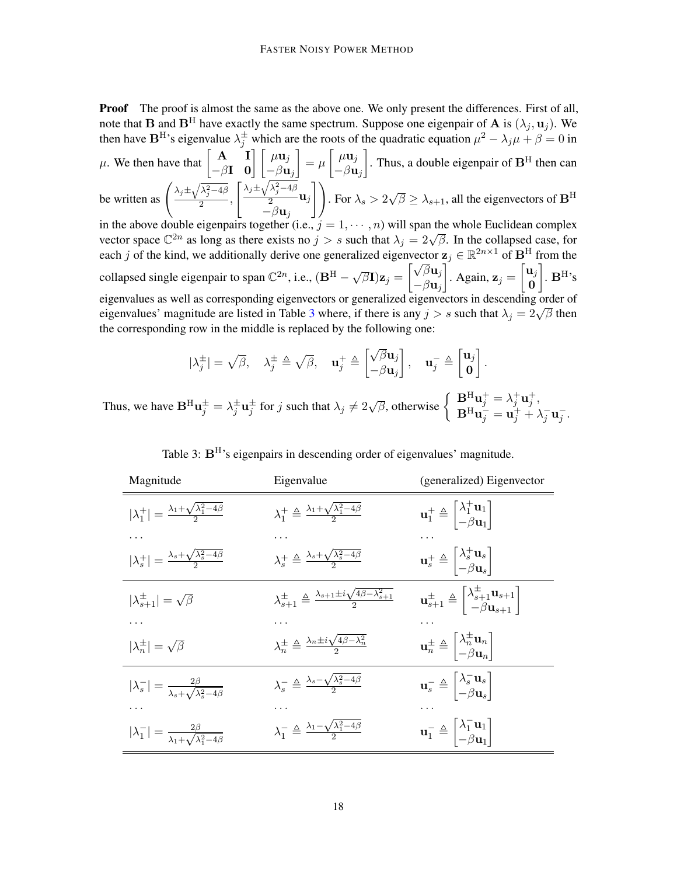**Proof** The proof is almost the same as the above one. We only present the differences. First of all, note that **B** and **B**<sup>H</sup> have exactly the same spectrum. Suppose one eigenpair of **A** is  $(\lambda_i, \mathbf{u}_i)$ . We then have  $B<sup>H</sup>$ 's eigenvalue  $\lambda_j^{\pm}$  which are the roots of the quadratic equation  $\mu^2 - \lambda_j \mu + \beta = 0$  in

 $\mu$ . We then have that  $\begin{bmatrix} \mathbf{A} & \mathbf{I} \\ -\beta \mathbf{I} & \mathbf{0} \end{bmatrix} \begin{bmatrix} \mu \mathbf{u}_j \\ -\beta \mathbf{u}_j \end{bmatrix}$  $\Big] = \mu \Big[ \begin{array}{c} \mu \mathbf{u}_j \ \rho \end{array}$  $-\beta$ u<sub>j</sub> . Thus, a double eigenpair of  $\mathbf{B}^{\text{H}}$  then can be written as  $\left(\frac{\lambda_j \pm \sqrt{\lambda_j^2 - 4\beta}}{2}\right)$  $\int \lambda_j \pm \sqrt{\lambda_j^2 - 4\beta}$  $\frac{j}{2}$   $\mathbf{u}_j$ 11 . For  $\lambda_s > 2$  $\sqrt{\beta} \ge \lambda_{s+1}$ , all the eigenvectors of  $\mathbf{B}^{\text{H}}$ 

 $\frac{y}{2}$ ,  $-\beta$ u<sub>j</sub> in the above double eigenpairs together (i.e.,  $j = 1, \dots, n$ ) will span the whole Euclidean complex In the above double eigenpairs together (i.e.,  $j = 1, \dots, n$ ) will span the whole Euclidean complex<br>vector space  $\mathbb{C}^{2n}$  as long as there exists no  $j > s$  such that  $\lambda_j = 2\sqrt{\beta}$ . In the collapsed case, for each j of the kind, we additionally derive one generalized eigenvector  $z_j \in \mathbb{R}^{2n \times 1}$  of  $\mathbf{B}^{\mathrm{H}}$  from the

collapsed single eigenpair to span  $\mathbb{C}^{2n}$ , i.e.,  $(\mathbf{B}^{\mathrm{H}} - \sqrt{2\pi} \mathbf{B})$  $\overline{\beta}\textbf{I})\textbf{z}_j =$  $\sqrt{\beta} \mathbf{u}_j$  $-\beta$ u<sub>j</sub> . Again,  $\mathbf{z}_j = \begin{bmatrix} \mathbf{u}_j \\ \mathbf{0} \end{bmatrix}$ 0  $\big]$ .  $B^H$ 's eigenvalues as well as corresponding eigenvectors or generalized eigenvectors in descending order of eigenvalues' as well as corresponding eigenvectors of generalized eigenvectors in descending order of eigenvalues' magnitude are listed in Table [3](#page-17-0) where, if there is any  $j > s$  such that  $\lambda_j = 2\sqrt{\beta}$  then the corresponding row in the middle is replaced by the following one:

$$
|\lambda_j^{\pm}| = \sqrt{\beta}, \quad \lambda_j^{\pm} \triangleq \sqrt{\beta}, \quad \mathbf{u}_j^{\pm} \triangleq \begin{bmatrix} \sqrt{\beta} \mathbf{u}_j \\ -\beta \mathbf{u}_j \end{bmatrix}, \quad \mathbf{u}_j^{-} \triangleq \begin{bmatrix} \mathbf{u}_j \\ \mathbf{0} \end{bmatrix}.
$$

Thus, we have  $\mathbf{B}^{\mathrm{H}}\mathbf{u}_{j}^{\pm} = \lambda_{j}^{\pm}\mathbf{u}_{j}^{\pm}$  for j such that  $\lambda_{j} \neq 2\sqrt{\beta}$ , otherwise  $\begin{cases} \mathbf{B}^{\mathrm{H}}\mathbf{u}_{j}^{+} = \lambda_{j}^{+}\mathbf{u}_{j}^{+}$ ,  $\mathbf{B}^{\mathrm{H}}\mathbf{u}_{j}^{-} = \mathbf{u}_{j}^{+} + \lambda_{j}^{+} \end{cases}$  $\mathbf{B}^{\mathrm{H}}\mathbf{u}_j = \mathbf{u}_j^+ + \lambda_j^- \mathbf{u}_j^-$ .

<span id="page-17-0"></span>

| Magnitude                                                                | Eigenvalue                                                                                     | (generalized) Eigenvector                                                                                                         |
|--------------------------------------------------------------------------|------------------------------------------------------------------------------------------------|-----------------------------------------------------------------------------------------------------------------------------------|
| $ \lambda_1^+  = \frac{\lambda_1 + \sqrt{\lambda_1^2 - 4\beta}}{2}$      | $\lambda_1^+ \triangleq \frac{\lambda_1 + \sqrt{\lambda_1^2 - 4\beta}}{2}$                     | $\mathbf{u}_1^+ \triangleq \begin{vmatrix} \lambda_1^+ \mathbf{u}_1 \\ -\beta \mathbf{u}_1 \end{vmatrix}$                         |
|                                                                          |                                                                                                |                                                                                                                                   |
| $ \lambda_s^+  = \frac{\lambda_s + \sqrt{\lambda_s^2 - 4\beta}}{2}$      | $\lambda_s^+ \triangleq \frac{\lambda_s + \sqrt{\lambda_s^2 - 4\beta}}{2}$                     | $\mathbf{u}_s^+ \triangleq \begin{bmatrix} \lambda_s^+ \mathbf{u}_s \\ -\beta \mathbf{u}_s \end{bmatrix}$                         |
| $ \lambda_{s+1}^{\pm}  = \sqrt{\beta}$                                   | $\lambda_{s+1}^{\pm} \triangleq \frac{\lambda_{s+1} \pm i \sqrt{4\beta - \lambda_{s+1}^2}}{2}$ | $\mathbf{u}_{s+1}^{\pm} \triangleq \begin{bmatrix} \lambda_{s+1}^{\pm} \mathbf{u}_{s+1} \\ -\beta \mathbf{u}_{s+1} \end{bmatrix}$ |
|                                                                          |                                                                                                |                                                                                                                                   |
| $ \lambda_n^{\pm}  = \sqrt{\beta}$                                       | $\lambda_n^{\pm} \triangleq \frac{\lambda_n \pm i \sqrt{4\beta - \lambda_n^2}}{2}$             | $\mathbf{u}_n^{\pm} \triangleq \begin{vmatrix} \lambda_n^{\pm} \mathbf{u}_n \\ -\beta \mathbf{u}_n \end{vmatrix}$                 |
| $ \lambda_s^-  = \frac{2\beta}{\lambda_s + \sqrt{\lambda_s^2 - 4\beta}}$ | $\lambda_s^-\triangleq\frac{\lambda_s-\sqrt{\lambda_s^2-4\beta}}{2}$                           | $\mathbf{u}_s^- \triangleq \begin{bmatrix} \lambda_s^- \mathbf{u}_s \\ -\beta \mathbf{u}_s \end{bmatrix}$                         |
|                                                                          |                                                                                                |                                                                                                                                   |
| $ \lambda_1^-  = \frac{2\beta}{\lambda_1 + \sqrt{\lambda_1^2 - 4\beta}}$ | $\lambda_1^- \triangleq \frac{\lambda_1 - \sqrt{\lambda_1^2 - 4\beta}}{2}$                     | $\mathbf{u}_1^- \triangleq \begin{bmatrix} \lambda_1 & \mathbf{u}_1 \\ -\beta & \mathbf{u}_1 \end{bmatrix}$                       |
|                                                                          |                                                                                                |                                                                                                                                   |

Table 3:  $B<sup>H</sup>$ 's eigenpairs in descending order of eigenvalues' magnitude.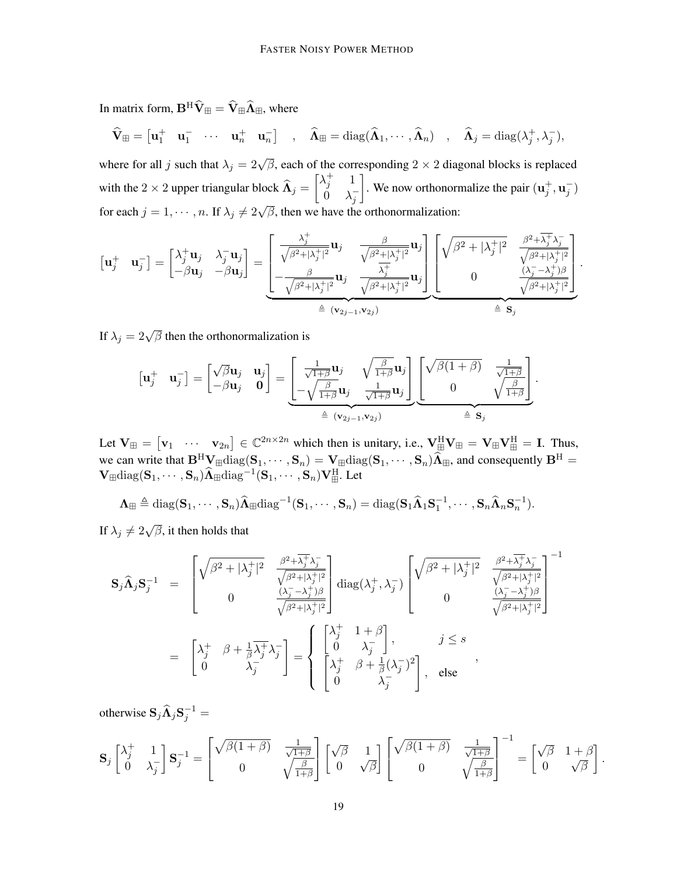In matrix form,  $\mathbf{B}^H \widehat{\mathbf{V}} \text{m} = \widehat{\mathbf{V}} \text{m} \widehat{\mathbf{\Lambda}} \text{m}$ , where

$$
\widehat{\mathbf{V}}_{\mathbb{H}} = \begin{bmatrix} \mathbf{u}_1^+ & \mathbf{u}_1^- & \cdots & \mathbf{u}_n^+ & \mathbf{u}_n^- \end{bmatrix} , \quad \widehat{\mathbf{\Lambda}}_{\mathbb{H}} = \mathrm{diag}(\widehat{\mathbf{\Lambda}}_1, \cdots, \widehat{\mathbf{\Lambda}}_n) , \quad \widehat{\mathbf{\Lambda}}_{j} = \mathrm{diag}(\lambda_j^+, \lambda_j^-),
$$

where for all j such that  $\lambda_j = 2\sqrt{\beta}$ , each of the corresponding  $2 \times 2$  diagonal blocks is replaced with the 2 × 2 upper triangular block  $\widehat{\mathbf{\Lambda}}_j = \begin{bmatrix} \lambda_j^+ & 1 \\ 0 & \lambda_j^- \end{bmatrix}$  $\dot{0}$   $\lambda_j^-$ . We now orthonormalize the pair  $(\mathbf{u}_j^+, \mathbf{u}_j^-)$ for each  $j = 1, \dots, n$ . If  $\lambda_j \neq 2\sqrt{\beta}$ , then we have the orthonormalization:

$$
\begin{bmatrix} \mathbf{u}_j^+ & \mathbf{u}_j^- \end{bmatrix} = \begin{bmatrix} \lambda_j^+ \mathbf{u}_j & \lambda_j^- \mathbf{u}_j \\ -\beta \mathbf{u}_j & -\beta \mathbf{u}_j \end{bmatrix} = \underbrace{\begin{bmatrix} \frac{\lambda_j^+}{\sqrt{\beta^2 + |\lambda_j^+|^2}} \mathbf{u}_j & \frac{\beta}{\sqrt{\beta^2 + |\lambda_j^+|^2}} \mathbf{u}_j \\ -\frac{\beta}{\sqrt{\beta^2 + |\lambda_j^+|^2}} \mathbf{u}_j & \frac{\lambda_j^+}{\sqrt{\beta^2 + |\lambda_j^+|^2}} \mathbf{u}_j \end{bmatrix}}_{\triangleq (\mathbf{v}_{2j-1}, \mathbf{v}_{2j})} \underbrace{\begin{bmatrix} \sqrt{\beta^2 + |\lambda_j^+|^2} & \frac{\beta^2 + \overline{\lambda_j^+}\lambda_j^-}{\sqrt{\beta^2 + |\lambda_j^+|^2}} \\ 0 & \frac{(\lambda_j^- - \lambda_j^+) \beta}{\sqrt{\beta^2 + |\lambda_j^+|^2}} \end{bmatrix}}_{\triangleq \mathbf{S}_j}.
$$

If  $\lambda_j = 2\sqrt{\beta}$  then the orthonormalization is

$$
\begin{bmatrix} \mathbf{u}_j^+ & \mathbf{u}_j^- \end{bmatrix} = \begin{bmatrix} \sqrt{\beta} \mathbf{u}_j & \mathbf{u}_j \\ -\beta \mathbf{u}_j & \mathbf{0} \end{bmatrix} = \underbrace{\begin{bmatrix} \frac{1}{\sqrt{1+\beta}} \mathbf{u}_j & \sqrt{\frac{\beta}{1+\beta}} \mathbf{u}_j \\ -\sqrt{\frac{\beta}{1+\beta}} \mathbf{u}_j & \frac{1}{\sqrt{1+\beta}} \mathbf{u}_j \end{bmatrix}}_{\triangleq (\mathbf{v}_{2j-1}, \mathbf{v}_{2j})} \underbrace{\begin{bmatrix} \sqrt{\beta(1+\beta)} & \frac{1}{\sqrt{1+\beta}} \\ 0 & \sqrt{\frac{\beta}{1+\beta}} \end{bmatrix}}_{\triangleq \mathbf{S}_j}.
$$

Let  $V_{\mathbb{H}} = \begin{bmatrix} v_1 & \cdots & v_{2n} \end{bmatrix} \in \mathbb{C}^{2n \times 2n}$  which then is unitary, i.e.,  $V_{\mathbb{H}}^H V_{\mathbb{H}} = V_{\mathbb{H}} V_{\mathbb{H}}^H = I$ . Thus, we can write that  $\mathbf{B}^H \mathbf{V}_{\text{H}} \text{diag}(\mathbf{S}_1, \cdots, \mathbf{S}_n) = \mathbf{V}_{\text{H}} \text{diag}(\mathbf{S}_1, \cdots, \mathbf{S}_n) \widehat{\mathbf{\Lambda}}_{\text{H}}$ , and consequently  $\mathbf{B}^H = \mathbf{V}_{\text{H}} \mathbf{V}_{\text{H}} \mathbf{V}_{\text{H}} \mathbf{V}_{\text{H}} \mathbf{V}_{\text{H}}$  $\mathbf{V}_{\boxplus}\mathrm{diag}(\mathbf{S}_1,\cdots,\mathbf{S}_n)\widehat{\mathbf{\Lambda}}_{\boxplus}\mathrm{diag}^{-1}(\mathbf{S}_1,\cdots,\mathbf{S}_n)\mathbf{V}_{\boxplus}^{\text{H}}$ . Let

$$
\Lambda_{\boxplus} \triangleq \text{diag}(\mathbf{S}_1,\cdots,\mathbf{S}_n)\widehat{\Lambda}_{\boxplus} \text{diag}^{-1}(\mathbf{S}_1,\cdots,\mathbf{S}_n) = \text{diag}(\mathbf{S}_1\widehat{\Lambda}_1\mathbf{S}_1^{-1},\cdots,\mathbf{S}_n\widehat{\Lambda}_n\mathbf{S}_n^{-1}).
$$

If  $\lambda_j \neq 2\sqrt{\beta}$ , it then holds that

$$
\mathbf{S}_{j}\widehat{\mathbf{\Lambda}}_{j}\mathbf{S}_{j}^{-1} = \begin{bmatrix} \sqrt{\beta^{2}+|\lambda_{j}^{+}|^{2}} & \frac{\beta^{2}+\overline{\lambda_{j}^{+}}\lambda_{j}^{-}}{\sqrt{\beta^{2}+|\lambda_{j}^{+}|^{2}}} \\ 0 & \frac{(\lambda_{j}^{-}-\lambda_{j}^{+})\beta}{\sqrt{\beta^{2}+|\lambda_{j}^{+}|^{2}}} \end{bmatrix} \operatorname{diag}(\lambda_{j}^{+},\lambda_{j}^{-}) \begin{bmatrix} \sqrt{\beta^{2}+|\lambda_{j}^{+}|^{2}} & \frac{\beta^{2}+\overline{\lambda_{j}^{+}}\lambda_{j}^{-}}{\sqrt{\beta^{2}+|\lambda_{j}^{+}|^{2}}} \\ 0 & \frac{(\lambda_{j}^{-}-\lambda_{j}^{+})\beta}{\sqrt{\beta^{2}+|\lambda_{j}^{+}|^{2}}} \end{bmatrix}^{-1}
$$
  

$$
= \begin{bmatrix} \lambda_{j}^{+} & \beta+\frac{1}{\beta}\overline{\lambda_{j}^{+}}\lambda_{j}^{-} \\ 0 & \lambda_{j}^{-} \end{bmatrix} = \begin{Bmatrix} \begin{bmatrix} \lambda_{j}^{+} & 1+\beta \\ 0 & \lambda_{j}^{-} \end{bmatrix}, & j \leq s \\ \begin{bmatrix} \lambda_{j}^{+} & \beta+\frac{1}{\beta}(\lambda_{j}^{-})^{2} \\ 0 & \lambda_{j}^{-} \end{bmatrix}, & \text{else} \end{bmatrix},
$$

otherwise  $S_j \widehat{\Lambda}_j S_j^{-1} =$ 

$$
\mathbf{S}_{j}\begin{bmatrix} \lambda_{j}^{+} & 1\\ 0 & \lambda_{j}^{-} \end{bmatrix} \mathbf{S}_{j}^{-1} = \begin{bmatrix} \sqrt{\beta(1+\beta)} & \frac{1}{\sqrt{1+\beta}}\\ 0 & \sqrt{\frac{\beta}{1+\beta}} \end{bmatrix} \begin{bmatrix} \sqrt{\beta} & 1\\ 0 & \sqrt{\beta} \end{bmatrix} \begin{bmatrix} \sqrt{\beta(1+\beta)} & \frac{1}{\sqrt{1+\beta}}\\ 0 & \sqrt{\frac{\beta}{1+\beta}} \end{bmatrix}^{-1} = \begin{bmatrix} \sqrt{\beta} & 1+\beta\\ 0 & \sqrt{\beta} \end{bmatrix}.
$$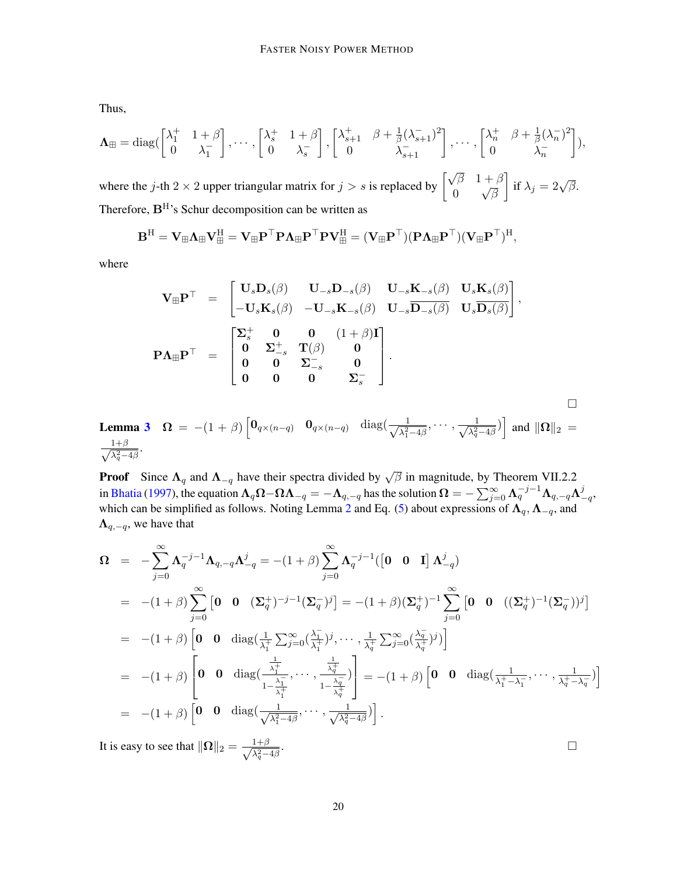Thus,

$$
\Lambda_{\mathbb{H}} = \text{diag}\left(\begin{bmatrix} \lambda_1^+ & 1+\beta \\ 0 & \lambda_1^- \end{bmatrix}, \cdots, \begin{bmatrix} \lambda_s^+ & 1+\beta \\ 0 & \lambda_s^- \end{bmatrix}, \begin{bmatrix} \lambda_{s+1}^+ & \beta+\frac{1}{\beta}(\lambda_{s+1}^-)^2 \\ 0 & \lambda_{s+1}^- \end{bmatrix}, \cdots, \begin{bmatrix} \lambda_n^+ & \beta+\frac{1}{\beta}(\lambda_n^-)^2 \\ 0 & \lambda_n^- \end{bmatrix}\right),
$$

where the j-th 2 × 2 upper triangular matrix for  $j > s$  is replaced by  $\begin{bmatrix} \sqrt{\beta} & 1+\beta \\ 0 & \sqrt{\beta} \end{bmatrix}$ 0 √ β  $\Big]$  if  $\lambda_j = 2\sqrt{\beta}.$ Therefore, BH's Schur decomposition can be written as

$$
\mathbf{B}^H = \mathbf{V}_{\boxplus}\boldsymbol{\Lambda}_{\boxplus}\mathbf{V}_{\boxplus}^H = \mathbf{V}_{\boxplus}\mathbf{P}^{\top}\mathbf{P}\boldsymbol{\Lambda}_{\boxplus}\mathbf{P}^{\top}\mathbf{P}\mathbf{V}_{\boxplus}^H = (\mathbf{V}_{\boxplus}\mathbf{P}^{\top})(\mathbf{P}\boldsymbol{\Lambda}_{\boxplus}\mathbf{P}^{\top})(\mathbf{V}_{\boxplus}\mathbf{P}^{\top})^H,
$$

where

$$
\mathbf{V}_{\mathbb{H}}\mathbf{P}^{\top} = \begin{bmatrix} \mathbf{U}_{s}\mathbf{D}_{s}(\beta) & \mathbf{U}_{-s}\mathbf{D}_{-s}(\beta) & \mathbf{U}_{-s}\mathbf{K}_{-s}(\beta) & \mathbf{U}_{s}\mathbf{K}_{s}(\beta) \\ -\mathbf{U}_{s}\mathbf{K}_{s}(\beta) & -\mathbf{U}_{-s}\mathbf{K}_{-s}(\beta) & \mathbf{U}_{-s}\overline{\mathbf{D}_{-s}(\beta)} & \mathbf{U}_{s}\overline{\mathbf{D}_{s}(\beta)} \end{bmatrix},
$$
\n
$$
\mathbf{P}\Lambda_{\mathbb{H}}\mathbf{P}^{\top} = \begin{bmatrix} \Sigma_{s}^{+} & \mathbf{0} & \mathbf{0} & (1+\beta)\mathbf{I} \\ \mathbf{0} & \Sigma_{-s}^{+} & \mathbf{T}(\beta) & \mathbf{0} \\ \mathbf{0} & \mathbf{0} & \Sigma_{-s}^{-} & \mathbf{0} \\ \mathbf{0} & \mathbf{0} & \mathbf{0} & \Sigma_{s}^{-} \end{bmatrix}.
$$
\n
$$
\mathbf{a} \mathbf{3} \quad \Omega = -(1+\beta) \left[ \mathbf{0}_{q \times (n-q)} & \mathbf{0}_{q \times (n-q)} & \text{diag}\left(\frac{1}{\sqrt{\lambda_{1}^{2}-4\beta}}, \cdots, \frac{1}{\sqrt{\lambda_{q}^{2}-4\beta}}\right) \right] \text{ and } \|\Omega\|_{2} =
$$

**Lemma 3** 
$$
\Omega = -(1+\beta) \begin{bmatrix} 0_{q \times (n-q)} & 0_{q \times (n-q)} & \text{diag}(\frac{1}{\sqrt{\lambda_1^2-4\beta}}, \cdots, \frac{1}{\sqrt{\lambda_q^2-4\beta}}) \end{bmatrix}
$$
 and  $||\Omega||_2 = \frac{1+\beta}{\sqrt{\lambda_q^2-4\beta}}$ .

**Proof** Since  $\Lambda_q$  and  $\Lambda_{-q}$  have their spectra divided by  $\sqrt{\beta}$  in magnitude, by Theorem VII.2.2 in [Bhatia](#page-12-13) [\(1997\)](#page-12-13), the equation  $\bm{\Lambda}_q\bm{\Omega}-\bm{\Omega}\bm{\Lambda}_{-q}=-\bm{\Lambda}_{q,-q}$  has the solution  $\bm{\Omega}=-\sum_{j=0}^{\infty}\bm{\Lambda}_q^{-j-1}\bm{\Lambda}_{q,-q}\bm{\Lambda}_1^j$  $_{-q}^{\jmath},$ which can be simplified as follows. Noting Lemma [2](#page-5-0) and Eq. [\(5\)](#page-6-4) about expressions of  $\Lambda_q$ ,  $\Lambda_{-q}$ , and  $\Lambda_{q,-q}$ , we have that

$$
\Omega = -\sum_{j=0}^{\infty} \Lambda_q^{-j-1} \Lambda_{q,-q} \Lambda_{-q}^j = -(1+\beta) \sum_{j=0}^{\infty} \Lambda_q^{-j-1} ([\mathbf{0} \mathbf{0} \mathbf{I}] \Lambda_{-q}^j)
$$
  
\n
$$
= -(1+\beta) \sum_{j=0}^{\infty} [\mathbf{0} \mathbf{0} (\Sigma_q^+)^{-j-1} (\Sigma_q^-)^j] = -(1+\beta) (\Sigma_q^+)^{-1} \sum_{j=0}^{\infty} [\mathbf{0} \mathbf{0} ((\Sigma_q^+)^{-1} (\Sigma_q^-))^j]
$$
  
\n
$$
= -(1+\beta) [\mathbf{0} \mathbf{0} \text{diag}(\frac{1}{\lambda_1^+} \sum_{j=0}^{\infty} (\frac{\lambda_1^-}{\lambda_1^+})^j, \cdots, \frac{1}{\lambda_q^+} \sum_{j=0}^{\infty} (\frac{\lambda_q^-}{\lambda_q^+})^j)]
$$
  
\n
$$
= -(1+\beta) [\mathbf{0} \mathbf{0} \text{diag}(\frac{\frac{1}{\lambda_1^+}}{1-\frac{\lambda_1^-}{\lambda_1^+}}, \cdots, \frac{\frac{1}{\lambda_q^+}}{1-\frac{\lambda_q^-}{\lambda_q^+}})] = -(1+\beta) [\mathbf{0} \mathbf{0} \text{diag}(\frac{1}{\lambda_1^+ - \lambda_1^-}, \cdots, \frac{1}{\lambda_q^+ - \lambda_q^-})]
$$
  
\n
$$
= -(1+\beta) [\mathbf{0} \mathbf{0} \text{diag}(\frac{1}{\sqrt{\lambda_1^2 - 4\beta}}, \cdots, \frac{1}{\sqrt{\lambda_q^2 - 4\beta}})].
$$

It is easy to see that  $\|\Omega\|_2 = \frac{1+\beta}{\sqrt{2}}$  $\lambda_q^2 - 4\beta$ . □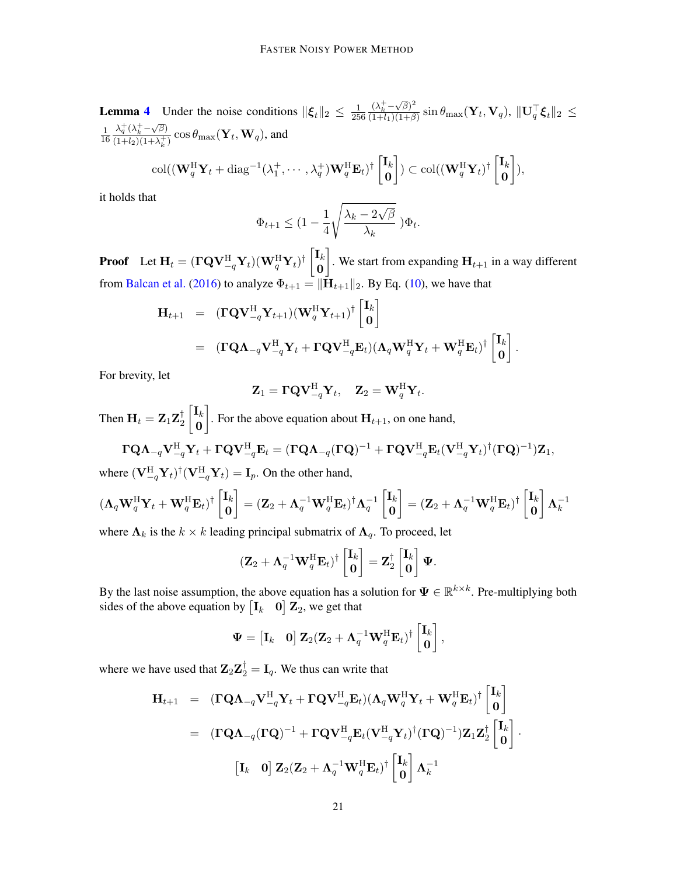**Lemma [4](#page-7-0)** Under the noise conditions  $\|\xi_t\|_2 \leq \frac{1}{25}$ 256  $(\lambda_k^+ - \sqrt{\beta})^2$  $\frac{(\lambda_k^{\bot}-\sqrt{\beta})^2}{(1+l_1)(1+\beta)}\sin\theta_{\max}(\mathbf{Y}_t,\mathbf{V}_q),\ \|\mathbf{U}_q^{\top}\boldsymbol{\xi}_t\|_2 \ \leq$ 1 16  $\lambda_q^+(\lambda_k^+ - \sqrt{\beta})$  $\frac{\lambda_q(\lambda_k - \sqrt{\beta})}{(1+l_2)(1+\lambda_k^+)} \cos \theta_{\text{max}}(\mathbf{Y}_t, \mathbf{W}_q)$ , and

$$
\text{col}((\mathbf{W}^{\text{H}}_{q}\mathbf{Y}_{t}+\text{diag}^{-1}(\lambda^{+}_{1},\cdots,\lambda^{+}_{q})\mathbf{W}^{\text{H}}_{q}\mathbf{E}_{t})^{\dagger}\begin{bmatrix}\mathbf{I}_{k}\\ \mathbf{0}\end{bmatrix})\subset\text{col}((\mathbf{W}^{\text{H}}_{q}\mathbf{Y}_{t})^{\dagger}\begin{bmatrix}\mathbf{I}_{k}\\ \mathbf{0}\end{bmatrix}),
$$

it holds that

$$
\Phi_{t+1} \leq (1 - \frac{1}{4} \sqrt{\frac{\lambda_k - 2\sqrt{\beta}}{\lambda_k}} ) \Phi_t.
$$

**Proof** Let  $\mathbf{H}_t = (\mathbf{\Gamma Q V}_{-q}^{\mathrm{H}} \mathbf{Y}_t)(\mathbf{W}_q^{\mathrm{H}} \mathbf{Y}_t)^{\dagger}$   $\begin{bmatrix} \mathbf{I}_k \\ \mathbf{0} \end{bmatrix}$ 0 . We start from expanding  $H_{t+1}$  in a way different from [Balcan et al.](#page-11-0) [\(2016\)](#page-11-0) to analyze  $\Phi_{t+1} = \|\mathbf{H}_{t+1}\|_2$ . By Eq. [\(10\)](#page-7-1), we have that

$$
\mathbf{H}_{t+1} = (\mathbf{\Gamma}\mathbf{Q}\mathbf{V}_{-q}^{\mathrm{H}}\mathbf{Y}_{t+1})(\mathbf{W}_{q}^{\mathrm{H}}\mathbf{Y}_{t+1})^{\dagger} \begin{bmatrix} \mathbf{I}_{k} \\ \mathbf{0} \end{bmatrix}
$$
  
= (\mathbf{\Gamma}\mathbf{Q}\mathbf{\Lambda}\_{-q}\mathbf{V}\_{-q}^{\mathrm{H}}\mathbf{Y}\_{t} + \mathbf{\Gamma}\mathbf{Q}\mathbf{V}\_{-q}^{\mathrm{H}}\mathbf{E}\_{t})(\mathbf{\Lambda}\_{q}\mathbf{W}\_{q}^{\mathrm{H}}\mathbf{Y}\_{t} + \mathbf{W}\_{q}^{\mathrm{H}}\mathbf{E}\_{t})^{\dagger} \begin{bmatrix} \mathbf{I}\_{k} \\ \mathbf{0} \end{bmatrix}.

For brevity, let

$$
\mathbf{Z}_1 = \boldsymbol{\Gamma} \boldsymbol{\mathrm{Q}} \boldsymbol{\mathrm{V}}_{-q}^\mathrm{H} \boldsymbol{\mathrm{Y}}_t, \quad \mathbf{Z}_2 = \boldsymbol{\mathrm{W}}_q^\mathrm{H} \boldsymbol{\mathrm{Y}}_t.
$$

Then  $\mathbf{H}_t = \mathbf{Z}_1 \mathbf{Z}_2^\dagger$ 2  $\lceil \mathbf{I}_k \rceil$ 0 . For the above equation about  $H_{t+1}$ , on one hand,

$$
\mathbf{\Gamma Q}\Lambda_{-q}\mathbf{V}_{-q}^{\mathrm{H}}\mathbf{Y}_{t}+\mathbf{\Gamma Q}\mathbf{V}_{-q}^{\mathrm{H}}\mathbf{E}_{t}=(\mathbf{\Gamma Q}\Lambda_{-q}(\mathbf{\Gamma Q})^{-1}+\mathbf{\Gamma Q}\mathbf{V}_{-q}^{\mathrm{H}}\mathbf{E}_{t}(\mathbf{V}_{-q}^{\mathrm{H}}\mathbf{Y}_{t})^{\dagger}(\mathbf{\Gamma Q})^{-1})\mathbf{Z}_{1},
$$

where  $(\mathbf{V}_{-q}^{\text{H}} \mathbf{Y}_{t})^{\dagger} (\mathbf{V}_{-q}^{\text{H}} \mathbf{Y}_{t}) = \mathbf{I}_{p}$ . On the other hand,

$$
(\Lambda_q \mathbf{W}_q^{\mathrm{H}} \mathbf{Y}_t + \mathbf{W}_q^{\mathrm{H}} \mathbf{E}_t)^{\dagger} \begin{bmatrix} \mathbf{I}_k \\ \mathbf{0} \end{bmatrix} = (\mathbf{Z}_2 + \Lambda_q^{-1} \mathbf{W}_q^{\mathrm{H}} \mathbf{E}_t)^{\dagger} \Lambda_q^{-1} \begin{bmatrix} \mathbf{I}_k \\ \mathbf{0} \end{bmatrix} = (\mathbf{Z}_2 + \Lambda_q^{-1} \mathbf{W}_q^{\mathrm{H}} \mathbf{E}_t)^{\dagger} \begin{bmatrix} \mathbf{I}_k \\ \mathbf{0} \end{bmatrix} \Lambda_k^{-1}
$$

where  $\Lambda_k$  is the  $k \times k$  leading principal submatrix of  $\Lambda_q$ . To proceed, let

$$
(\mathbf{Z}_2 + \mathbf{\Lambda}_q^{-1} \mathbf{W}_q^{\mathrm{H}} \mathbf{E}_t)^{\dagger} \begin{bmatrix} \mathbf{I}_k \\ \mathbf{0} \end{bmatrix} = \mathbf{Z}_2^{\dagger} \begin{bmatrix} \mathbf{I}_k \\ \mathbf{0} \end{bmatrix} \mathbf{\Psi}.
$$

By the last noise assumption, the above equation has a solution for  $\Psi \in \mathbb{R}^{k \times k}$ . Pre-multiplying both sides of the above equation by  $\begin{bmatrix} \mathbf{I}_k & \mathbf{0} \end{bmatrix} \mathbf{Z}_2$ , we get that

$$
\mathbf{\Psi} = \begin{bmatrix} \mathbf{I}_k & \mathbf{0} \end{bmatrix} \mathbf{Z}_2 (\mathbf{Z}_2 + \mathbf{\Lambda}_q^{-1} \mathbf{W}_q^{\mathrm{H}} \mathbf{E}_t)^{\dagger} \begin{bmatrix} \mathbf{I}_k \\ \mathbf{0} \end{bmatrix},
$$

 $\overline{a}$ 

where we have used that  $\mathbf{Z}_2 \mathbf{Z}_2^{\dagger} = \mathbf{I}_q$ . We thus can write that

$$
\mathbf{H}_{t+1} = (\mathbf{\Gamma}\mathbf{Q}\mathbf{\Lambda}_{-q}\mathbf{V}_{-q}^{\mathrm{H}}\mathbf{Y}_{t} + \mathbf{\Gamma}\mathbf{Q}\mathbf{V}_{-q}^{\mathrm{H}}\mathbf{E}_{t})(\mathbf{\Lambda}_{q}\mathbf{W}_{q}^{\mathrm{H}}\mathbf{Y}_{t} + \mathbf{W}_{q}^{\mathrm{H}}\mathbf{E}_{t})^{\dagger} \begin{bmatrix} \mathbf{I}_{k} \\ \mathbf{0} \end{bmatrix}
$$
  
\n
$$
= (\mathbf{\Gamma}\mathbf{Q}\mathbf{\Lambda}_{-q}(\mathbf{\Gamma}\mathbf{Q})^{-1} + \mathbf{\Gamma}\mathbf{Q}\mathbf{V}_{-q}^{\mathrm{H}}\mathbf{E}_{t}(\mathbf{V}_{-q}^{\mathrm{H}}\mathbf{Y}_{t})^{\dagger}(\mathbf{\Gamma}\mathbf{Q})^{-1})\mathbf{Z}_{1}\mathbf{Z}_{2}^{\dagger} \begin{bmatrix} \mathbf{I}_{k} \\ \mathbf{0} \end{bmatrix}.
$$
  
\n
$$
[\mathbf{I}_{k} \quad \mathbf{0}] \mathbf{Z}_{2}(\mathbf{Z}_{2} + \mathbf{\Lambda}_{q}^{-1}\mathbf{W}_{q}^{\mathrm{H}}\mathbf{E}_{t})^{\dagger} \begin{bmatrix} \mathbf{I}_{k} \\ \mathbf{0} \end{bmatrix} \mathbf{\Lambda}_{k}^{-1}
$$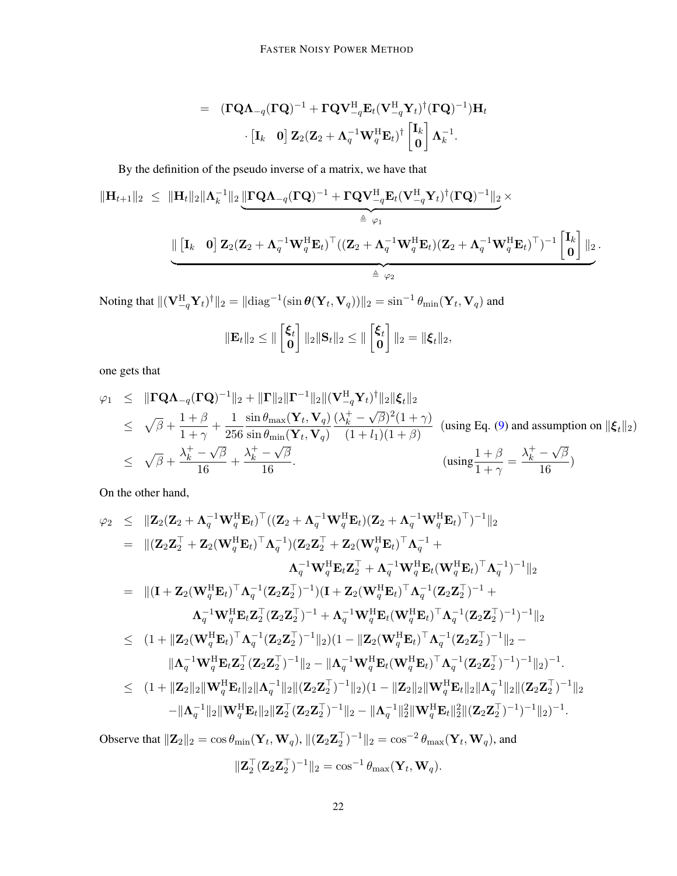$$
=\begin{array}{ll}\left(\mathbf{\Gamma Q}\mathbf{\Lambda}_{-q}(\mathbf{\Gamma Q})^{-1}+\mathbf{\Gamma Q}\mathbf{V}_{-q}^{\mathrm{H}}\mathbf{E}_{t}(\mathbf{V}_{-q}^{\mathrm{H}}\mathbf{Y}_{t})^{\dagger}(\mathbf{\Gamma Q})^{-1}\right)\!\mathbf{H}_{t}\\ \cdot\left[\mathbf{I}_{k}\!-\!\mathbf{0}\right]\mathbf{Z}_{2}(\mathbf{Z}_{2}+\mathbf{\Lambda}_{q}^{-1}\mathbf{W}_{q}^{\mathrm{H}}\mathbf{E}_{t})^{\dagger}\begin{bmatrix}\mathbf{I}_{k}\\ \mathbf{0}\end{bmatrix}\mathbf{\Lambda}_{k}^{-1}.\end{array}
$$

By the definition of the pseudo inverse of a matrix, we have that

$$
\begin{aligned}\n\|\mathbf{H}_{t+1}\|_2 &\leq \|\mathbf{H}_t\|_2 \|\mathbf{\Lambda}_k^{-1}\|_2 \underbrace{\|\mathbf{\Gamma} \mathbf{Q} \mathbf{\Lambda}_{-q}(\mathbf{\Gamma} \mathbf{Q})^{-1} + \mathbf{\Gamma} \mathbf{Q} \mathbf{V}_{-q}^{\mathrm{H}} \mathbf{E}_t (\mathbf{V}_{-q}^{\mathrm{H}} \mathbf{Y}_t)^\dagger (\mathbf{\Gamma} \mathbf{Q})^{-1}\|_2}_{\triangleq \ \varphi_1} \times \\
&\quad \underbrace{\|\begin{bmatrix} \mathbf{I}_k & \mathbf{0} \end{bmatrix} \mathbf{Z}_2 (\mathbf{Z}_2 + \mathbf{\Lambda}_q^{-1} \mathbf{W}_q^{\mathrm{H}} \mathbf{E}_t)^\top ((\mathbf{Z}_2 + \mathbf{\Lambda}_q^{-1} \mathbf{W}_q^{\mathrm{H}} \mathbf{E}_t) (\mathbf{Z}_2 + \mathbf{\Lambda}_q^{-1} \mathbf{W}_q^{\mathrm{H}} \mathbf{E}_t)^\top)^{-1} \begin{bmatrix} \mathbf{I}_k \\ \mathbf{0} \end{bmatrix} \|_2}_{\triangleq \ \varphi_2}.\n\end{aligned}
$$

Noting that  $\|({\bf V}_{-q}^{\rm H}{\bf Y}_t)^\dagger\|_2=\|{\rm diag}^{-1}(\sin\theta({\bf Y}_t,{\bf V}_q))\|_2=\sin^{-1}\theta_{\rm min}({\bf Y}_t,{\bf V}_q)$  and

$$
\|\mathbf{E}_t\|_2 \leq \| \begin{bmatrix} \xi_t \\ 0 \end{bmatrix} \|_2 \|\mathbf{S}_t\|_2 \leq \| \begin{bmatrix} \xi_t \\ 0 \end{bmatrix} \|_2 = \| \xi_t \|_2,
$$

one gets that

$$
\varphi_1 \leq \|\mathbf{\Gamma Q}\mathbf{\Lambda}_{-q}(\mathbf{\Gamma Q})^{-1}\|_2 + \|\mathbf{\Gamma}\|_2 \|\mathbf{\Gamma}^{-1}\|_2 \|(\mathbf{V}_{-q}^{\mathrm{H}} \mathbf{Y}_t)^{\dagger}\|_2 \|\xi_t\|_2
$$
  
\n
$$
\leq \sqrt{\beta} + \frac{1+\beta}{1+\gamma} + \frac{1}{256} \frac{\sin \theta_{\max}(\mathbf{Y}_t, \mathbf{V}_q)}{\sin \theta_{\min}(\mathbf{Y}_t, \mathbf{V}_q)} \frac{(\lambda_k^+ - \sqrt{\beta})^2 (1+\gamma)}{(1+l_1)(1+\beta)} \quad \text{(using Eq. (9) and assumption on } \|\xi_t\|_2)
$$
  
\n
$$
\leq \sqrt{\beta} + \frac{\lambda_k^+ - \sqrt{\beta}}{16} + \frac{\lambda_k^+ - \sqrt{\beta}}{16}.
$$
  
\n
$$
\leq \sqrt{\beta} + \frac{\lambda_k^+ - \sqrt{\beta}}{16} + \frac{\lambda_k^+ - \sqrt{\beta}}{16}.
$$

On the other hand,

$$
\varphi_2 \leq \|Z_2(Z_2 + \Lambda_q^{-1} \mathbf{W}_q^H \mathbf{E}_t)^{\top} ((\mathbf{Z}_2 + \Lambda_q^{-1} \mathbf{W}_q^H \mathbf{E}_t) (\mathbf{Z}_2 + \Lambda_q^{-1} \mathbf{W}_q^H \mathbf{E}_t)^{\top})^{-1} \|_2
$$
\n
$$
= \| (Z_2 \mathbf{Z}_2^{\top} + \mathbf{Z}_2 (\mathbf{W}_q^H \mathbf{E}_t)^{\top} \Lambda_q^{-1}) (\mathbf{Z}_2 \mathbf{Z}_2^{\top} + \mathbf{Z}_2 (\mathbf{W}_q^H \mathbf{E}_t)^{\top} \Lambda_q^{-1} + \Lambda_q^{-1} \mathbf{W}_q^H \mathbf{E}_t \mathbf{Z}_2^{\top} + \Lambda_q^{-1} \mathbf{W}_q^H \mathbf{E}_t (\mathbf{W}_q^H \mathbf{E}_t)^{\top} \Lambda_q^{-1})^{-1} \|_2
$$
\n
$$
= \| (\mathbf{I} + \mathbf{Z}_2 (\mathbf{W}_q^H \mathbf{E}_t)^{\top} \Lambda_q^{-1} (\mathbf{Z}_2 \mathbf{Z}_2^{\top})^{-1}) (\mathbf{I} + \mathbf{Z}_2 (\mathbf{W}_q^H \mathbf{E}_t)^{\top} \Lambda_q^{-1} (\mathbf{Z}_2 \mathbf{Z}_2^{\top})^{-1} + \Lambda_q^{-1} \mathbf{W}_q^H \mathbf{E}_t (\mathbf{W}_q^H \mathbf{E}_t)^{\top} \Lambda_q^{-1} (\mathbf{Z}_2 \mathbf{Z}_2^{\top})^{-1})^{-1} \|_2
$$
\n
$$
\leq (1 + \| \mathbf{Z}_2 (\mathbf{W}_q^H \mathbf{E}_t)^{\top} \Lambda_q^{-1} (\mathbf{Z}_2 \mathbf{Z}_2^{\top})^{-1} + \Lambda_q^{-1} \mathbf{W}_q^H \mathbf{E}_t (\mathbf{W}_q^H \mathbf{E}_t)^{\top} \Lambda_q^{-1} (\mathbf{Z}_2 \mathbf{Z}_2^{\top})^{-1})^{-1} \|_2
$$
\n
$$
\leq (1 + \| \mathbf{Z}_2 (\mathbf{W}_q^H \mathbf{E}_t)^{\top} \Lambda_q^{-1} (\mathbf{Z}_2 \mathbf{Z}_2^{\top})^{-1} \|_2) (1 - \| \mathbf{Z}_2 (\mathbf
$$

Observe that  $||\mathbf{Z}_2||_2 = \cos\theta_{\min}(\mathbf{Y}_t, \mathbf{W}_q), ||(\mathbf{Z}_2\mathbf{Z}_2^\top)^{-1}||_2 = \cos^{-2}\theta_{\max}(\mathbf{Y}_t, \mathbf{W}_q)$ , and  $\|\mathbf{Z}_2^\top (\mathbf{Z}_2 \mathbf{Z}_2^\top)^{-1}\|_2 = \cos^{-1} \theta_{\text{max}}(\mathbf{Y}_t, \mathbf{W}_q).$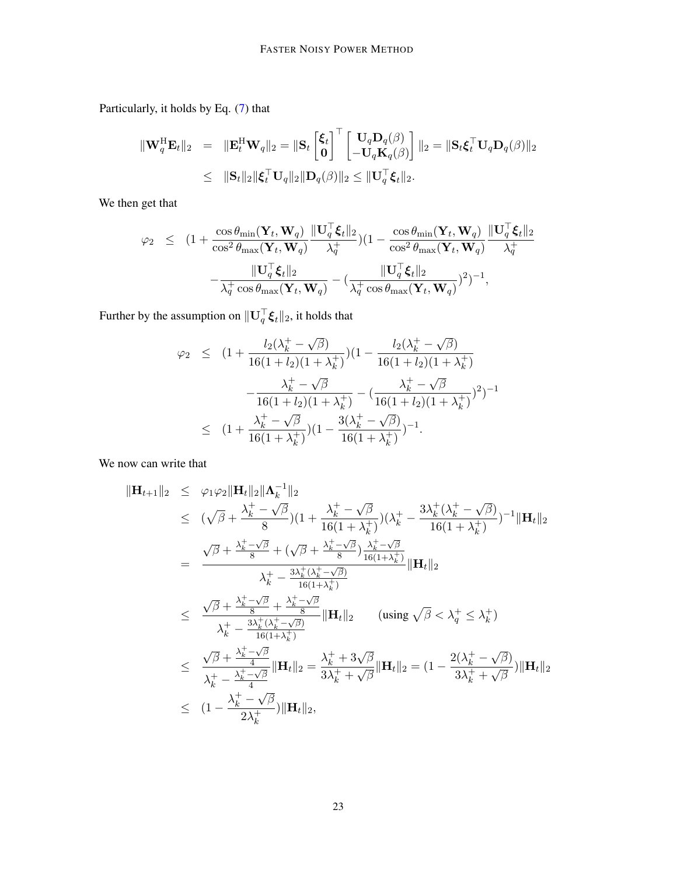Particularly, it holds by Eq. [\(7\)](#page-6-3) that

$$
\begin{array}{rcl} \|\mathbf{W}_{q}^{\mathrm{H}}\mathbf{E}_{t}\|_{2} & = & \|\mathbf{E}_{t}^{\mathrm{H}}\mathbf{W}_{q}\|_{2} = \|\mathbf{S}_{t}\begin{bmatrix} \boldsymbol{\xi}_{t} \\ \mathbf{0} \end{bmatrix}^{\top} \begin{bmatrix} \mathbf{U}_{q}\mathbf{D}_{q}(\boldsymbol{\beta}) \\ -\mathbf{U}_{q}\mathbf{K}_{q}(\boldsymbol{\beta}) \end{bmatrix}\|_{2} = \|\mathbf{S}_{t}\boldsymbol{\xi}_{t}^{\top}\mathbf{U}_{q}\mathbf{D}_{q}(\boldsymbol{\beta})\|_{2} \\ & \leq & \|\mathbf{S}_{t}\|_{2}\|\boldsymbol{\xi}_{t}^{\top}\mathbf{U}_{q}\|_{2}\|\mathbf{D}_{q}(\boldsymbol{\beta})\|_{2} \leq \|\mathbf{U}_{q}^{\top}\boldsymbol{\xi}_{t}\|_{2}.\end{array}
$$

We then get that

$$
\begin{array}{rcl}\varphi_2 & \leq & \displaystyle (1+\frac{\cos\theta_{\min}(\mathbf{Y}_t,\mathbf{W}_q)}{\cos^2\theta_{\max}(\mathbf{Y}_t,\mathbf{W}_q)}\frac{\|\mathbf{U}_q^{\top}\boldsymbol{\xi}_t\|_2}{\lambda_q^+}) (1-\frac{\cos\theta_{\min}(\mathbf{Y}_t,\mathbf{W}_q)}{\cos^2\theta_{\max}(\mathbf{Y}_t,\mathbf{W}_q)}\frac{\|\mathbf{U}_q^{\top}\boldsymbol{\xi}_t\|_2}{\lambda_q^+} \\ & -\frac{\|\mathbf{U}_q^{\top}\boldsymbol{\xi}_t\|_2}{\lambda_q^+ \cos\theta_{\max}(\mathbf{Y}_t,\mathbf{W}_q)} - (\frac{\|\mathbf{U}_q^{\top}\boldsymbol{\xi}_t\|_2}{\lambda_q^+ \cos\theta_{\max}(\mathbf{Y}_t,\mathbf{W}_q)})^2)^{-1},\end{array}
$$

Further by the assumption on  $\|\mathbf{U}_q^\top\boldsymbol{\xi}_t\|_2$ , it holds that

$$
\varphi_2 \leq (1 + \frac{l_2(\lambda_k^+ - \sqrt{\beta})}{16(1 + l_2)(1 + \lambda_k^+)})(1 - \frac{l_2(\lambda_k^+ - \sqrt{\beta})}{16(1 + l_2)(1 + \lambda_k^+)} - \frac{\lambda_k^+ - \sqrt{\beta}}{16(1 + l_2)(1 + \lambda_k^+)} - (\frac{\lambda_k^+ - \sqrt{\beta}}{16(1 + l_2)(1 + \lambda_k^+)})^2)^{-1}
$$
  

$$
\leq (1 + \frac{\lambda_k^+ - \sqrt{\beta}}{16(1 + \lambda_k^+)})(1 - \frac{3(\lambda_k^+ - \sqrt{\beta})}{16(1 + \lambda_k^+)})^{-1}.
$$

We now can write that

$$
\|\mathbf{H}_{t+1}\|_{2} \leq \varphi_{1}\varphi_{2}\|\mathbf{H}_{t}\|_{2}\|\mathbf{\Lambda}_{k}^{-1}\|_{2}
$$
\n
$$
\leq (\sqrt{\beta} + \frac{\lambda_{k}^{+} - \sqrt{\beta}}{8})(1 + \frac{\lambda_{k}^{+} - \sqrt{\beta}}{16(1 + \lambda_{k}^{+})})(\lambda_{k}^{+} - \frac{3\lambda_{k}^{+}(\lambda_{k}^{+} - \sqrt{\beta})}{16(1 + \lambda_{k}^{+})})^{-1}\|\mathbf{H}_{t}\|_{2}
$$
\n
$$
= \frac{\sqrt{\beta} + \frac{\lambda_{k}^{+} - \sqrt{\beta}}{8} + (\sqrt{\beta} + \frac{\lambda_{k}^{+} - \sqrt{\beta}}{8})\frac{\lambda_{k}^{+} - \sqrt{\beta}}{16(1 + \lambda_{k}^{+})}}{\lambda_{k}^{+} - \frac{3\lambda_{k}^{+}(\lambda_{k}^{+} - \sqrt{\beta})}{16(1 + \lambda_{k}^{+})}}\|\mathbf{H}_{t}\|_{2}
$$
\n
$$
\leq \frac{\sqrt{\beta} + \frac{\lambda_{k}^{+} - \sqrt{\beta}}{8} + \frac{\lambda_{k}^{+} - \sqrt{\beta}}{8}}{\lambda_{k}^{+} - \frac{3\lambda_{k}^{+}(\lambda_{k}^{+} - \sqrt{\beta})}{16(1 + \lambda_{k}^{+})}}\|\mathbf{H}_{t}\|_{2} \quad \text{(using } \sqrt{\beta} < \lambda_{q}^{+} \leq \lambda_{k}^{+})
$$
\n
$$
\leq \frac{\sqrt{\beta} + \frac{\lambda_{k}^{+} - \sqrt{\beta}}{4}}{\lambda_{k}^{+} - \frac{\lambda_{k}^{+} - \sqrt{\beta}}{4}}\|\mathbf{H}_{t}\|_{2} = \frac{\lambda_{k}^{+} + 3\sqrt{\beta}}{3\lambda_{k}^{+} + \sqrt{\beta}}\|\mathbf{H}_{t}\|_{2} = (1 - \frac{2(\lambda_{k}^{+} - \sqrt{\beta})}{3\lambda_{k}^{+} + \sqrt{\beta}})\|\mathbf{H}_{t}\|_{2}
$$
\n
$$
\leq (1 - \frac{\lambda_{k}^{+} - \sqrt{\beta}}{2\lambda_{k}^{+}})\|\mathbf{H}_{t}\|_{2},
$$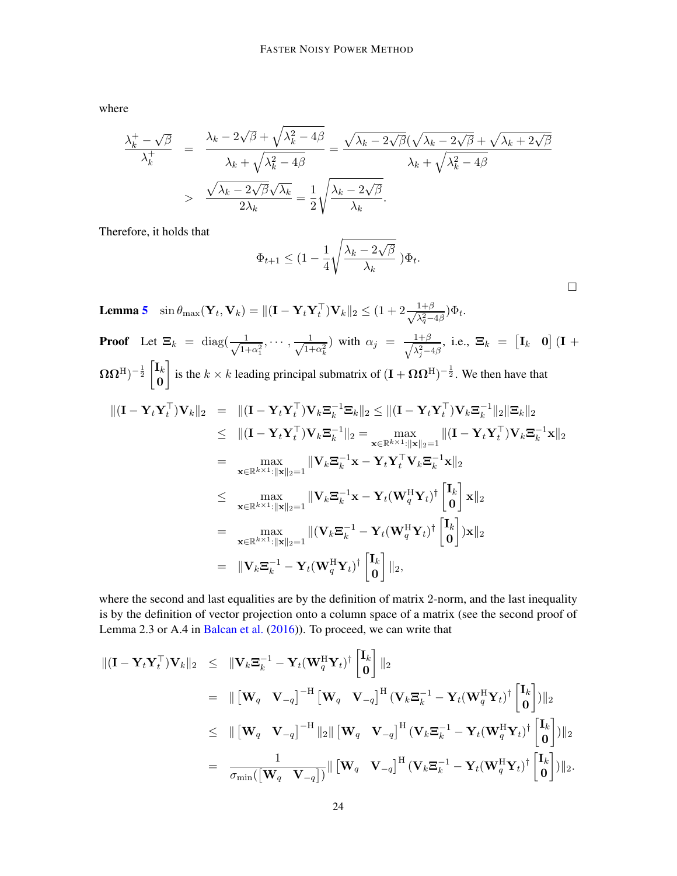where

$$
\frac{\lambda_k^+ - \sqrt{\beta}}{\lambda_k^+} = \frac{\lambda_k - 2\sqrt{\beta} + \sqrt{\lambda_k^2 - 4\beta}}{\lambda_k + \sqrt{\lambda_k^2 - 4\beta}} = \frac{\sqrt{\lambda_k - 2\sqrt{\beta}}(\sqrt{\lambda_k - 2\sqrt{\beta}} + \sqrt{\lambda_k + 2\sqrt{\beta}})}{\lambda_k + \sqrt{\lambda_k^2 - 4\beta}}
$$

$$
> \frac{\sqrt{\lambda_k - 2\sqrt{\beta}}\sqrt{\lambda_k}}{2\lambda_k} = \frac{1}{2}\sqrt{\frac{\lambda_k - 2\sqrt{\beta}}{\lambda_k}}.
$$

Therefore, it holds that

$$
\Phi_{t+1} \leq (1 - \frac{1}{4} \sqrt{\frac{\lambda_k - 2\sqrt{\beta}}{\lambda_k}} ) \Phi_t.
$$

□

**Lemma [5](#page-8-0)** sin  $\theta_{\text{max}}(\mathbf{Y}_t, \mathbf{V}_k) = \|(\mathbf{I} - \mathbf{Y}_t \mathbf{Y}_t^\top) \mathbf{V}_k\|_2 \leq (1 + 2 \frac{1+\beta}{\sqrt{\lambda^2-1}})$  $\frac{1+\beta}{\lambda_q^2-4\beta}$ ) $\Phi_t$ . **Proof** Let  $\mathbf{\Xi}_k = \text{diag}(\frac{1}{\sqrt{1-k}})$  $\frac{1}{1+\alpha_1^2}, \cdots, \frac{1}{\sqrt{1+\alpha_1^2}}$  $\frac{1}{1+\alpha_k^2}$ ) with  $\alpha_j = \frac{1+\beta}{\sqrt{\lambda_j^2-1}}$  $\frac{1+\beta}{\lambda_j^2-4\beta}$ , i.e.,  $\boldsymbol{\Xi}_k$  =  $\begin{bmatrix} \mathbf{I}_k & \mathbf{0} \end{bmatrix}$   $(\mathbf{I} +$  $(\Omega \Omega^{\mathrm{H}})^{-\frac{1}{2}} \begin{bmatrix} \mathbf{I}_k \ \mathbf{0} \end{bmatrix}$ 0 is the  $k \times k$  leading principal submatrix of  $(I + \Omega \Omega^H)^{-\frac{1}{2}}$ . We then have that  $\|(\mathbf{I} - \mathbf{Y}_t \mathbf{Y}_t^\top) \mathbf{V}_k\|_2 = \|(\mathbf{I} - \mathbf{Y}_t \mathbf{Y}_t^\top) \mathbf{V}_k \mathbf{\Xi}_k^{-1} \mathbf{\Xi}_k\|_2 \le \|(\mathbf{I} - \mathbf{Y}_t \mathbf{Y}_t^\top) \mathbf{V}_k \mathbf{\Xi}_k^{-1}$  $\frac{-1}{k}$ ||2| $\Xi_k$ ||2  $\leq\;\; \|({\mathbf{I}} - {\mathbf{Y}}_t{\mathbf{Y}}_t^\top){\mathbf{V}}_k\mathbf{\Xi}_k^{-1}$  $\mathbf{F}_k^{-1} \|_2 = \max_{\mathbf{x} \in \mathbb{R}^{k \times 1}: \|\mathbf{x}\|_2 = 1} \| (\mathbf{I} - \mathbf{Y}_t \mathbf{Y}_t^\top) \mathbf{V}_k \mathbf{\Xi}_k^{-1} \|_2$  $\frac{-1}{k} \mathbf{x} \|_2$  $=$  max  $\max_{\mathbf{x} \in \mathbb{R}^{k \times 1}: \|\mathbf{x}\|_2 = 1} \|\mathbf{V}_k \mathbf{\Xi}_k^{-1}$  $\mathbf{x}_k^{-1}\mathbf{x} - \mathbf{Y}_t\mathbf{Y}_t^\top\mathbf{V}_k\mathbf{\Xi}_k^{-1}$  $\frac{-1}{k}$ **x** $||_2$ ≤ max  $\max_{\mathbf{x} \in \mathbb{R}^{k \times 1}: \|\mathbf{x}\|_2 = 1} \|\mathbf{V}_k \mathbf{\Xi}_k^{-1}$  $\mathbf{X}_k^{-1}\mathbf{x} - \mathbf{Y}_t(\mathbf{W}^{\mathrm{H}}_q\mathbf{Y}_t)^\dagger \begin{bmatrix} \mathbf{I}_k \ \mathbf{0} \end{bmatrix}$ 0  $\mathbf{\big|}\ \mathbf{x} \Vert_2$  $=$  max  $\max_{\mathbf{x} \in \mathbb{R}^{k \times 1}: \|\mathbf{x}\|_2 = 1} \|(\mathbf{V}_k \mathbf{\Xi}_k^{-1} - \mathbf{Y}_t(\mathbf{W}^{\text{H}}_q \mathbf{Y}_t)^\dagger \begin{bmatrix} \mathbf{I}_k \ \mathbf{0} \end{bmatrix}$ 0  $\big]_{)\mathbf{x}\|_2}$  $=\begin{array}{cc} \begin{array}{cc} \end{array} \begin{bmatrix} \mathbf{V}_k \mathbf{\Xi}_k^{-1}-\mathbf{Y}_t(\mathbf{W}_q^{\mathrm{H}} \mathbf{Y}_t)^{\dagger} \end{array} \begin{bmatrix} \mathbf{I}_k \ \mathbf{0} \end{bmatrix} \end{array}$ 0  $\big]$   $\|_2$ ,

where the second and last equalities are by the definition of matrix 2-norm, and the last inequality is by the definition of vector projection onto a column space of a matrix (see the second proof of Lemma 2.3 or A.4 in [Balcan et al.](#page-11-0) [\(2016\)](#page-11-0)). To proceed, we can write that

$$
\begin{split}\n\| (\mathbf{I} - \mathbf{Y}_t \mathbf{Y}_t^\top) \mathbf{V}_k \|_2 &\leq \|\mathbf{V}_k \mathbf{E}_k^{-1} - \mathbf{Y}_t (\mathbf{W}_q^H \mathbf{Y}_t)^\dagger \begin{bmatrix} \mathbf{I}_k \\ \mathbf{0} \end{bmatrix} \|_2 \\
&= \|\begin{bmatrix} \mathbf{W}_q & \mathbf{V}_{-q} \end{bmatrix}^{-H} \begin{bmatrix} \mathbf{W}_q & \mathbf{V}_{-q} \end{bmatrix}^H (\mathbf{V}_k \mathbf{E}_k^{-1} - \mathbf{Y}_t (\mathbf{W}_q^H \mathbf{Y}_t)^\dagger \begin{bmatrix} \mathbf{I}_k \\ \mathbf{0} \end{bmatrix}) \|_2 \\
&\leq \|\begin{bmatrix} \mathbf{W}_q & \mathbf{V}_{-q} \end{bmatrix}^{-H} \|_2 \|\begin{bmatrix} \mathbf{W}_q & \mathbf{V}_{-q} \end{bmatrix}^H (\mathbf{V}_k \mathbf{E}_k^{-1} - \mathbf{Y}_t (\mathbf{W}_q^H \mathbf{Y}_t)^\dagger \begin{bmatrix} \mathbf{I}_k \\ \mathbf{0} \end{bmatrix}) \|_2 \\
&= \frac{1}{\sigma_{\min}([\mathbf{W}_q \ \mathbf{V}_{-q}])} \|\begin{bmatrix} \mathbf{W}_q & \mathbf{V}_{-q} \end{bmatrix}^H (\mathbf{V}_k \mathbf{E}_k^{-1} - \mathbf{Y}_t (\mathbf{W}_q^H \mathbf{Y}_t)^\dagger \begin{bmatrix} \mathbf{I}_k \\ \mathbf{0} \end{bmatrix}) \|_2.\n\end{split}
$$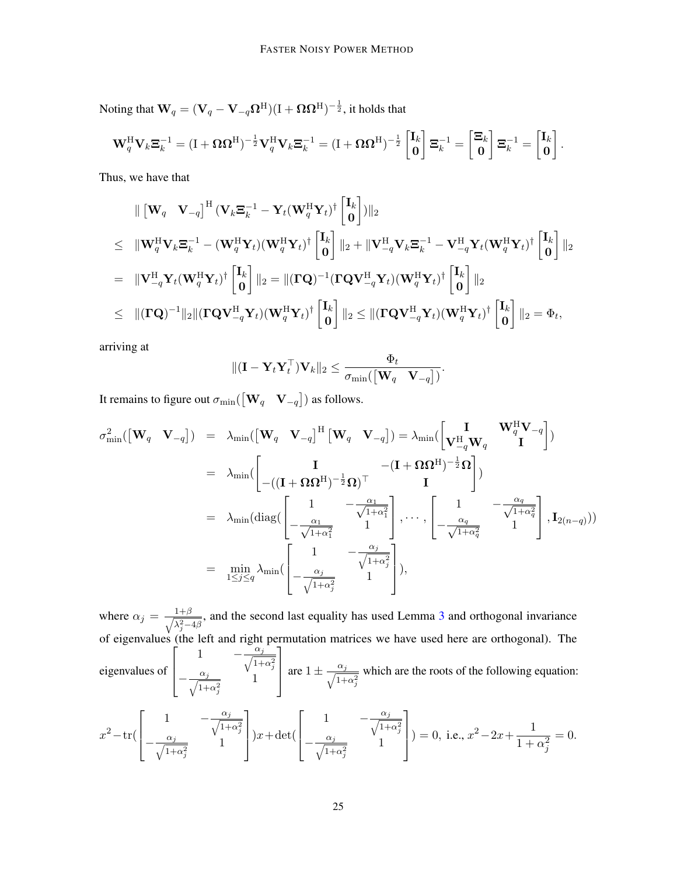Noting that  $\mathbf{W}_q = (\mathbf{V}_q - \mathbf{V}_{-q}\mathbf{\Omega}^{\mathrm{H}})(\mathrm{I}+\mathbf{\Omega}\mathbf{\Omega}^{\mathrm{H}})^{-\frac{1}{2}},$  it holds that

$$
\mathbf{W}_q^{\mathrm{H}} \mathbf{V}_k \mathbf{\Xi}_k^{-1} = (\mathbf{I} + \mathbf{\Omega} \mathbf{\Omega}^{\mathrm{H}})^{-\frac{1}{2}} \mathbf{V}_q^{\mathrm{H}} \mathbf{V}_k \mathbf{\Xi}_k^{-1} = (\mathbf{I} + \mathbf{\Omega} \mathbf{\Omega}^{\mathrm{H}})^{-\frac{1}{2}} \begin{bmatrix} \mathbf{I}_k \\ \mathbf{0} \end{bmatrix} \mathbf{\Xi}_k^{-1} = \begin{bmatrix} \mathbf{\Xi}_k \\ \mathbf{0} \end{bmatrix} \mathbf{\Xi}_k^{-1} = \begin{bmatrix} \mathbf{I}_k \\ \mathbf{0} \end{bmatrix}
$$

.

Thus, we have that

$$
\| \begin{bmatrix} \mathbf{W}_q & \mathbf{V}_{-q} \end{bmatrix}^{\mathrm{H}} (\mathbf{V}_k \mathbf{\Xi}_k^{-1} - \mathbf{Y}_t (\mathbf{W}_q^{\mathrm{H}} \mathbf{Y}_t)^{\dagger} \begin{bmatrix} \mathbf{I}_k \\ \mathbf{0} \end{bmatrix}) \|_2
$$
\n
$$
\leq \| \mathbf{W}_q^{\mathrm{H}} \mathbf{V}_k \mathbf{\Xi}_k^{-1} - (\mathbf{W}_q^{\mathrm{H}} \mathbf{Y}_t) (\mathbf{W}_q^{\mathrm{H}} \mathbf{Y}_t)^{\dagger} \begin{bmatrix} \mathbf{I}_k \\ \mathbf{0} \end{bmatrix} \|_2 + \| \mathbf{V}_{-q}^{\mathrm{H}} \mathbf{V}_k \mathbf{\Xi}_k^{-1} - \mathbf{V}_{-q}^{\mathrm{H}} \mathbf{Y}_t (\mathbf{W}_q^{\mathrm{H}} \mathbf{Y}_t)^{\dagger} \begin{bmatrix} \mathbf{I}_k \\ \mathbf{0} \end{bmatrix} \|_2
$$
\n
$$
= \| \mathbf{V}_{-q}^{\mathrm{H}} \mathbf{Y}_t (\mathbf{W}_q^{\mathrm{H}} \mathbf{Y}_t)^{\dagger} \begin{bmatrix} \mathbf{I}_k \\ \mathbf{0} \end{bmatrix} \|_2 = \| (\mathbf{\Gamma} \mathbf{Q})^{-1} (\mathbf{\Gamma} \mathbf{Q} \mathbf{V}_{-q}^{\mathrm{H}} \mathbf{Y}_t) (\mathbf{W}_q^{\mathrm{H}} \mathbf{Y}_t)^{\dagger} \begin{bmatrix} \mathbf{I}_k \\ \mathbf{0} \end{bmatrix} \|_2
$$
\n
$$
\leq \| (\mathbf{\Gamma} \mathbf{Q} \mathbf{V}_{-q}^{\mathrm{H}} \mathbf{Y}_t) (\mathbf{W}_q^{\mathrm{H}} \mathbf{Y}_t)^{\dagger} \begin{bmatrix} \mathbf{I}_k \\ \mathbf{0} \end{bmatrix} \|_2 \leq \| (\mathbf{\Gamma} \mathbf{Q} \mathbf{V}_{-q}^{\mathrm{H}} \mathbf{Y}_t) (\mathbf{W}_q^{\mathrm{H}} \mathbf{Y}_t)^{\dagger} \begin{bmatrix} \mathbf{I}_k \\ \mathbf{0} \end{bmatrix} \|_2 = \Phi_t,
$$

arriving at

$$
\|(\mathbf{I}-\mathbf{Y}_t\mathbf{Y}_t^\top)\mathbf{V}_k\|_2 \leq \frac{\Phi_t}{\sigma_{\min}(\begin{bmatrix} \mathbf{W}_q & \mathbf{V}_{-q} \end{bmatrix})}.
$$

It remains to figure out  $\sigma_{\min}(\begin{bmatrix} \mathbf{W}_q & \mathbf{V}_{-q} \end{bmatrix})$  as follows.

$$
\sigma_{\min}^{2}([\mathbf{W}_{q} \quad \mathbf{V}_{-q}]) = \lambda_{\min}([\mathbf{W}_{q} \quad \mathbf{V}_{-q}]^{H} [\mathbf{W}_{q} \quad \mathbf{V}_{-q}]) = \lambda_{\min}([\begin{bmatrix} \mathbf{I} & \mathbf{W}_{q}^{H} \mathbf{V}_{-q} \\ \mathbf{V}_{-q}^{H} \mathbf{W}_{q} & \mathbf{I} \end{bmatrix})
$$
  
\n
$$
= \lambda_{\min}([\begin{bmatrix} \mathbf{I} & -(\mathbf{I} + \mathbf{\Omega} \mathbf{\Omega}^{H})^{-\frac{1}{2}} \mathbf{\Omega} \\ -((\mathbf{I} + \mathbf{\Omega} \mathbf{\Omega}^{H})^{-\frac{1}{2}} \mathbf{\Omega})^{\top} & \mathbf{I} \end{bmatrix})
$$
  
\n
$$
= \lambda_{\min}(\text{diag}([\begin{bmatrix} 1 & -\frac{\alpha_{1}}{\sqrt{1+\alpha_{1}^{2}}} \\ -\frac{\alpha_{1}}{\sqrt{1+\alpha_{1}^{2}}} & 1 \end{bmatrix}, \cdots, [\begin{bmatrix} 1 & -\frac{\alpha_{q}}{\sqrt{1+\alpha_{q}^{2}}} \\ -\frac{\alpha_{q}}{\sqrt{1+\alpha_{q}^{2}}} & 1 \end{bmatrix}, \mathbf{I}_{2(n-q)}))
$$
  
\n
$$
= \min_{1 \leq j \leq q} \lambda_{\min}([\begin{bmatrix} 1 & -\frac{\alpha_{j}}{\sqrt{1+\alpha_{j}^{2}}} \\ -\frac{\alpha_{j}}{\sqrt{1+\alpha_{j}^{2}}} & 1 \end{bmatrix}),
$$

where  $\alpha_j = \frac{1+\beta}{\sqrt{\lambda^2-1}}$  $\lambda_j^2 - 4\beta$ , and the second last equality has used Lemma [3](#page-6-2) and orthogonal invariance of eigenvalues (the left and right permutation matrices we have used here are orthogonal). The eigenvalues of  $\sqrt{ }$  $\vert$ 1  $-\frac{\alpha_j}{\sqrt{1+\alpha_j}}$  $1+\alpha_j^2$  $-\frac{\alpha_j}{\sqrt{1+1}}$  $1+\alpha_j^2$ 1 1 are  $1 \pm \frac{\alpha_j}{\sqrt{1+\alpha_j}}$  $1+\alpha_j^2$ which are the roots of the following equation:

$$
x^{2} - \text{tr}\left(\begin{bmatrix} 1 & -\frac{\alpha_{j}}{\sqrt{1+\alpha_{j}^{2}}} \\ -\frac{\alpha_{j}}{\sqrt{1+\alpha_{j}^{2}}} & 1 \end{bmatrix}\right) x + \text{det}\left(\begin{bmatrix} 1 & -\frac{\alpha_{j}}{\sqrt{1+\alpha_{j}^{2}}} \\ -\frac{\alpha_{j}}{\sqrt{1+\alpha_{j}^{2}}} & 1 \end{bmatrix}\right) = 0, \text{ i.e., } x^{2} - 2x + \frac{1}{1+\alpha_{j}^{2}} = 0.
$$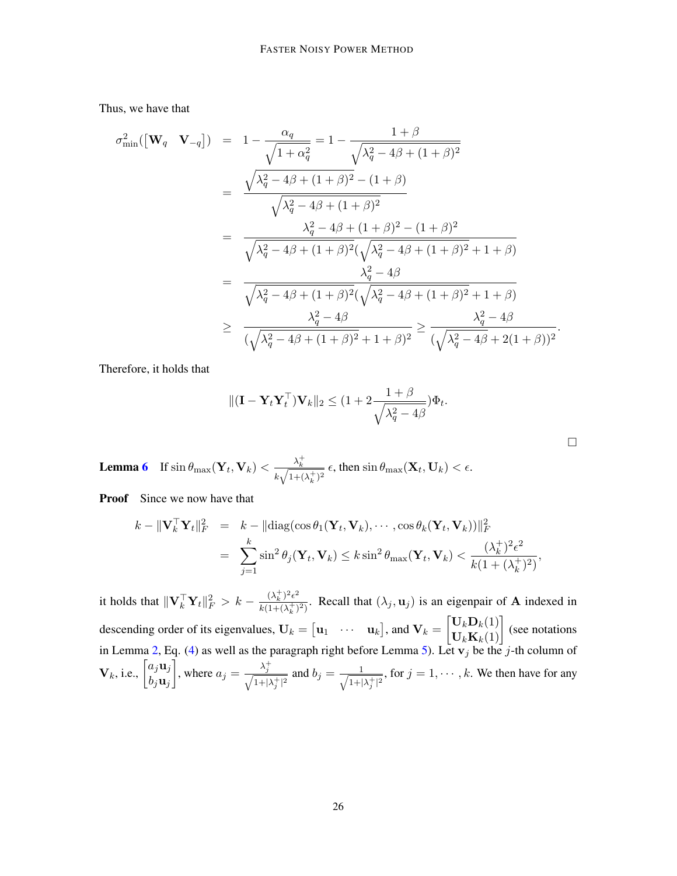Thus, we have that

σ

$$
\frac{2}{2} \sin\left(\left[\mathbf{W}_{q} \quad \mathbf{V}_{-q}\right]\right) = 1 - \frac{\alpha_{q}}{\sqrt{1 + \alpha_{q}^{2}}} = 1 - \frac{1 + \beta}{\sqrt{\lambda_{q}^{2} - 4\beta + (1 + \beta)^{2}}}
$$
\n
$$
= \frac{\sqrt{\lambda_{q}^{2} - 4\beta + (1 + \beta)^{2} - (1 + \beta)}}{\sqrt{\lambda_{q}^{2} - 4\beta + (1 + \beta)^{2}}}
$$
\n
$$
= \frac{\lambda_{q}^{2} - 4\beta + (1 + \beta)^{2} - (1 + \beta)^{2}}{\sqrt{\lambda_{q}^{2} - 4\beta + (1 + \beta)^{2}}(\sqrt{\lambda_{q}^{2} - 4\beta + (1 + \beta)^{2}} + 1 + \beta)}
$$
\n
$$
= \frac{\lambda_{q}^{2} - 4\beta}{\sqrt{\lambda_{q}^{2} - 4\beta + (1 + \beta)^{2}}(\sqrt{\lambda_{q}^{2} - 4\beta + (1 + \beta)^{2}} + 1 + \beta)}
$$
\n
$$
\geq \frac{\lambda_{q}^{2} - 4\beta}{(\sqrt{\lambda_{q}^{2} - 4\beta + (1 + \beta)^{2}} + 1 + \beta)^{2}} \geq \frac{\lambda_{q}^{2} - 4\beta}{(\sqrt{\lambda_{q}^{2} - 4\beta + (1 + \beta)^{2}} + 1 + \beta)^{2}}.
$$

Therefore, it holds that

$$
\|(\mathbf{I} - \mathbf{Y}_t \mathbf{Y}_t^\top) \mathbf{V}_k\|_2 \le (1 + 2 \frac{1 + \beta}{\sqrt{\lambda_q^2 - 4\beta}}) \Phi_t.
$$

□

**Lemma [6](#page-8-1)** If  $\sin \theta_{\text{max}}(\mathbf{Y}_t, \mathbf{V}_k) < \frac{\lambda_k^+}{\sqrt{N}}$  $\frac{\lambda_k}{k\sqrt{1+(\lambda_k^+)^2}}$   $\epsilon$ , then  $\sin\theta_{\text{max}}(\mathbf{X}_t, \mathbf{U}_k) < \epsilon$ .

**Proof** Since we now have that

$$
k - \|\mathbf{V}_k^{\top}\mathbf{Y}_t\|_F^2 = k - \|\text{diag}(\cos\theta_1(\mathbf{Y}_t, \mathbf{V}_k), \cdots, \cos\theta_k(\mathbf{Y}_t, \mathbf{V}_k))\|_F^2
$$
  
= 
$$
\sum_{j=1}^k \sin^2\theta_j(\mathbf{Y}_t, \mathbf{V}_k) \le k \sin^2\theta_{\text{max}}(\mathbf{Y}_t, \mathbf{V}_k) < \frac{(\lambda_k^+)^2 \epsilon^2}{k(1 + (\lambda_k^+)^2)},
$$

it holds that  $\|\mathbf{V}_k^{\top} \mathbf{Y}_t\|_F^2 > k - \frac{(\lambda_k^+)^2 \epsilon^2}{k(1 + (\lambda_k^+))}$  $\frac{(\lambda_k)^{\epsilon}}{k(1+(\lambda_k^{\epsilon})^2)}$ . Recall that  $(\lambda_j, \mathbf{u}_j)$  is an eigenpair of **A** indexed in descending order of its eigenvalues,  $\mathbf{U}_k = \begin{bmatrix} \mathbf{u}_1 & \cdots & \mathbf{u}_k \end{bmatrix}$ , and  $\mathbf{V}_k = \begin{bmatrix} \mathbf{U}_k \mathbf{D}_k(1) \\ \mathbf{U}_k \mathbf{K}_k(1) \end{bmatrix}$  (see notations in Lemma [2,](#page-5-0) Eq. [\(4\)](#page-5-1) as well as the paragraph right before Lemma [5\)](#page-8-0). Let  $v_j$  be the j-th column of  ${\bf V}_k$ , i.e.,  $\begin{bmatrix} a_j{\bf u}_j \\ b~{\bf u}_j \end{bmatrix}$  $b_j$ u $_j$ , where  $a_j = \frac{\lambda_j^+}{\sqrt{2\lambda_j}}$  $\frac{\lambda_j}{\sqrt{1+1}}$  $\frac{\lambda_j}{1+|\lambda_j^+|^2}$  and  $b_j = \frac{1}{\sqrt{1+|\lambda_j^-|^2}}$  $\frac{1}{1+|\lambda_j^+|^2}$ , for  $j=1,\dots,k$ . We then have for any